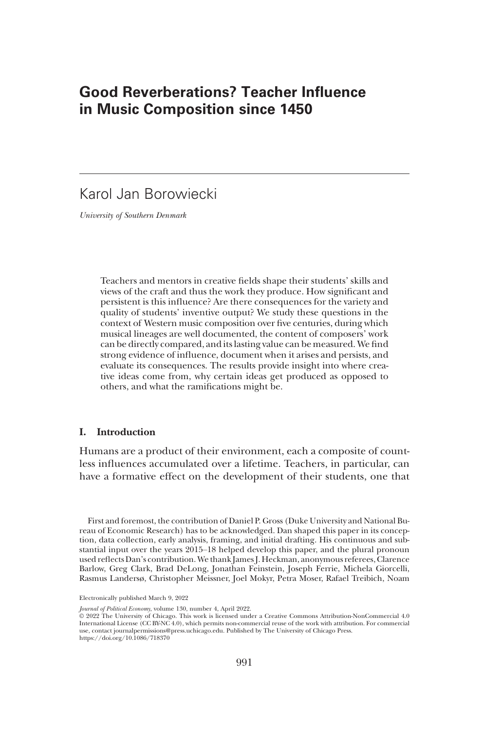# Good Reverberations? Teacher Influence in Music Composition since 1450

# Karol Jan Borowiecki

University of Southern Denmark

Teachers and mentors in creative fields shape their students' skills and views of the craft and thus the work they produce. How significant and persistent is this influence? Are there consequences for the variety and quality of students' inventive output? We study these questions in the context of Western music composition over five centuries, during which musical lineages are well documented, the content of composers' work can be directly compared, and its lasting value can be measured. We find strong evidence of influence, document when it arises and persists, and evaluate its consequences. The results provide insight into where creative ideas come from, why certain ideas get produced as opposed to others, and what the ramifications might be.

# I. Introduction

Humans are a product of their environment, each a composite of countless influences accumulated over a lifetime. Teachers, in particular, can have a formative effect on the development of their students, one that

First and foremost, the contribution of Daniel P. Gross (Duke University and National Bureau of Economic Research) has to be acknowledged. Dan shaped this paper in its conception, data collection, early analysis, framing, and initial drafting. His continuous and substantial input over the years 2015–18 helped develop this paper, and the plural pronoun used reflects Dan's contribution. We thank James J. Heckman, anonymous referees, Clarence Barlow, Greg Clark, Brad DeLong, Jonathan Feinstein, Joseph Ferrie, Michela Giorcelli, Rasmus Landersø, Christopher Meissner, Joel Mokyr, Petra Moser, Rafael Treibich, Noam

Journal of Political Economy, volume 130, number 4, April 2022.

Electronically published March 9, 2022

<sup>©</sup> 2022 The University of Chicago. This work is licensed under a Creative Commons Attribution-NonCommercial 4.0 International License (CC BY-NC 4.0), which permits non-commercial reuse of the work with attribution. For commercial use, contact journalpermissions@press.uchicago.edu. Published by The University of Chicago Press. https://doi.org/10.1086/718370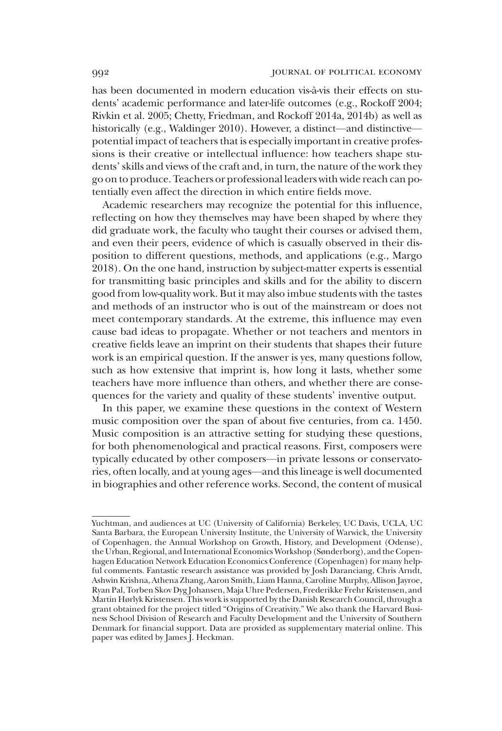has been documented in modern education vis-à-vis their effects on students' academic performance and later-life outcomes (e.g., Rockoff 2004; Rivkin et al. 2005; Chetty, Friedman, and Rockoff 2014a, 2014b) as well as historically (e.g., Waldinger 2010). However, a distinct—and distinctive potential impact of teachers that is especially important in creative professions is their creative or intellectual influence: how teachers shape students' skills and views of the craft and, in turn, the nature of the work they go on to produce. Teachers or professional leaders with wide reach can potentially even affect the direction in which entire fields move.

Academic researchers may recognize the potential for this influence, reflecting on how they themselves may have been shaped by where they did graduate work, the faculty who taught their courses or advised them, and even their peers, evidence of which is casually observed in their disposition to different questions, methods, and applications (e.g., Margo 2018). On the one hand, instruction by subject-matter experts is essential for transmitting basic principles and skills and for the ability to discern good from low-quality work. But it may also imbue students with the tastes and methods of an instructor who is out of the mainstream or does not meet contemporary standards. At the extreme, this influence may even cause bad ideas to propagate. Whether or not teachers and mentors in creative fields leave an imprint on their students that shapes their future work is an empirical question. If the answer is yes, many questions follow, such as how extensive that imprint is, how long it lasts, whether some teachers have more influence than others, and whether there are consequences for the variety and quality of these students' inventive output.

In this paper, we examine these questions in the context of Western music composition over the span of about five centuries, from ca. 1450. Music composition is an attractive setting for studying these questions, for both phenomenological and practical reasons. First, composers were typically educated by other composers—in private lessons or conservatories, often locally, and at young ages—and this lineage is well documented in biographies and other reference works. Second, the content of musical

Yuchtman, and audiences at UC (University of California) Berkeley, UC Davis, UCLA, UC Santa Barbara, the European University Institute, the University of Warwick, the University of Copenhagen, the Annual Workshop on Growth, History, and Development (Odense), the Urban, Regional, and International EconomicsWorkshop (Sønderborg), and theCopenhagen Education Network Education Economics Conference (Copenhagen) for many helpful comments. Fantastic research assistance was provided by Josh Daranciang, Chris Arndt, Ashwin Krishna, Athena Zhang, Aaron Smith, Liam Hanna, Caroline Murphy, Allison Jayroe, Ryan Pal, Torben Skov Dyg Johansen, Maja Uhre Pedersen, Frederikke Frehr Kristensen, and Martin Hørlyk Kristensen. This work is supported by the Danish Research Council, through a grant obtained for the project titled "Origins of Creativity." We also thank the Harvard Business School Division of Research and Faculty Development and the University of Southern Denmark for financial support. Data are provided as supplementary material online. This paper was edited by James J. Heckman.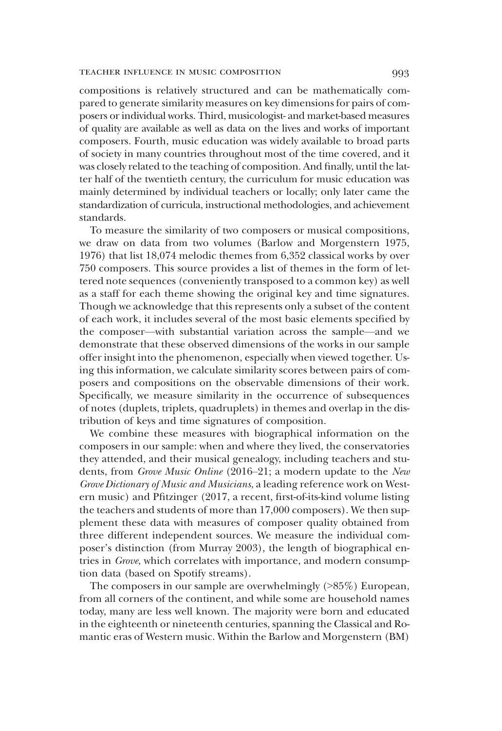### TEACHER INFLUENCE IN MUSIC COMPOSITION 993

compositions is relatively structured and can be mathematically compared to generate similarity measures on key dimensions for pairs of composers or individual works. Third, musicologist- and market-based measures of quality are available as well as data on the lives and works of important composers. Fourth, music education was widely available to broad parts of society in many countries throughout most of the time covered, and it was closely related to the teaching of composition. And finally, until the latter half of the twentieth century, the curriculum for music education was mainly determined by individual teachers or locally; only later came the standardization of curricula, instructional methodologies, and achievement standards.

To measure the similarity of two composers or musical compositions, we draw on data from two volumes (Barlow and Morgenstern 1975, 1976) that list 18,074 melodic themes from 6,352 classical works by over 750 composers. This source provides a list of themes in the form of lettered note sequences (conveniently transposed to a common key) as well as a staff for each theme showing the original key and time signatures. Though we acknowledge that this represents only a subset of the content of each work, it includes several of the most basic elements specified by the composer—with substantial variation across the sample—and we demonstrate that these observed dimensions of the works in our sample offer insight into the phenomenon, especially when viewed together. Using this information, we calculate similarity scores between pairs of composers and compositions on the observable dimensions of their work. Specifically, we measure similarity in the occurrence of subsequences of notes (duplets, triplets, quadruplets) in themes and overlap in the distribution of keys and time signatures of composition.

We combine these measures with biographical information on the composers in our sample: when and where they lived, the conservatories they attended, and their musical genealogy, including teachers and students, from Grove Music Online (2016–21; a modern update to the New Grove Dictionary of Music and Musicians, a leading reference work on Western music) and Pfitzinger (2017, a recent, first-of-its-kind volume listing the teachers and students of more than 17,000 composers). We then supplement these data with measures of composer quality obtained from three different independent sources. We measure the individual composer's distinction (from Murray 2003), the length of biographical entries in Grove, which correlates with importance, and modern consumption data (based on Spotify streams).

The composers in our sample are overwhelmingly (>85%) European, from all corners of the continent, and while some are household names today, many are less well known. The majority were born and educated in the eighteenth or nineteenth centuries, spanning the Classical and Romantic eras of Western music. Within the Barlow and Morgenstern (BM)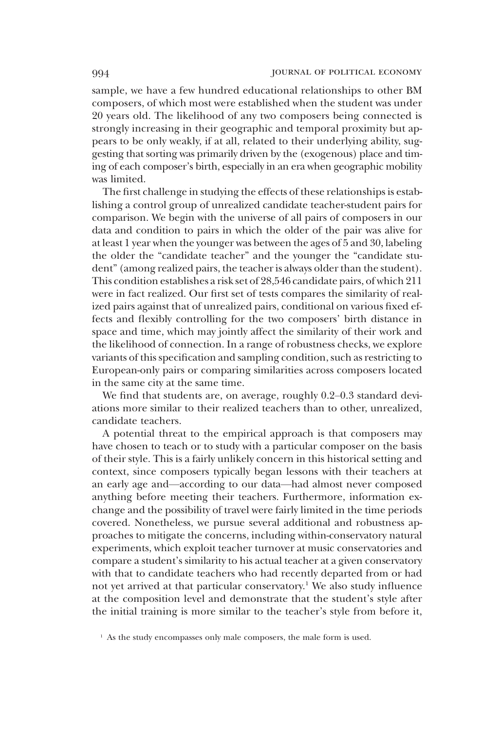sample, we have a few hundred educational relationships to other BM composers, of which most were established when the student was under 20 years old. The likelihood of any two composers being connected is strongly increasing in their geographic and temporal proximity but appears to be only weakly, if at all, related to their underlying ability, suggesting that sorting was primarily driven by the (exogenous) place and timing of each composer's birth, especially in an era when geographic mobility was limited.

The first challenge in studying the effects of these relationships is establishing a control group of unrealized candidate teacher-student pairs for comparison. We begin with the universe of all pairs of composers in our data and condition to pairs in which the older of the pair was alive for at least 1 year when the younger was between the ages of 5 and 30, labeling the older the "candidate teacher" and the younger the "candidate student" (among realized pairs, the teacher is always older than the student). This condition establishes a risk set of 28,546 candidate pairs, of which 211 were in fact realized. Our first set of tests compares the similarity of realized pairs against that of unrealized pairs, conditional on various fixed effects and flexibly controlling for the two composers' birth distance in space and time, which may jointly affect the similarity of their work and the likelihood of connection. In a range of robustness checks, we explore variants of this specification and sampling condition, such as restricting to European-only pairs or comparing similarities across composers located in the same city at the same time.

We find that students are, on average, roughly 0.2–0.3 standard deviations more similar to their realized teachers than to other, unrealized, candidate teachers.

A potential threat to the empirical approach is that composers may have chosen to teach or to study with a particular composer on the basis of their style. This is a fairly unlikely concern in this historical setting and context, since composers typically began lessons with their teachers at an early age and—according to our data—had almost never composed anything before meeting their teachers. Furthermore, information exchange and the possibility of travel were fairly limited in the time periods covered. Nonetheless, we pursue several additional and robustness approaches to mitigate the concerns, including within-conservatory natural experiments, which exploit teacher turnover at music conservatories and compare a student's similarity to his actual teacher at a given conservatory with that to candidate teachers who had recently departed from or had not yet arrived at that particular conservatory.<sup>1</sup> We also study influence at the composition level and demonstrate that the student's style after the initial training is more similar to the teacher's style from before it,

<sup>&</sup>lt;sup>1</sup> As the study encompasses only male composers, the male form is used.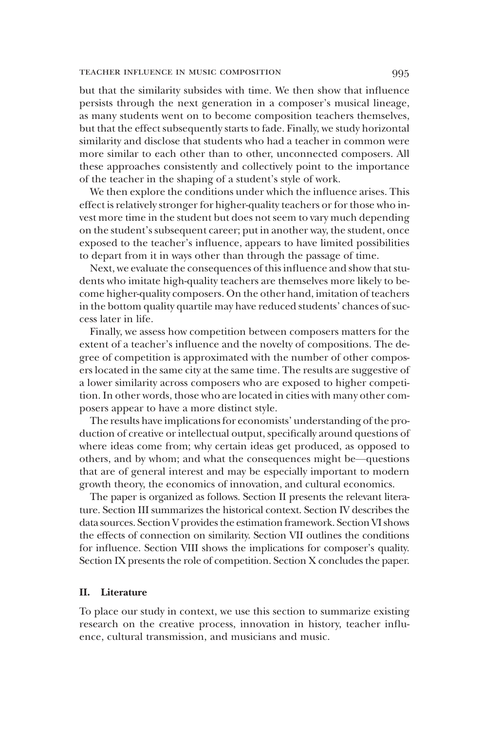### TEACHER INFLUENCE IN MUSIC COMPOSITION 995

but that the similarity subsides with time. We then show that influence persists through the next generation in a composer's musical lineage, as many students went on to become composition teachers themselves, but that the effect subsequently starts to fade. Finally, we study horizontal similarity and disclose that students who had a teacher in common were more similar to each other than to other, unconnected composers. All these approaches consistently and collectively point to the importance of the teacher in the shaping of a student's style of work.

We then explore the conditions under which the influence arises. This effect is relatively stronger for higher-quality teachers or for those who invest more time in the student but does not seem to vary much depending on the student's subsequent career; put in another way, the student, once exposed to the teacher's influence, appears to have limited possibilities to depart from it in ways other than through the passage of time.

Next, we evaluate the consequences of this influence and show that students who imitate high-quality teachers are themselves more likely to become higher-quality composers. On the other hand, imitation of teachers in the bottom quality quartile may have reduced students' chances of success later in life.

Finally, we assess how competition between composers matters for the extent of a teacher's influence and the novelty of compositions. The degree of competition is approximated with the number of other composers located in the same city at the same time. The results are suggestive of a lower similarity across composers who are exposed to higher competition. In other words, those who are located in cities with many other composers appear to have a more distinct style.

The results have implications for economists' understanding of the production of creative or intellectual output, specifically around questions of where ideas come from; why certain ideas get produced, as opposed to others, and by whom; and what the consequences might be—questions that are of general interest and may be especially important to modern growth theory, the economics of innovation, and cultural economics.

The paper is organized as follows. Section II presents the relevant literature. Section III summarizes the historical context. Section IV describes the data sources. Section V provides the estimation framework. Section VI shows the effects of connection on similarity. Section VII outlines the conditions for influence. Section VIII shows the implications for composer's quality. Section IX presents the role of competition. Section X concludes the paper.

## II. Literature

To place our study in context, we use this section to summarize existing research on the creative process, innovation in history, teacher influence, cultural transmission, and musicians and music.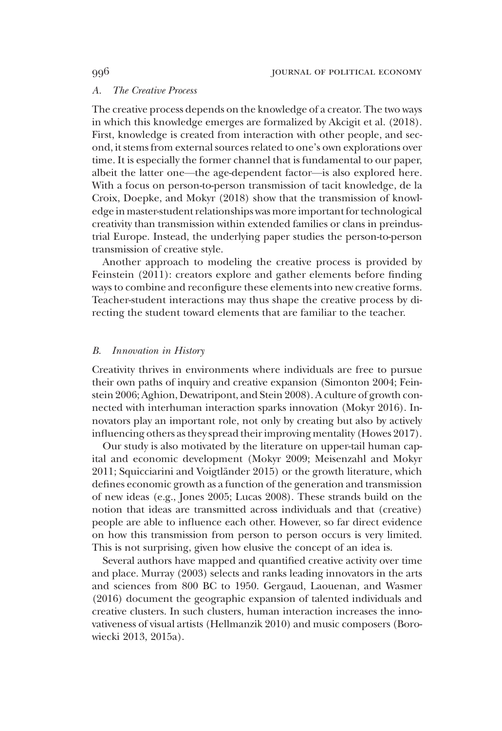### A. The Creative Process

The creative process depends on the knowledge of a creator. The two ways in which this knowledge emerges are formalized by Akcigit et al. (2018). First, knowledge is created from interaction with other people, and second, it stems from external sources related to one's own explorations over time. It is especially the former channel that is fundamental to our paper, albeit the latter one—the age-dependent factor—is also explored here. With a focus on person-to-person transmission of tacit knowledge, de la Croix, Doepke, and Mokyr (2018) show that the transmission of knowledge in master-student relationships was more important for technological creativity than transmission within extended families or clans in preindustrial Europe. Instead, the underlying paper studies the person-to-person transmission of creative style.

Another approach to modeling the creative process is provided by Feinstein (2011): creators explore and gather elements before finding ways to combine and reconfigure these elements into new creative forms. Teacher-student interactions may thus shape the creative process by directing the student toward elements that are familiar to the teacher.

### B. Innovation in History

Creativity thrives in environments where individuals are free to pursue their own paths of inquiry and creative expansion (Simonton 2004; Feinstein 2006; Aghion, Dewatripont, and Stein 2008). A culture of growth connected with interhuman interaction sparks innovation (Mokyr 2016). Innovators play an important role, not only by creating but also by actively influencing others as they spread their improving mentality (Howes 2017).

Our study is also motivated by the literature on upper-tail human capital and economic development (Mokyr 2009; Meisenzahl and Mokyr 2011; Squicciarini and Voigtländer 2015) or the growth literature, which defines economic growth as a function of the generation and transmission of new ideas (e.g., Jones 2005; Lucas 2008). These strands build on the notion that ideas are transmitted across individuals and that (creative) people are able to influence each other. However, so far direct evidence on how this transmission from person to person occurs is very limited. This is not surprising, given how elusive the concept of an idea is.

Several authors have mapped and quantified creative activity over time and place. Murray (2003) selects and ranks leading innovators in the arts and sciences from 800 BC to 1950. Gergaud, Laouenan, and Wasmer (2016) document the geographic expansion of talented individuals and creative clusters. In such clusters, human interaction increases the innovativeness of visual artists (Hellmanzik 2010) and music composers (Borowiecki 2013, 2015a).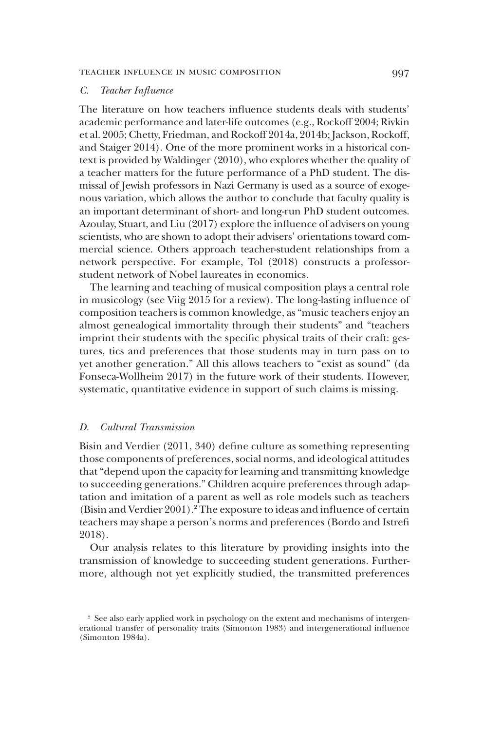### C. Teacher Influence

The literature on how teachers influence students deals with students' academic performance and later-life outcomes (e.g., Rockoff 2004; Rivkin et al. 2005; Chetty, Friedman, and Rockoff 2014a, 2014b; Jackson, Rockoff, and Staiger 2014). One of the more prominent works in a historical context is provided by Waldinger (2010), who explores whether the quality of a teacher matters for the future performance of a PhD student. The dismissal of Jewish professors in Nazi Germany is used as a source of exogenous variation, which allows the author to conclude that faculty quality is an important determinant of short- and long-run PhD student outcomes. Azoulay, Stuart, and Liu (2017) explore the influence of advisers on young scientists, who are shown to adopt their advisers' orientations toward commercial science. Others approach teacher-student relationships from a network perspective. For example, Tol (2018) constructs a professorstudent network of Nobel laureates in economics.

The learning and teaching of musical composition plays a central role in musicology (see Viig 2015 for a review). The long-lasting influence of composition teachers is common knowledge, as"music teachers enjoy an almost genealogical immortality through their students" and "teachers imprint their students with the specific physical traits of their craft: gestures, tics and preferences that those students may in turn pass on to yet another generation." All this allows teachers to "exist as sound" (da Fonseca-Wollheim 2017) in the future work of their students. However, systematic, quantitative evidence in support of such claims is missing.

# D. Cultural Transmission

Bisin and Verdier (2011, 340) define culture as something representing those components of preferences, social norms, and ideological attitudes that "depend upon the capacity for learning and transmitting knowledge to succeeding generations." Children acquire preferences through adaptation and imitation of a parent as well as role models such as teachers (Bisin and Verdier 2001).<sup>2</sup> The exposure to ideas and influence of certain teachers may shape a person's norms and preferences (Bordo and Istrefi 2018).

Our analysis relates to this literature by providing insights into the transmission of knowledge to succeeding student generations. Furthermore, although not yet explicitly studied, the transmitted preferences

<sup>&</sup>lt;sup>2</sup> See also early applied work in psychology on the extent and mechanisms of intergenerational transfer of personality traits (Simonton 1983) and intergenerational influence (Simonton 1984a).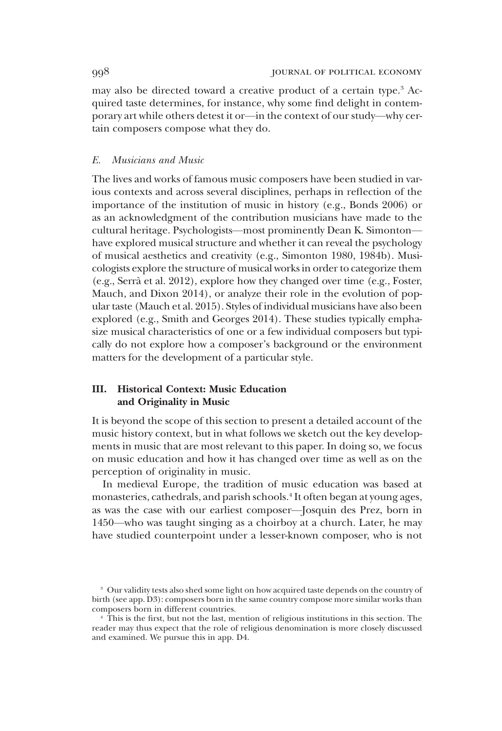may also be directed toward a creative product of a certain type.<sup>3</sup> Acquired taste determines, for instance, why some find delight in contemporary art while others detest it or—in the context of our study—why certain composers compose what they do.

# E. Musicians and Music

The lives and works of famous music composers have been studied in various contexts and across several disciplines, perhaps in reflection of the importance of the institution of music in history (e.g., Bonds 2006) or as an acknowledgment of the contribution musicians have made to the cultural heritage. Psychologists—most prominently Dean K. Simonton have explored musical structure and whether it can reveal the psychology of musical aesthetics and creativity (e.g., Simonton 1980, 1984b). Musicologists explore the structure of musical works in order to categorize them (e.g., Serrà et al. 2012), explore how they changed over time (e.g., Foster, Mauch, and Dixon 2014), or analyze their role in the evolution of popular taste (Mauch et al. 2015). Styles of individual musicians have also been explored (e.g., Smith and Georges 2014). These studies typically emphasize musical characteristics of one or a few individual composers but typically do not explore how a composer's background or the environment matters for the development of a particular style.

# III. Historical Context: Music Education and Originality in Music

It is beyond the scope of this section to present a detailed account of the music history context, but in what follows we sketch out the key developments in music that are most relevant to this paper. In doing so, we focus on music education and how it has changed over time as well as on the perception of originality in music.

In medieval Europe, the tradition of music education was based at monasteries, cathedrals, and parish schools.4 It often began at young ages, as was the case with our earliest composer—Josquin des Prez, born in 1450—who was taught singing as a choirboy at a church. Later, he may have studied counterpoint under a lesser-known composer, who is not

<sup>&</sup>lt;sup>3</sup> Our validity tests also shed some light on how acquired taste depends on the country of birth (see app. D3): composers born in the same country compose more similar works than composers born in different countries.

<sup>4</sup> This is the first, but not the last, mention of religious institutions in this section. The reader may thus expect that the role of religious denomination is more closely discussed and examined. We pursue this in app. D4.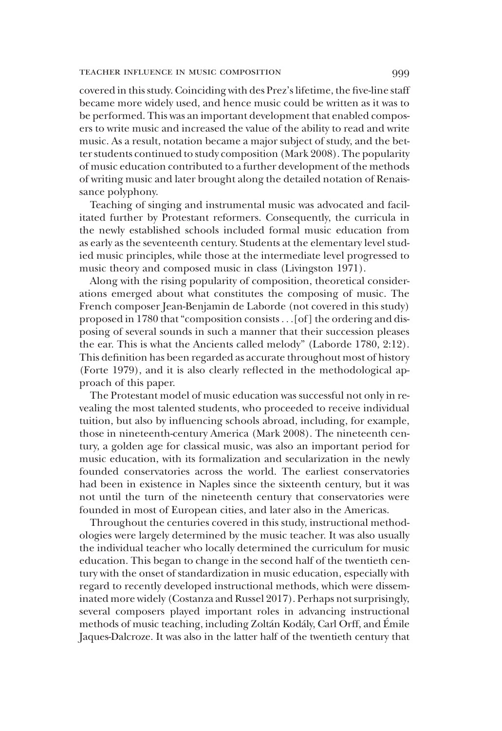### TEACHER INFLUENCE IN MUSIC COMPOSITION 9999

covered in this study. Coinciding with des Prez's lifetime, the five-line staff became more widely used, and hence music could be written as it was to be performed. This was an important development that enabled composers to write music and increased the value of the ability to read and write music. As a result, notation became a major subject of study, and the better students continued to study composition (Mark 2008). The popularity of music education contributed to a further development of the methods of writing music and later brought along the detailed notation of Renaissance polyphony.

Teaching of singing and instrumental music was advocated and facilitated further by Protestant reformers. Consequently, the curricula in the newly established schools included formal music education from as early as the seventeenth century. Students at the elementary level studied music principles, while those at the intermediate level progressed to music theory and composed music in class (Livingston 1971).

Along with the rising popularity of composition, theoretical considerations emerged about what constitutes the composing of music. The French composer Jean-Benjamin de Laborde (not covered in this study) proposed in 1780 that"composition consists ...[of] the ordering and disposing of several sounds in such a manner that their succession pleases the ear. This is what the Ancients called melody" (Laborde 1780, 2:12). This definition has been regarded as accurate throughout most of history (Forte 1979), and it is also clearly reflected in the methodological approach of this paper.

The Protestant model of music education was successful not only in revealing the most talented students, who proceeded to receive individual tuition, but also by influencing schools abroad, including, for example, those in nineteenth-century America (Mark 2008). The nineteenth century, a golden age for classical music, was also an important period for music education, with its formalization and secularization in the newly founded conservatories across the world. The earliest conservatories had been in existence in Naples since the sixteenth century, but it was not until the turn of the nineteenth century that conservatories were founded in most of European cities, and later also in the Americas.

Throughout the centuries covered in this study, instructional methodologies were largely determined by the music teacher. It was also usually the individual teacher who locally determined the curriculum for music education. This began to change in the second half of the twentieth century with the onset of standardization in music education, especially with regard to recently developed instructional methods, which were disseminated more widely (Costanza and Russel 2017). Perhaps not surprisingly, several composers played important roles in advancing instructional methods of music teaching, including Zoltán Kodály, Carl Orff, and Émile Jaques-Dalcroze. It was also in the latter half of the twentieth century that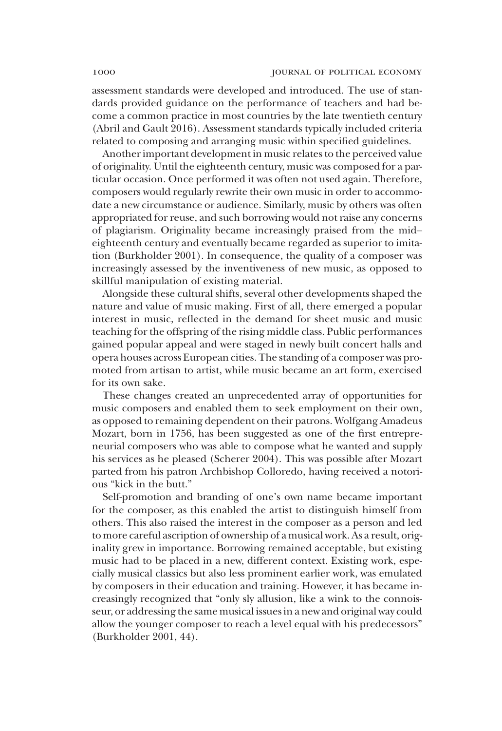assessment standards were developed and introduced. The use of standards provided guidance on the performance of teachers and had become a common practice in most countries by the late twentieth century (Abril and Gault 2016). Assessment standards typically included criteria related to composing and arranging music within specified guidelines.

Another important development in music relates to the perceived value of originality. Until the eighteenth century, music was composed for a particular occasion. Once performed it was often not used again. Therefore, composers would regularly rewrite their own music in order to accommodate a new circumstance or audience. Similarly, music by others was often appropriated for reuse, and such borrowing would not raise any concerns of plagiarism. Originality became increasingly praised from the mid– eighteenth century and eventually became regarded as superior to imitation (Burkholder 2001). In consequence, the quality of a composer was increasingly assessed by the inventiveness of new music, as opposed to skillful manipulation of existing material.

Alongside these cultural shifts, several other developments shaped the nature and value of music making. First of all, there emerged a popular interest in music, reflected in the demand for sheet music and music teaching for the offspring of the rising middle class. Public performances gained popular appeal and were staged in newly built concert halls and opera houses across European cities. The standing of a composer was promoted from artisan to artist, while music became an art form, exercised for its own sake.

These changes created an unprecedented array of opportunities for music composers and enabled them to seek employment on their own, as opposed to remaining dependent on their patrons. Wolfgang Amadeus Mozart, born in 1756, has been suggested as one of the first entrepreneurial composers who was able to compose what he wanted and supply his services as he pleased (Scherer 2004). This was possible after Mozart parted from his patron Archbishop Colloredo, having received a notorious "kick in the butt."

Self-promotion and branding of one's own name became important for the composer, as this enabled the artist to distinguish himself from others. This also raised the interest in the composer as a person and led to more careful ascription of ownership of a musical work. As a result, originality grew in importance. Borrowing remained acceptable, but existing music had to be placed in a new, different context. Existing work, especially musical classics but also less prominent earlier work, was emulated by composers in their education and training. However, it has became increasingly recognized that "only sly allusion, like a wink to the connoisseur, or addressing the same musical issues in a new and original way could allow the younger composer to reach a level equal with his predecessors" (Burkholder 2001, 44).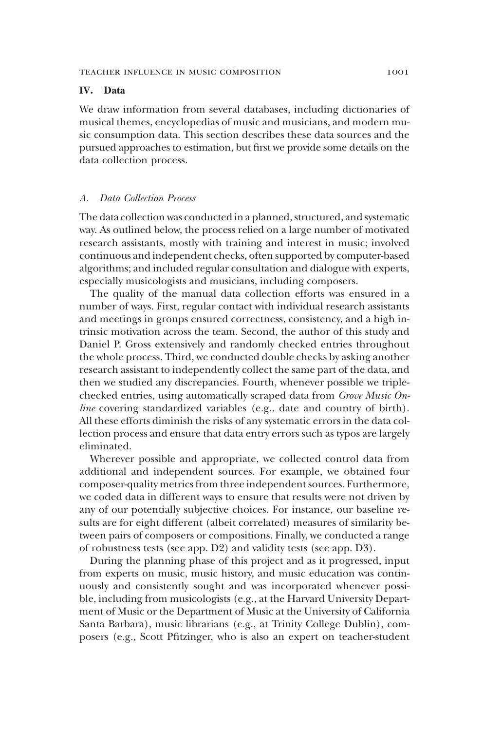# IV. Data

We draw information from several databases, including dictionaries of musical themes, encyclopedias of music and musicians, and modern music consumption data. This section describes these data sources and the pursued approaches to estimation, but first we provide some details on the data collection process.

### A. Data Collection Process

The data collection was conducted in a planned, structured, and systematic way. As outlined below, the process relied on a large number of motivated research assistants, mostly with training and interest in music; involved continuous and independent checks, often supported by computer-based algorithms; and included regular consultation and dialogue with experts, especially musicologists and musicians, including composers.

The quality of the manual data collection efforts was ensured in a number of ways. First, regular contact with individual research assistants and meetings in groups ensured correctness, consistency, and a high intrinsic motivation across the team. Second, the author of this study and Daniel P. Gross extensively and randomly checked entries throughout the whole process. Third, we conducted double checks by asking another research assistant to independently collect the same part of the data, and then we studied any discrepancies. Fourth, whenever possible we triplechecked entries, using automatically scraped data from Grove Music Online covering standardized variables (e.g., date and country of birth). All these efforts diminish the risks of any systematic errors in the data collection process and ensure that data entry errors such as typos are largely eliminated.

Wherever possible and appropriate, we collected control data from additional and independent sources. For example, we obtained four composer-quality metrics from three independent sources. Furthermore, we coded data in different ways to ensure that results were not driven by any of our potentially subjective choices. For instance, our baseline results are for eight different (albeit correlated) measures of similarity between pairs of composers or compositions. Finally, we conducted a range of robustness tests (see app. D2) and validity tests (see app. D3).

During the planning phase of this project and as it progressed, input from experts on music, music history, and music education was continuously and consistently sought and was incorporated whenever possible, including from musicologists (e.g., at the Harvard University Department of Music or the Department of Music at the University of California Santa Barbara), music librarians (e.g., at Trinity College Dublin), composers (e.g., Scott Pfitzinger, who is also an expert on teacher-student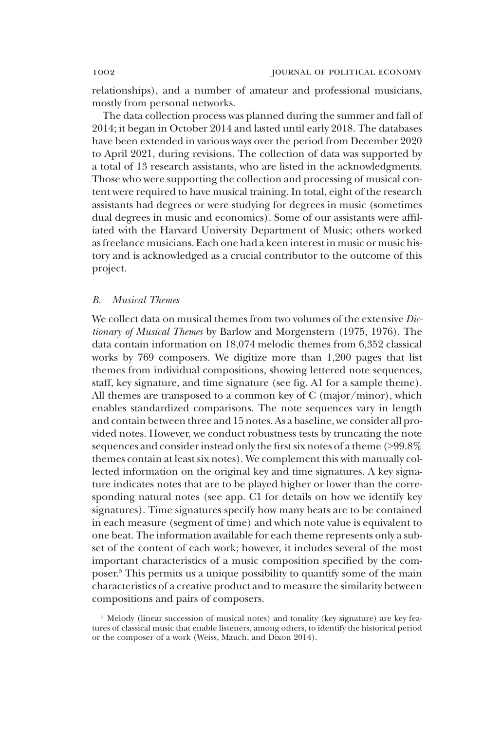relationships), and a number of amateur and professional musicians, mostly from personal networks.

The data collection process was planned during the summer and fall of 2014; it began in October 2014 and lasted until early 2018. The databases have been extended in various ways over the period from December 2020 to April 2021, during revisions. The collection of data was supported by a total of 13 research assistants, who are listed in the acknowledgments. Those who were supporting the collection and processing of musical content were required to have musical training. In total, eight of the research assistants had degrees or were studying for degrees in music (sometimes dual degrees in music and economics). Some of our assistants were affiliated with the Harvard University Department of Music; others worked as freelance musicians. Each one had a keen interest in music or music history and is acknowledged as a crucial contributor to the outcome of this project.

# B. Musical Themes

We collect data on musical themes from two volumes of the extensive Dictionary of Musical Themes by Barlow and Morgenstern (1975, 1976). The data contain information on 18,074 melodic themes from 6,352 classical works by 769 composers. We digitize more than 1,200 pages that list themes from individual compositions, showing lettered note sequences, staff, key signature, and time signature (see fig. A1 for a sample theme). All themes are transposed to a common key of C (major/minor), which enables standardized comparisons. The note sequences vary in length and contain between three and 15 notes. As a baseline, we consider all provided notes. However, we conduct robustness tests by truncating the note sequences and consider instead only the first six notes of a theme (>99.8% themes contain at least six notes). We complement this with manually collected information on the original key and time signatures. A key signature indicates notes that are to be played higher or lower than the corresponding natural notes (see app. C1 for details on how we identify key signatures). Time signatures specify how many beats are to be contained in each measure (segment of time) and which note value is equivalent to one beat. The information available for each theme represents only a subset of the content of each work; however, it includes several of the most important characteristics of a music composition specified by the composer.5 This permits us a unique possibility to quantify some of the main characteristics of a creative product and to measure the similarity between compositions and pairs of composers.

<sup>&</sup>lt;sup>5</sup> Melody (linear succession of musical notes) and tonality (key signature) are key features of classical music that enable listeners, among others, to identify the historical period or the composer of a work (Weiss, Mauch, and Dixon 2014).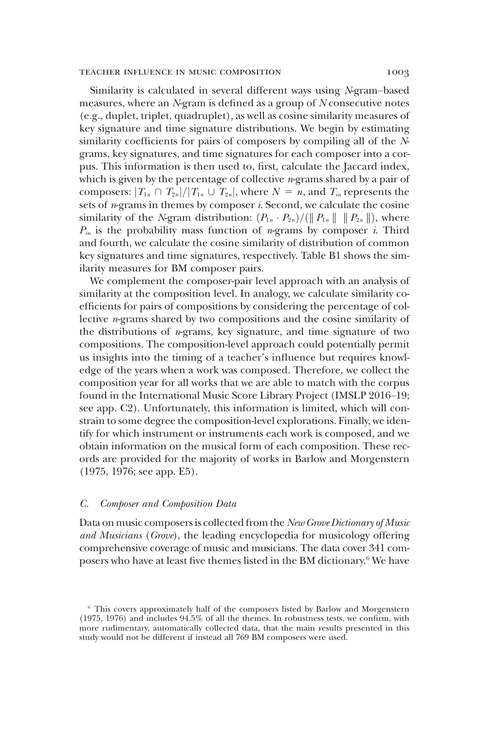### teacher influence in music composition 1003

Similarity is calculated in several different ways using N-gram–based measures, where an N-gram is defined as a group of N consecutive notes (e.g., duplet, triplet, quadruplet), as well as cosine similarity measures of key signature and time signature distributions. We begin by estimating similarity coefficients for pairs of composers by compiling all of the Ngrams, key signatures, and time signatures for each composer into a corpus. This information is then used to, first, calculate the Jaccard index, which is given by the percentage of collective  $n$ -grams shared by a pair of composers:  $|T_{1n} \cap T_{2n}|/|T_{1n} \cup T_{2n}|$ , where  $N = n$ , and  $T_{in}$  represents the sets of  $n$ -grams in themes by composer  $i$ . Second, we calculate the cosine similarity of the N-gram distribution:  $(P_{1n} \cdot P_{2n})/(|| P_{1n} || || P_{2n} ||)$ , where  $P_{in}$  is the probability mass function of *n*-grams by composer *i*. Third and fourth, we calculate the cosine similarity of distribution of common key signatures and time signatures, respectively. Table B1 shows the similarity measures for BM composer pairs.

We complement the composer-pair level approach with an analysis of similarity at the composition level. In analogy, we calculate similarity coefficients for pairs of compositions by considering the percentage of collective  $n$ -grams shared by two compositions and the cosine similarity of the distributions of  $n$ -grams, key signature, and time signature of two compositions. The composition-level approach could potentially permit us insights into the timing of a teacher's influence but requires knowledge of the years when a work was composed. Therefore, we collect the composition year for all works that we are able to match with the corpus found in the International Music Score Library Project (IMSLP 2016–19; see app. C2). Unfortunately, this information is limited, which will constrain to some degree the composition-level explorations. Finally, we identify for which instrument or instruments each work is composed, and we obtain information on the musical form of each composition. These records are provided for the majority of works in Barlow and Morgenstern (1975, 1976; see app. E5).

### C. Composer and Composition Data

Data on music composers is collected from the New Grove Dictionary of Music and Musicians (Grove), the leading encyclopedia for musicology offering comprehensive coverage of music and musicians. The data cover 341 composers who have at least five themes listed in the BM dictionary.<sup>6</sup> We have

<sup>6</sup> This covers approximately half of the composers listed by Barlow and Morgenstern (1975, 1976) and includes 94.5% of all the themes. In robustness tests, we confirm, with more rudimentary, automatically collected data, that the main results presented in this study would not be different if instead all 769 BM composers were used.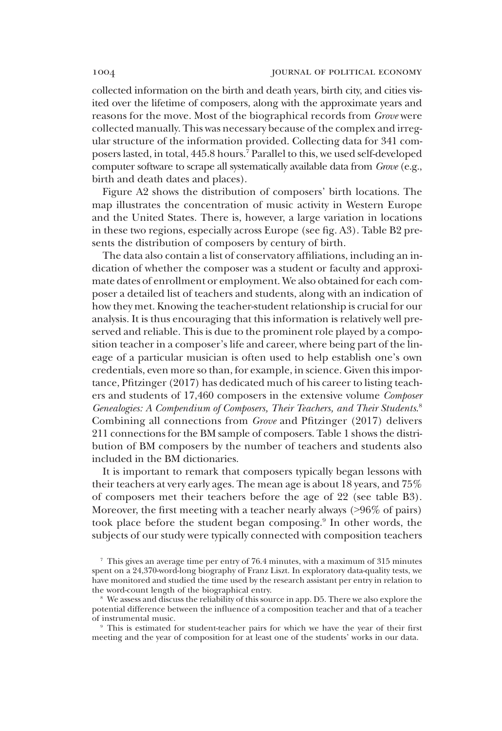collected information on the birth and death years, birth city, and cities visited over the lifetime of composers, along with the approximate years and reasons for the move. Most of the biographical records from Grove were collected manually. This was necessary because of the complex and irregular structure of the information provided. Collecting data for 341 composers lasted, in total, 445.8 hours.7 Parallel to this, we used self-developed computer software to scrape all systematically available data from Grove (e.g., birth and death dates and places).

Figure A2 shows the distribution of composers' birth locations. The map illustrates the concentration of music activity in Western Europe and the United States. There is, however, a large variation in locations in these two regions, especially across Europe (see fig. A3). Table B2 presents the distribution of composers by century of birth.

The data also contain a list of conservatory affiliations, including an indication of whether the composer was a student or faculty and approximate dates of enrollment or employment. We also obtained for each composer a detailed list of teachers and students, along with an indication of how they met. Knowing the teacher-student relationship is crucial for our analysis. It is thus encouraging that this information is relatively well preserved and reliable. This is due to the prominent role played by a composition teacher in a composer's life and career, where being part of the lineage of a particular musician is often used to help establish one's own credentials, even more so than, for example, in science. Given this importance, Pfitzinger (2017) has dedicated much of his career to listing teachers and students of 17,460 composers in the extensive volume Composer Genealogies: A Compendium of Composers, Their Teachers, and Their Students. 8 Combining all connections from Grove and Pfitzinger (2017) delivers 211 connections for the BM sample of composers. Table 1 shows the distribution of BM composers by the number of teachers and students also included in the BM dictionaries.

It is important to remark that composers typically began lessons with their teachers at very early ages. The mean age is about 18 years, and 75% of composers met their teachers before the age of 22 (see table B3). Moreover, the first meeting with a teacher nearly always (>96% of pairs) took place before the student began composing.<sup>9</sup> In other words, the subjects of our study were typically connected with composition teachers

This is estimated for student-teacher pairs for which we have the year of their first meeting and the year of composition for at least one of the students' works in our data.

<sup>7</sup> This gives an average time per entry of 76.4 minutes, with a maximum of 315 minutes spent on a 24,370-word-long biography of Franz Liszt. In exploratory data-quality tests, we have monitored and studied the time used by the research assistant per entry in relation to the word-count length of the biographical entry.

We assess and discuss the reliability of this source in app. D5. There we also explore the potential difference between the influence of a composition teacher and that of a teacher of instrumental music.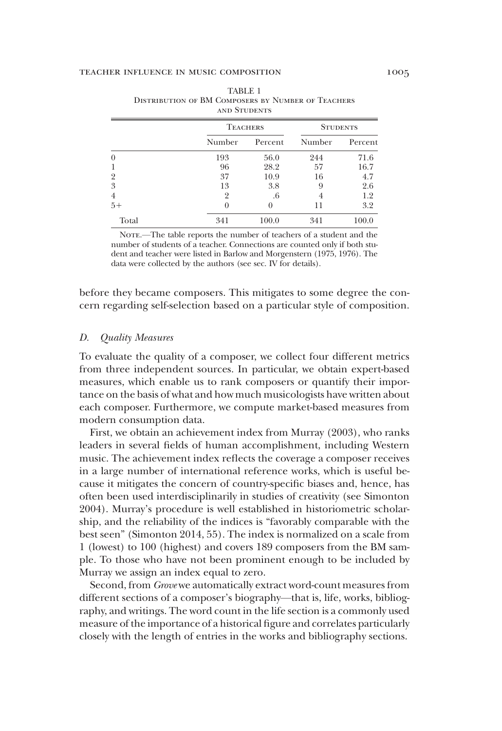|                | AND STUDENTS    |         |                 |         |  |  |
|----------------|-----------------|---------|-----------------|---------|--|--|
|                | <b>TEACHERS</b> |         | <b>STUDENTS</b> |         |  |  |
|                | Number          | Percent | Number          | Percent |  |  |
| 0              | 193             | 56.0    | 244             | 71.6    |  |  |
| 1              | 96              | 28.2    | 57              | 16.7    |  |  |
| $\overline{2}$ | 37              | 10.9    | 16              | 4.7     |  |  |
| 3              | 13              | 3.8     | 9               | 2.6     |  |  |
| 4              |                 | .6      |                 | 1.2     |  |  |
| $5+$           |                 |         | 11              | 3.2     |  |  |
| Total          | 341             | 100.0   | 341             | 100.0   |  |  |

| TABLE 1                                                   |  |  |  |  |  |  |  |  |  |
|-----------------------------------------------------------|--|--|--|--|--|--|--|--|--|
| <b>DISTRIBUTION OF BM COMPOSERS BY NUMBER OF TEACHERS</b> |  |  |  |  |  |  |  |  |  |
| AND STUDENTS                                              |  |  |  |  |  |  |  |  |  |

NOTE.—The table reports the number of teachers of a student and the number of students of a teacher. Connections are counted only if both student and teacher were listed in Barlow and Morgenstern (1975, 1976). The data were collected by the authors (see sec. IV for details).

before they became composers. This mitigates to some degree the concern regarding self-selection based on a particular style of composition.

### D. Quality Measures

To evaluate the quality of a composer, we collect four different metrics from three independent sources. In particular, we obtain expert-based measures, which enable us to rank composers or quantify their importance on the basis of what and how much musicologists have written about each composer. Furthermore, we compute market-based measures from modern consumption data.

First, we obtain an achievement index from Murray (2003), who ranks leaders in several fields of human accomplishment, including Western music. The achievement index reflects the coverage a composer receives in a large number of international reference works, which is useful because it mitigates the concern of country-specific biases and, hence, has often been used interdisciplinarily in studies of creativity (see Simonton 2004). Murray's procedure is well established in historiometric scholarship, and the reliability of the indices is "favorably comparable with the best seen" (Simonton 2014, 55). The index is normalized on a scale from 1 (lowest) to 100 (highest) and covers 189 composers from the BM sample. To those who have not been prominent enough to be included by Murray we assign an index equal to zero.

Second, from Grove we automatically extract word-count measures from different sections of a composer's biography—that is, life, works, bibliography, and writings. The word count in the life section is a commonly used measure of the importance of a historical figure and correlates particularly closely with the length of entries in the works and bibliography sections.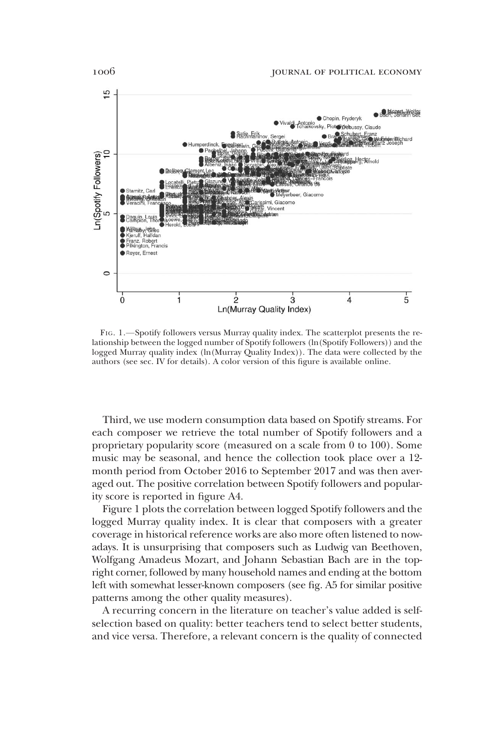

FIG. 1.—Spotify followers versus Murray quality index. The scatterplot presents the relationship between the logged number of Spotify followers (ln(Spotify Followers)) and the logged Murray quality index (ln(Murray Quality Index)). The data were collected by the authors (see sec. IV for details). A color version of this figure is available online.

Third, we use modern consumption data based on Spotify streams. For each composer we retrieve the total number of Spotify followers and a proprietary popularity score (measured on a scale from 0 to 100). Some music may be seasonal, and hence the collection took place over a 12 month period from October 2016 to September 2017 and was then averaged out. The positive correlation between Spotify followers and popularity score is reported in figure A4.

Figure 1 plots the correlation between logged Spotify followers and the logged Murray quality index. It is clear that composers with a greater coverage in historical reference works are also more often listened to nowadays. It is unsurprising that composers such as Ludwig van Beethoven, Wolfgang Amadeus Mozart, and Johann Sebastian Bach are in the topright corner, followed by many household names and ending at the bottom left with somewhat lesser-known composers (see fig. A5 for similar positive patterns among the other quality measures).

A recurring concern in the literature on teacher's value added is selfselection based on quality: better teachers tend to select better students, and vice versa. Therefore, a relevant concern is the quality of connected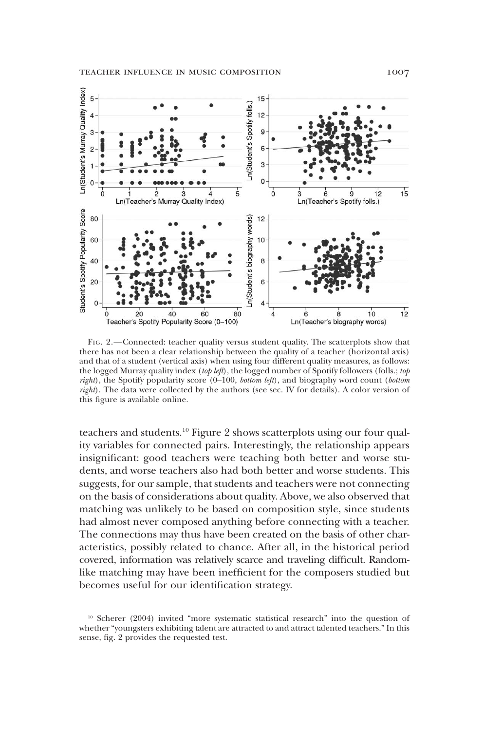

FIG. 2.—Connected: teacher quality versus student quality. The scatterplots show that there has not been a clear relationship between the quality of a teacher (horizontal axis) and that of a student (vertical axis) when using four different quality measures, as follows: the logged Murray quality index (top left), the logged number of Spotify followers (folls.; top right), the Spotify popularity score  $(0-100, bottom \text{ left})$ , and biography word count (bottom right). The data were collected by the authors (see sec. IV for details). A color version of this figure is available online.

teachers and students.<sup>10</sup> Figure 2 shows scatterplots using our four quality variables for connected pairs. Interestingly, the relationship appears insignificant: good teachers were teaching both better and worse students, and worse teachers also had both better and worse students. This suggests, for our sample, that students and teachers were not connecting on the basis of considerations about quality. Above, we also observed that matching was unlikely to be based on composition style, since students had almost never composed anything before connecting with a teacher. The connections may thus have been created on the basis of other characteristics, possibly related to chance. After all, in the historical period covered, information was relatively scarce and traveling difficult. Randomlike matching may have been inefficient for the composers studied but becomes useful for our identification strategy.

<sup>10</sup> Scherer (2004) invited "more systematic statistical research" into the question of whether "youngsters exhibiting talent are attracted to and attract talented teachers." In this sense, fig. 2 provides the requested test.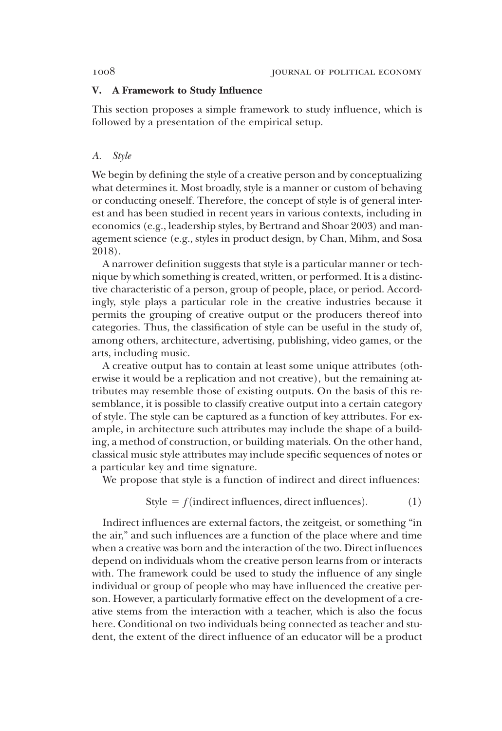# V. A Framework to Study Influence

This section proposes a simple framework to study influence, which is followed by a presentation of the empirical setup.

### A. Style

We begin by defining the style of a creative person and by conceptualizing what determines it. Most broadly, style is a manner or custom of behaving or conducting oneself. Therefore, the concept of style is of general interest and has been studied in recent years in various contexts, including in economics (e.g., leadership styles, by Bertrand and Shoar 2003) and management science (e.g., styles in product design, by Chan, Mihm, and Sosa 2018).

A narrower definition suggests that style is a particular manner or technique by which something is created, written, or performed. It is a distinctive characteristic of a person, group of people, place, or period. Accordingly, style plays a particular role in the creative industries because it permits the grouping of creative output or the producers thereof into categories. Thus, the classification of style can be useful in the study of, among others, architecture, advertising, publishing, video games, or the arts, including music.

A creative output has to contain at least some unique attributes (otherwise it would be a replication and not creative), but the remaining attributes may resemble those of existing outputs. On the basis of this resemblance, it is possible to classify creative output into a certain category of style. The style can be captured as a function of key attributes. For example, in architecture such attributes may include the shape of a building, a method of construction, or building materials. On the other hand, classical music style attributes may include specific sequences of notes or a particular key and time signature.

We propose that style is a function of indirect and direct influences:

$$
Style = f(\text{indirect}\text{ influences}, \text{direct}\text{ influences}).\tag{1}
$$

Indirect influences are external factors, the zeitgeist, or something "in the air," and such influences are a function of the place where and time when a creative was born and the interaction of the two. Direct influences depend on individuals whom the creative person learns from or interacts with. The framework could be used to study the influence of any single individual or group of people who may have influenced the creative person. However, a particularly formative effect on the development of a creative stems from the interaction with a teacher, which is also the focus here. Conditional on two individuals being connected as teacher and student, the extent of the direct influence of an educator will be a product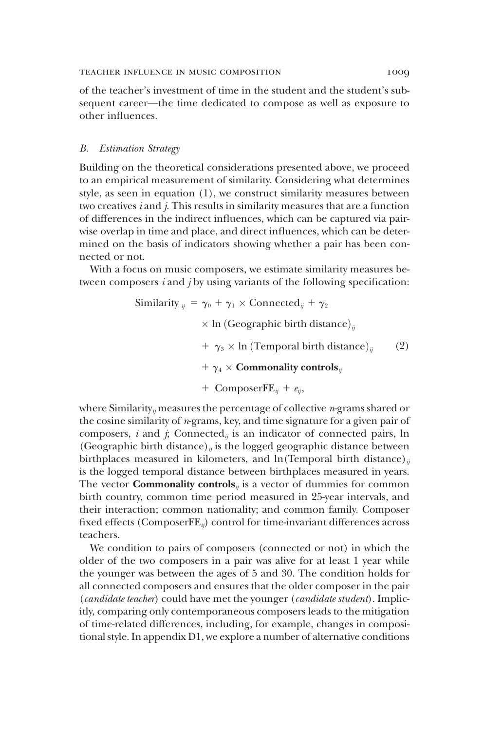of the teacher's investment of time in the student and the student's subsequent career—the time dedicated to compose as well as exposure to other influences.

# B. Estimation Strategy

Building on the theoretical considerations presented above, we proceed to an empirical measurement of similarity. Considering what determines style, as seen in equation (1), we construct similarity measures between two creatives i and j. This results in similarity measures that are a function of differences in the indirect influences, which can be captured via pairwise overlap in time and place, and direct influences, which can be determined on the basis of indicators showing whether a pair has been connected or not.

With a focus on music composers, we estimate similarity measures between composers  $i$  and  $j$  by using variants of the following specification:

Similarly 
$$
_{ij} = \gamma_0 + \gamma_1 \times \text{Connected}_{ij} + \gamma_2
$$
\n $\times \ln \left( \text{Geographic birth distance} \right)_{ij}$ \n $+ \gamma_3 \times \ln \left( \text{Temporal birth distance} \right)_{ij}$ \n $+ \gamma_4 \times \text{Commonality controls}_{ij}$ \n $+ \text{ComposerFE}_{ij} + e_{ij},$ 

where Similarity<sub>*i*</sub> measures the percentage of collective *n*-grams shared or the cosine similarity of  $n$ -grams, key, and time signature for a given pair of composers,  $i$  and  $j$ ; Connected<sub>ij</sub> is an indicator of connected pairs, ln (Geographic birth distance)<sub>*ii*</sub> is the logged geographic distance between birthplaces measured in kilometers, and ln(Temporal birth distance)<sub>ii</sub> is the logged temporal distance between birthplaces measured in years. The vector **Commonality controls**<sub>*ij*</sub> is a vector of dummies for common birth country, common time period measured in 25-year intervals, and their interaction; common nationality; and common family. Composer fixed effects (Composer $FE_{ij}$ ) control for time-invariant differences across teachers.

We condition to pairs of composers (connected or not) in which the older of the two composers in a pair was alive for at least 1 year while the younger was between the ages of 5 and 30. The condition holds for all connected composers and ensures that the older composer in the pair (candidate teacher) could have met the younger (candidate student). Implicitly, comparing only contemporaneous composers leads to the mitigation of time-related differences, including, for example, changes in compositional style. In appendix D1, we explore a number of alternative conditions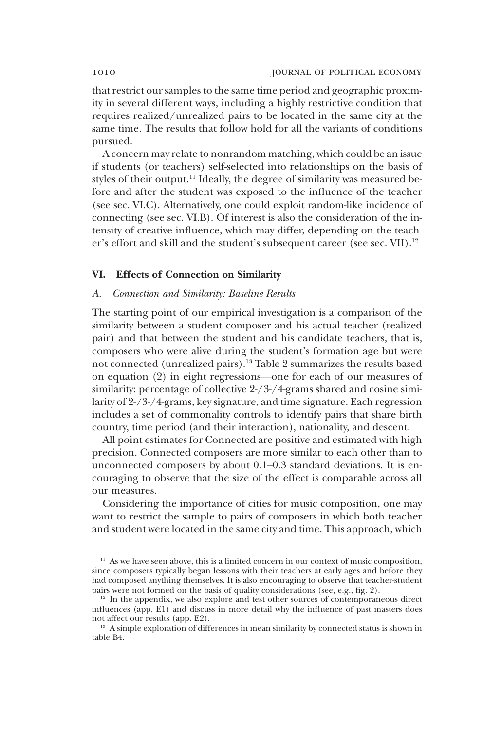that restrict our samples to the same time period and geographic proximity in several different ways, including a highly restrictive condition that requires realized/unrealized pairs to be located in the same city at the same time. The results that follow hold for all the variants of conditions pursued.

A concern may relate to nonrandom matching, which could be an issue if students (or teachers) self-selected into relationships on the basis of styles of their output.<sup>11</sup> Ideally, the degree of similarity was measured before and after the student was exposed to the influence of the teacher (see sec. VI.C). Alternatively, one could exploit random-like incidence of connecting (see sec. VI.B). Of interest is also the consideration of the intensity of creative influence, which may differ, depending on the teacher's effort and skill and the student's subsequent career (see sec. VII).<sup>12</sup>

### VI. Effects of Connection on Similarity

### A. Connection and Similarity: Baseline Results

The starting point of our empirical investigation is a comparison of the similarity between a student composer and his actual teacher (realized pair) and that between the student and his candidate teachers, that is, composers who were alive during the student's formation age but were not connected (unrealized pairs).13 Table 2 summarizes the results based on equation (2) in eight regressions—one for each of our measures of similarity: percentage of collective 2-/3-/4-grams shared and cosine similarity of 2-/3-/4-grams, key signature, and time signature. Each regression includes a set of commonality controls to identify pairs that share birth country, time period (and their interaction), nationality, and descent.

All point estimates for Connected are positive and estimated with high precision. Connected composers are more similar to each other than to unconnected composers by about 0.1–0.3 standard deviations. It is encouraging to observe that the size of the effect is comparable across all our measures.

Considering the importance of cities for music composition, one may want to restrict the sample to pairs of composers in which both teacher and student were located in the same city and time. This approach, which

<sup>&</sup>lt;sup>11</sup> As we have seen above, this is a limited concern in our context of music composition, since composers typically began lessons with their teachers at early ages and before they had composed anything themselves. It is also encouraging to observe that teacher-student pairs were not formed on the basis of quality considerations (see, e.g., fig. 2).

 $12$  In the appendix, we also explore and test other sources of contemporaneous direct influences (app. E1) and discuss in more detail why the influence of past masters does not affect our results (app. E2).

<sup>&</sup>lt;sup>13</sup> A simple exploration of differences in mean similarity by connected status is shown in table B4.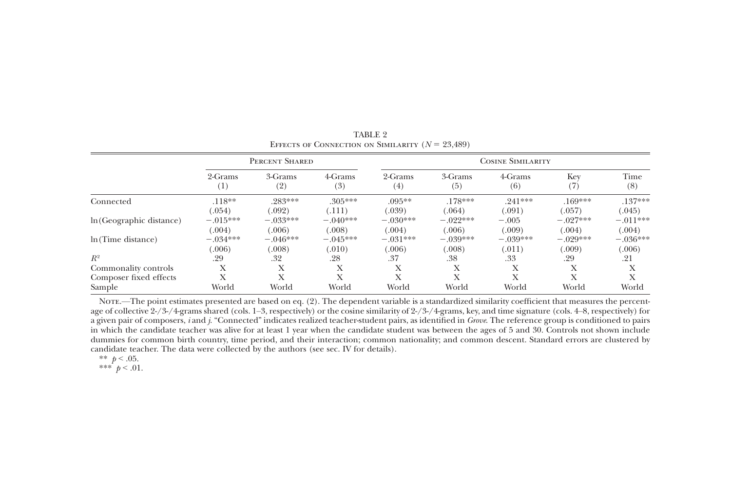|                          |                     | PERCENT SHARED |                |                | <b>COSINE SIMILARITY</b> |                |            |             |  |  |  |
|--------------------------|---------------------|----------------|----------------|----------------|--------------------------|----------------|------------|-------------|--|--|--|
|                          | 2-Grams<br>$^{(1)}$ | 3-Grams<br>(2) | 4-Grams<br>(3) | 2-Grams<br>(4) | 3-Grams<br>(5)           | 4-Grams<br>(6) | Key<br>(7) | Time<br>(8) |  |  |  |
| Connected                | $.118**$            | .283***        | $.305***$      | $.095**$       | $.178***$                | $.241***$      | $.169***$  | $.137***$   |  |  |  |
|                          | (.054)              | (.092)         | (.111)         | (.039)         | (.064)                   | (.091)         | (.057)     | (.045)      |  |  |  |
| In (Geographic distance) | $-.015***$          | $-.033***$     | $-.040***$     | $-.030***$     | $-.022***$               | $-.005$        | $-.027***$ | $-.011***$  |  |  |  |
|                          | (.004)              | (.006)         | (.008)         | (.004)         | (.006)                   | (.009)         | (.004)     | (.004)      |  |  |  |
| ln(Time distance)        | $-.034***$          | $-.046***$     | $-.045***$     | $-.031***$     | $-.039***$               | $-.039***$     | $-.029***$ | $-.036***$  |  |  |  |
|                          | (.006)              | (.008)         | (.010)         | (.006)         | (.008)                   | (.011)         | (.009)     | (.006)      |  |  |  |
| $R^2$                    | .29                 | .32            | .28            | .37            | .38                      | .33            | .29        | .21         |  |  |  |
| Commonality controls     | Х                   | X              | X              | л              | Х                        | Х              | X          | Х           |  |  |  |
| Composer fixed effects   | Х                   | X              | X              | v<br>$\lambda$ | Х                        | Х              | X          | X           |  |  |  |
| Sample                   | World               | World          | World          | World          | World                    | World          | World      | World       |  |  |  |

TABLE 2EFFECTS OF CONNECTION ON SIMILARITY  $(N = 23,489)$ 

Note.—The point estimates presented are based on eq. (2). The dependent variable is <sup>a</sup> standardized similarity coefficient that measures the percentage of collective 2-/3-/4-grams shared (cols. 1–3, respectively) or the cosine similarity of 2-/3-/4-grams, key, and time signature (cols. 4–8, respectively) for a given pair of composers, i and j. "Connected" indicates realized teacher-student pairs, as identified in Grove. The reference group is conditioned to pairs in which the candidate teacher was alive for at least 1 year when the candidate student was between the ages of 5 and 30. Controls not shown include dummies for common birth country, time period, and their interaction; common nationality; and common descent. Standard errors are clustered by candidate teacher. The data were collected by the authors (see sec. IV for details).

\*\*  $p < .05$ .

\*\*\*  $p < .01$ .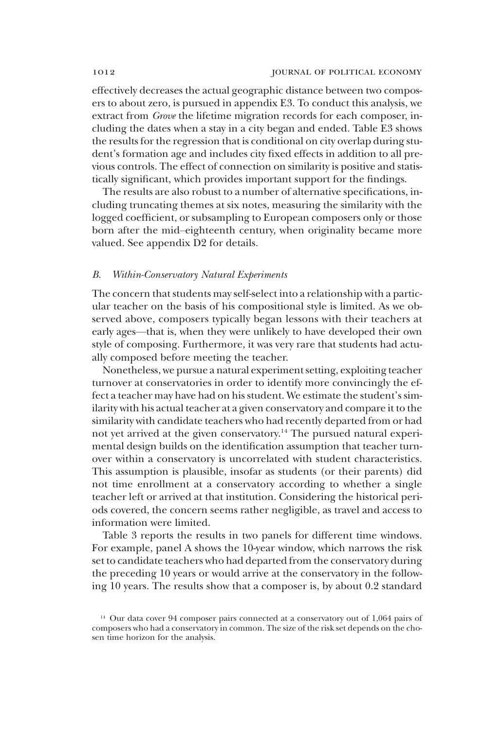effectively decreases the actual geographic distance between two composers to about zero, is pursued in appendix E3. To conduct this analysis, we extract from Grove the lifetime migration records for each composer, including the dates when a stay in a city began and ended. Table E3 shows the results for the regression that is conditional on city overlap during student's formation age and includes city fixed effects in addition to all previous controls. The effect of connection on similarity is positive and statistically significant, which provides important support for the findings.

The results are also robust to a number of alternative specifications, including truncating themes at six notes, measuring the similarity with the logged coefficient, or subsampling to European composers only or those born after the mid–eighteenth century, when originality became more valued. See appendix D2 for details.

### B. Within-Conservatory Natural Experiments

The concern that students may self-select into a relationship with a particular teacher on the basis of his compositional style is limited. As we observed above, composers typically began lessons with their teachers at early ages—that is, when they were unlikely to have developed their own style of composing. Furthermore, it was very rare that students had actually composed before meeting the teacher.

Nonetheless, we pursue a natural experiment setting, exploiting teacher turnover at conservatories in order to identify more convincingly the effect a teacher may have had on his student. We estimate the student's similarity with his actual teacher at a given conservatory and compare it to the similarity with candidate teachers who had recently departed from or had not yet arrived at the given conservatory.<sup>14</sup> The pursued natural experimental design builds on the identification assumption that teacher turnover within a conservatory is uncorrelated with student characteristics. This assumption is plausible, insofar as students (or their parents) did not time enrollment at a conservatory according to whether a single teacher left or arrived at that institution. Considering the historical periods covered, the concern seems rather negligible, as travel and access to information were limited.

Table 3 reports the results in two panels for different time windows. For example, panel A shows the 10-year window, which narrows the risk set to candidate teachers who had departed from the conservatory during the preceding 10 years or would arrive at the conservatory in the following 10 years. The results show that a composer is, by about 0.2 standard

<sup>&</sup>lt;sup>14</sup> Our data cover 94 composer pairs connected at a conservatory out of 1,064 pairs of composers who had a conservatory in common. The size of the risk set depends on the chosen time horizon for the analysis.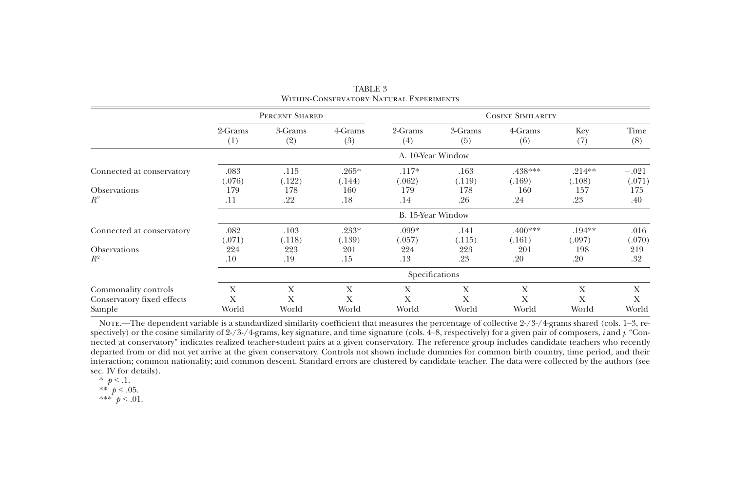|                            |         | PERCENT SHARED    |         |                   |         | <b>COSINE SIMILARITY</b> |           |         |  |  |  |
|----------------------------|---------|-------------------|---------|-------------------|---------|--------------------------|-----------|---------|--|--|--|
|                            | 2-Grams | 3-Grams           | 4-Grams | 2-Grams           | 3-Grams | 4-Grams                  | Key       | Time    |  |  |  |
|                            | (1)     | (2)               | (3)     | (4)               | (5)     | (6)                      | (7)       | (8)     |  |  |  |
|                            |         | A. 10-Year Window |         |                   |         |                          |           |         |  |  |  |
| Connected at conservatory  | .083    | .115              | $.265*$ | $.117*$           | .163    | .438***                  | $.214**$  | $-.021$ |  |  |  |
|                            | (.076)  | (.122)            | (.144)  | (.062)            | (.119)  | (.169)                   | (.108)    | (.071)  |  |  |  |
| <b>Observations</b>        | 179     | 178               | 160     | 179               | 178     | 160                      | 157       | 175     |  |  |  |
| $R^2$                      | .11     | .22               | .18     | .14               | .26     | .24                      | .23       | .40     |  |  |  |
|                            |         |                   |         | B. 15-Year Window |         |                          |           |         |  |  |  |
| Connected at conservatory  | .082    | .103              | $.233*$ | .099*             | .141    | $.400***$                | $.194***$ | .016    |  |  |  |
|                            | (.071)  | (.118)            | (.139)  | (.057)            | (.115)  | (.161)                   | (.097)    | (.070)  |  |  |  |
| <b>Observations</b>        | 224     | 223               | 201     | 224               | 223     | 201                      | 198       | 219     |  |  |  |
| $R^2$                      | .10     | .19               | .15     | .13               | .23     | .20                      | .20       | .32     |  |  |  |
|                            |         |                   |         | Specifications    |         |                          |           |         |  |  |  |
| Commonality controls       | X       | X                 | X       | X                 | X       | X                        | X         | X       |  |  |  |
| Conservatory fixed effects | Х       | Х                 | Х       | Х                 | Х       | Х                        | Х         | X       |  |  |  |
| Sample                     | World   | World             | World   | World             | World   | World                    | World     | World   |  |  |  |

TABLE 3Within-Conservatory Natural Experiments

Nore.—The dependent variable is a standardized similarity coefficient that measures the percentage of collective 2-/3-/4-grams shared (cols. 1–3, respectively) or the cosine similarity of 2-/3-/4-grams, key signature, and time signature (cols. 4–8, respectively) for <sup>a</sup> given pair of composers, <sup>i</sup> and j. "Connected at conservatory" indicates realized teacher-student pairs at <sup>a</sup> given conservatory. The reference group includes candidate teachers who recently departed from or did not ye<sup>t</sup> arrive at the given conservatory. Controls not shown include dummies for common birth country, time period, and their interaction; common nationality; and common descent. Standard errors are clustered by candidate teacher. The data were collected by the authors (see sec. IV for details).

\*\*  $p < .05$ .

\*\*\*  $p < .01$ .

<sup>\*</sup>  $p < 1$ .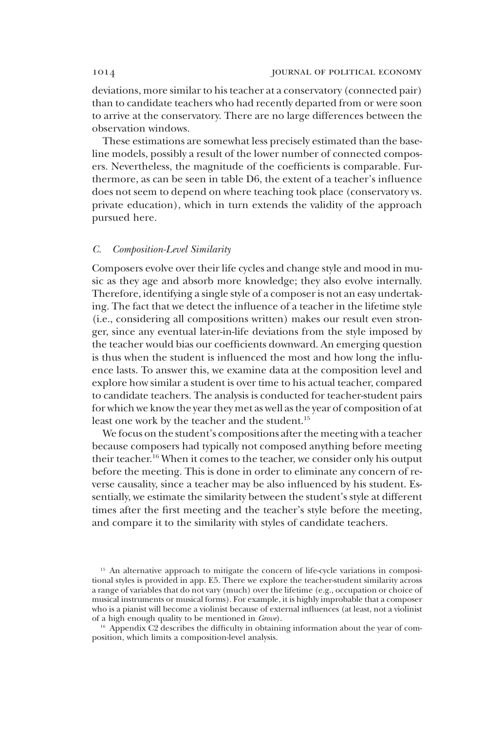deviations, more similar to his teacher at a conservatory (connected pair) than to candidate teachers who had recently departed from or were soon to arrive at the conservatory. There are no large differences between the observation windows.

These estimations are somewhat less precisely estimated than the baseline models, possibly a result of the lower number of connected composers. Nevertheless, the magnitude of the coefficients is comparable. Furthermore, as can be seen in table D6, the extent of a teacher's influence does not seem to depend on where teaching took place (conservatory vs. private education), which in turn extends the validity of the approach pursued here.

# C. Composition-Level Similarity

Composers evolve over their life cycles and change style and mood in music as they age and absorb more knowledge; they also evolve internally. Therefore, identifying a single style of a composer is not an easy undertaking. The fact that we detect the influence of a teacher in the lifetime style (i.e., considering all compositions written) makes our result even stronger, since any eventual later-in-life deviations from the style imposed by the teacher would bias our coefficients downward. An emerging question is thus when the student is influenced the most and how long the influence lasts. To answer this, we examine data at the composition level and explore how similar a student is over time to his actual teacher, compared to candidate teachers. The analysis is conducted for teacher-student pairs for which we know the year they met as well as the year of composition of at least one work by the teacher and the student.<sup>15</sup>

We focus on the student's compositions after the meeting with a teacher because composers had typically not composed anything before meeting their teacher.16 When it comes to the teacher, we consider only his output before the meeting. This is done in order to eliminate any concern of reverse causality, since a teacher may be also influenced by his student. Essentially, we estimate the similarity between the student's style at different times after the first meeting and the teacher's style before the meeting, and compare it to the similarity with styles of candidate teachers.

<sup>&</sup>lt;sup>15</sup> An alternative approach to mitigate the concern of life-cycle variations in compositional styles is provided in app. E5. There we explore the teacher-student similarity across a range of variables that do not vary (much) over the lifetime (e.g., occupation or choice of musical instruments or musical forms). For example, it is highly improbable that a composer who is a pianist will become a violinist because of external influences (at least, not a violinist of a high enough quality to be mentioned in Grove).

<sup>&</sup>lt;sup>16</sup> Appendix C2 describes the difficulty in obtaining information about the year of composition, which limits a composition-level analysis.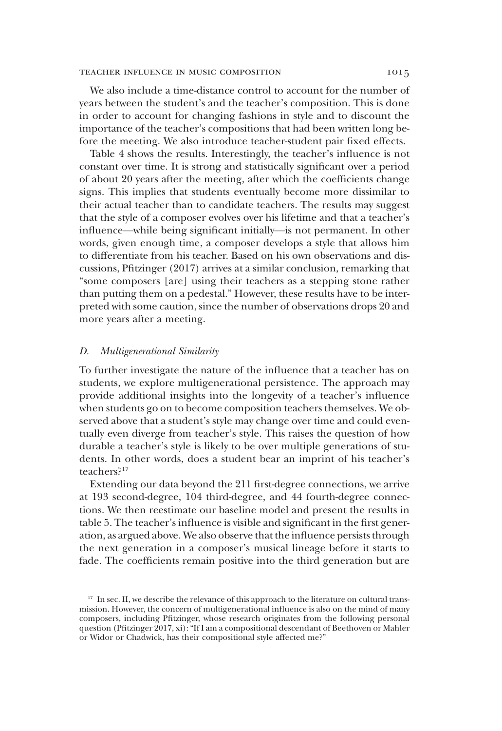### TEACHER INFLUENCE IN MUSIC COMPOSITION 1015

We also include a time-distance control to account for the number of years between the student's and the teacher's composition. This is done in order to account for changing fashions in style and to discount the importance of the teacher's compositions that had been written long before the meeting. We also introduce teacher-student pair fixed effects.

Table 4 shows the results. Interestingly, the teacher's influence is not constant over time. It is strong and statistically significant over a period of about 20 years after the meeting, after which the coefficients change signs. This implies that students eventually become more dissimilar to their actual teacher than to candidate teachers. The results may suggest that the style of a composer evolves over his lifetime and that a teacher's influence—while being significant initially—is not permanent. In other words, given enough time, a composer develops a style that allows him to differentiate from his teacher. Based on his own observations and discussions, Pfitzinger (2017) arrives at a similar conclusion, remarking that "some composers [are] using their teachers as a stepping stone rather than putting them on a pedestal." However, these results have to be interpreted with some caution, since the number of observations drops 20 and more years after a meeting.

### D. Multigenerational Similarity

To further investigate the nature of the influence that a teacher has on students, we explore multigenerational persistence. The approach may provide additional insights into the longevity of a teacher's influence when students go on to become composition teachers themselves. We observed above that a student's style may change over time and could eventually even diverge from teacher's style. This raises the question of how durable a teacher's style is likely to be over multiple generations of students. In other words, does a student bear an imprint of his teacher's teachers?17

Extending our data beyond the 211 first-degree connections, we arrive at 193 second-degree, 104 third-degree, and 44 fourth-degree connections. We then reestimate our baseline model and present the results in table 5. The teacher's influence is visible and significant in the first generation, as argued above. We also observe that the influence persists through the next generation in a composer's musical lineage before it starts to fade. The coefficients remain positive into the third generation but are

<sup>&</sup>lt;sup>17</sup> In sec. II, we describe the relevance of this approach to the literature on cultural transmission. However, the concern of multigenerational influence is also on the mind of many composers, including Pfitzinger, whose research originates from the following personal question (Pfitzinger 2017, xi): "If I am a compositional descendant of Beethoven or Mahler or Widor or Chadwick, has their compositional style affected me?"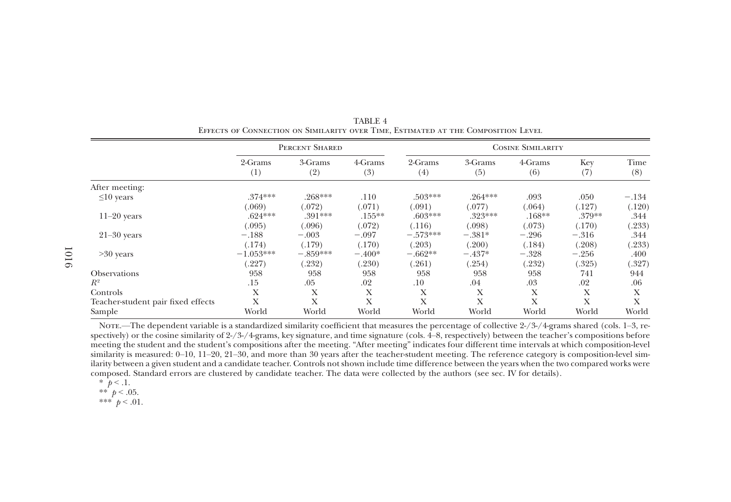|                                    |                | PERCENT SHARED |                |                |                | <b>COSINE SIMILARITY</b> |            |             |
|------------------------------------|----------------|----------------|----------------|----------------|----------------|--------------------------|------------|-------------|
|                                    | 2-Grams<br>(1) | 3-Grams<br>(2) | 4-Grams<br>(3) | 2-Grams<br>(4) | 3-Grams<br>(5) | 4-Grams<br>(6)           | Key<br>(7) | Time<br>(8) |
| After meeting:                     |                |                |                |                |                |                          |            |             |
| $\leq 10$ years                    | $.374***$      | .268***        | .110           | $.503***$      | $.264***$      | .093                     | .050       | $-.134$     |
|                                    | (.069)         | (.072)         | (.071)         | (.091)         | (.077)         | (.064)                   | (.127)     | (.120)      |
| $11-20$ years                      | $.624***$      | $.391***$      | $.155***$      | $.603***$      | $.323***$      | $.168**$                 | .379**     | .344        |
|                                    | (.095)         | (.096)         | (.072)         | (.116)         | (.098)         | (.073)                   | (.170)     | (.233)      |
| $21-30$ years                      | $-.188$        | $-.003$        | $-.097$        | $-.573***$     | $-.381*$       | $-.296$                  | $-.316$    | .344        |
|                                    | (.174)         | (.179)         | (.170)         | (.203)         | (.200)         | (.184)                   | (.208)     | (.233)      |
| $>30$ years                        | $-1.053***$    | $-.859***$     | $-.400*$       | $-.662**$      | $-.437*$       | $-.328$                  | $-.256$    | .400        |
|                                    | (.227)         | (.232)         | (.230)         | (.261)         | (.254)         | (.232)                   | (.325)     | (.327)      |
| <b>Observations</b>                | 958            | 958            | 958            | 958            | 958            | 958                      | 741        | 944         |
| $R^2$                              | .15            | .05            | .02            | .10            | .04            | .03                      | .02        | .06         |
| Controls                           | X              | Χ              | X              | X              | X              | Х                        | Х          | X           |
| Teacher-student pair fixed effects | X              | X              | X              | X              | X              | Х                        | X          | X           |
| Sample                             | World          | World          | World          | World          | World          | World                    | World      | World       |

TABLE 4Effects of Connection on Similarity over Time, Estimated at the Composition Level

Nore.—The dependent variable is a standardized similarity coefficient that measures the percentage of collective  $2\frac{1}{3}$ -/4-grams shared (cols. 1–3, respectively) or the cosine similarity of 2-/3-/4-grams, key signature, and time signature (cols. 4–8, respectively) between the teacher'<sup>s</sup> compositions before meeting the student and the student'<sup>s</sup> compositions after the meeting. "After meeting" indicates four different time intervals at which composition-level similarity is measured: 0–10, 11–20, 21–30, and more than 30 years after the teacher-student meeting. The reference category is composition-level similarity between <sup>a</sup> given student and <sup>a</sup> candidate teacher. Controls not shown include time difference between the years when the two compared works were composed. Standard errors are clustered by candidate teacher. The data were collected by the authors (see sec. IV for details).

\*  $p < 0.1$ .<br>\*\*  $p < 0.05$ .

\*\*\*  $p < .01$ .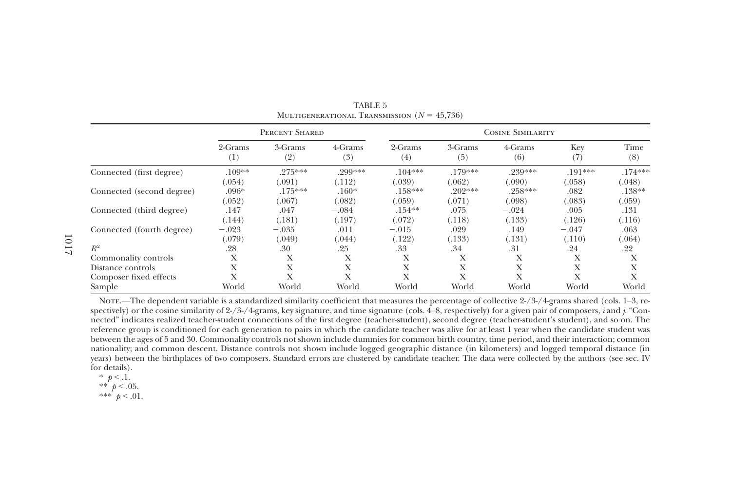|                           |                | PERCENT SHARED      |                   | <b>COSINE SIMILARITY</b> |                     |                   |                |                |
|---------------------------|----------------|---------------------|-------------------|--------------------------|---------------------|-------------------|----------------|----------------|
|                           | 2-Grams        | 3-Grams             | 4-Grams           | 2-Grams                  | 3-Grams             | 4-Grams           | Key            | Time           |
|                           | (1)            | (2)                 | (3)               | (4)                      | (5)                 | (6)               | (7)            | (8)            |
| Connected (first degree)  | $.109**$       | $.275***$           | .299***           | $.104***$                | $.179***$           | .239***           | $.191***$      | $.174***$      |
|                           | (.054)         | (.091)              | (.112)            | (.039)                   | (.062)              | (.090)            | (.058)         | (.048)         |
| Connected (second degree) | $.096*$        | $.175***$<br>(.067) | $.160*$           | $.158***$                | $.202***$<br>(.071) | $.258***$         | .082           | $.138**$       |
| Connected (third degree)  | (.052)<br>.147 | .047                | (.082)<br>$-.084$ | (.059)<br>$.154***$      | .075                | (.098)<br>$-.024$ | (.083)<br>.005 | (.059)<br>.131 |
| Connected (fourth degree) | (.144)         | (.181)              | (.197)            | (.072)                   | (.118)              | (.133)            | (.126)         | (.116)         |
|                           | $-.023$        | $-.035$             | .011              | $-.015$                  | .029                | .149              | $-.047$        | .063           |
| $R^2$                     | (.079)         | (.049)              | (.044)            | (.122)                   | (.133)              | (.131)            | (.110)         | (.064)         |
|                           | .28            | .30                 | .25               | .33                      | .34                 | .31               | .24            | .22            |
| Commonality controls      | X              | X                   | Х                 | Х                        | Х                   | Х                 | Х              | Χ              |
| Distance controls         | Х              | X                   | X                 | X                        | X                   | X                 | Х              | Х              |
| Composer fixed effects    | Х              | X                   | X                 | X                        | X                   | X                 | Х              | X              |
| Sample                    | World          | World               | World             | World                    | World               | World             | World          | World          |

TABLE 5MULTIGENERATIONAL TRANSMISSION  $(N = 45,736)$ 

Note.—The dependent variable is <sup>a</sup> standardized similarity coefficient that measures the percentage of collective 2-/3-/4-grams shared (cols. 1–3, respectively) or the cosine similarity of 2-/3-/4-grams, key signature, and time signature (cols. 4–8, respectively) for <sup>a</sup> given pair of composers, <sup>i</sup> and j. "Connected" indicates realized teacher-student connections of the first degree (teacher-student), second degree (teacher-student'<sup>s</sup> student), and so on. The reference group is conditioned for each generation to pairs in which the candidate teacher was alive for at least 1 year when the candidate student was between the ages of 5 and 30. Commonality controls not shown include dummies for common birth country, time period, and their interaction; common nationality; and common descent. Distance controls not shown include logged geographic distance (in kilometers) and logged temporal distance (in years) between the birthplaces of two composers. Standard errors are clustered by candidate teacher. The data were collected by the authors (see sec. IV for details).

- \*\*  $p < .05$ .
- \*\*\*  $p < .01$ .

<sup>\*</sup>  $p < 1$ .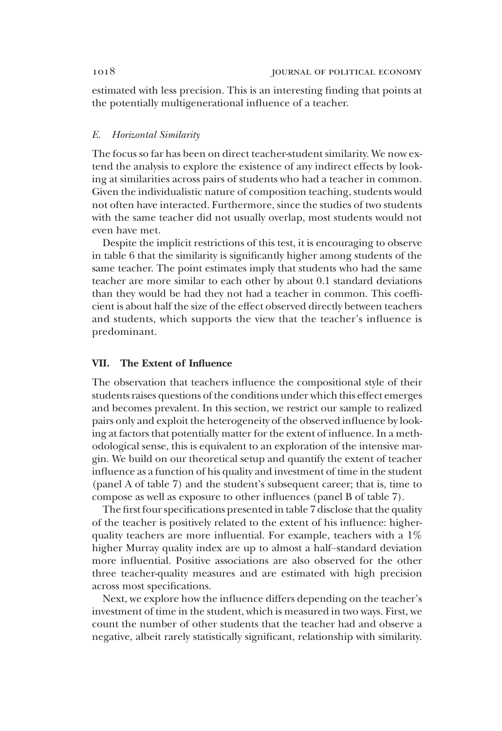estimated with less precision. This is an interesting finding that points at the potentially multigenerational influence of a teacher.

# E. Horizontal Similarity

The focus so far has been on direct teacher-student similarity. We now extend the analysis to explore the existence of any indirect effects by looking at similarities across pairs of students who had a teacher in common. Given the individualistic nature of composition teaching, students would not often have interacted. Furthermore, since the studies of two students with the same teacher did not usually overlap, most students would not even have met.

Despite the implicit restrictions of this test, it is encouraging to observe in table 6 that the similarity is significantly higher among students of the same teacher. The point estimates imply that students who had the same teacher are more similar to each other by about 0.1 standard deviations than they would be had they not had a teacher in common. This coefficient is about half the size of the effect observed directly between teachers and students, which supports the view that the teacher's influence is predominant.

# VII. The Extent of Influence

The observation that teachers influence the compositional style of their students raises questions of the conditions under which this effect emerges and becomes prevalent. In this section, we restrict our sample to realized pairs only and exploit the heterogeneity of the observed influence by looking at factors that potentially matter for the extent of influence. In a methodological sense, this is equivalent to an exploration of the intensive margin. We build on our theoretical setup and quantify the extent of teacher influence as a function of his quality and investment of time in the student (panel A of table 7) and the student's subsequent career; that is, time to compose as well as exposure to other influences (panel B of table 7).

The first four specifications presented in table 7 disclose that the quality of the teacher is positively related to the extent of his influence: higherquality teachers are more influential. For example, teachers with a 1% higher Murray quality index are up to almost a half–standard deviation more influential. Positive associations are also observed for the other three teacher-quality measures and are estimated with high precision across most specifications.

Next, we explore how the influence differs depending on the teacher's investment of time in the student, which is measured in two ways. First, we count the number of other students that the teacher had and observe a negative, albeit rarely statistically significant, relationship with similarity.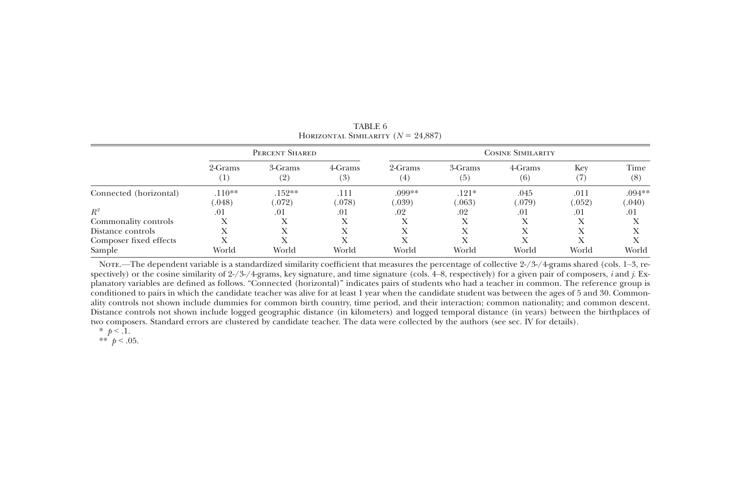|                        |                             | PERCENT SHARED    |                | <b>COSINE SIMILARITY</b> |                              |                |                      |                    |  |
|------------------------|-----------------------------|-------------------|----------------|--------------------------|------------------------------|----------------|----------------------|--------------------|--|
|                        | 2-Grams<br>$\left(1\right)$ | 3-Grams<br>(2)    | 4-Grams<br>(3) | 2-Grams<br>$^{(4)}$      | 3-Grams<br>$\left( 5\right)$ | 4-Grams<br>(6) | Key<br>$\mathcal{I}$ | Time<br>(8)        |  |
| Connected (horizontal) | $.110**$<br>.048)           | $.152**$<br>(072) | .111<br>(.078) | .099**<br>.039)          | $.121*$<br>063               | .045<br>(.079) | .011<br>(.052)       | $.094**$<br>(.040) |  |
| $R^2$                  | .01                         | .01               | .01            | .02                      | .02                          | .01            | .01                  | .01                |  |
| Commonality controls   |                             |                   |                |                          |                              |                | Х                    |                    |  |
| Distance controls      |                             |                   |                |                          | X                            | Х              | Х                    |                    |  |
| Composer fixed effects |                             |                   |                |                          |                              | Х              |                      |                    |  |
| Sample                 | World                       | World             | World          | World                    | World                        | World          | World                | World              |  |

TABLE 6HORIZONTAL SIMILARITY  $(N = 24,887)$ 

Nore.—The dependent variable is a standardized similarity coefficient that measures the percentage of collective 2-/3-/4-grams shared (cols. 1–3, respectively) or the cosine similarity of 2-/3-/4-grams, key signature, and time signature (cols. 4–8, respectively) for a given pair of composers, *i* and *j*. Explanatory variables are defined as follows. "Connected (horizontal)" indicates pairs of students who had <sup>a</sup> teacher in common. The reference group is conditioned to pairs in which the candidate teacher was alive for at least 1 year when the candidate student was between the ages of 5 and 30. Commonality controls not shown include dummies for common birth country, time period, and their interaction; common nationality; and common descent. Distance controls not shown include logged geographic distance (in kilometers) and logged temporal distance (in years) between the birthplaces of two composers. Standard errors are clustered by candidate teacher. The data were collected by the authors (see sec. IV for details).

\*  $p < 1$ .

\*\*  $p < .05$ .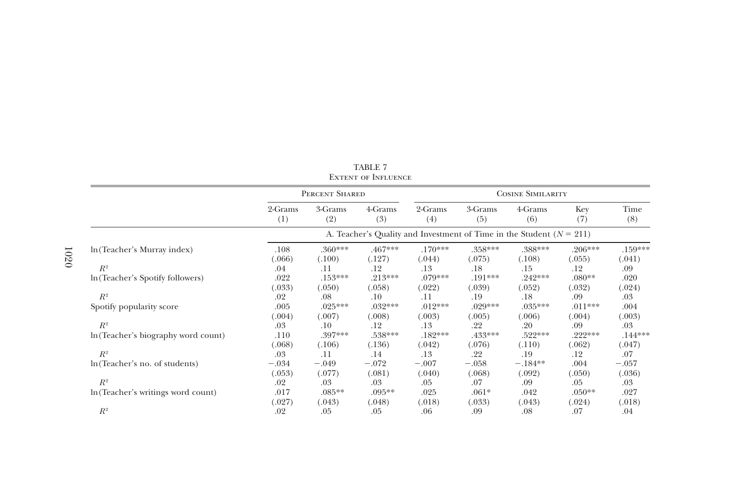|                                     |                                                                          |                     | LAIEN I OF INFLUENCE |                     |                          |                     |                     |                     |  |  |
|-------------------------------------|--------------------------------------------------------------------------|---------------------|----------------------|---------------------|--------------------------|---------------------|---------------------|---------------------|--|--|
|                                     |                                                                          | PERCENT SHARED      |                      |                     | <b>COSINE SIMILARITY</b> |                     |                     |                     |  |  |
|                                     | 2-Grams<br>(1)                                                           | 3-Grams<br>(2)      | 4-Grams<br>(3)       | 2-Grams<br>(4)      | 3-Grams<br>(5)           | 4-Grams<br>(6)      | Key<br>(7)          | Time<br>(8)         |  |  |
|                                     | A. Teacher's Quality and Investment of Time in the Student ( $N = 211$ ) |                     |                      |                     |                          |                     |                     |                     |  |  |
| In (Teacher's Murray index)         | .108<br>(.066)                                                           | $.360***$<br>(.100) | $.467***$<br>(.127)  | $.170***$<br>(.044) | $.358***$<br>(.075)      | .388***<br>(.108)   | $.206***$<br>(.055) | $.159***$<br>(.041) |  |  |
| $R^2$                               | .04                                                                      | .11                 | .12                  | .13                 | .18                      | .15                 | .12                 | .09                 |  |  |
| In (Teacher's Spotify followers)    | .022<br>(.033)                                                           | $.153***$<br>(.050) | $.213***$<br>(.058)  | $.079***$<br>(.022) | $.191***$<br>(.039)      | $.242***$<br>(.052) | $.080**$<br>(.032)  | .020<br>(.024)      |  |  |
| $R^2$                               | .02                                                                      | .08                 | $.10\,$              | .11                 | .19                      | .18                 | .09                 | .03                 |  |  |
| Spotify popularity score            | .005                                                                     | $.025***$           | $.032***$            | $.012***$           | $.029***$                | $.035***$           | $.011***$           | .004                |  |  |
|                                     | (.004)                                                                   | (.007)              | (.008)               | (.003)              | (.005)                   | (.006)              | (.004)              | (.003)              |  |  |
| $R^2$                               | .03                                                                      | .10                 | .12                  | .13                 | .22                      | .20                 | .09                 | .03                 |  |  |
| In (Teacher's biography word count) | .110<br>(.068)                                                           | .397***<br>(.106)   | $.538***$<br>(.136)  | $.182***$<br>(.042) | .433***<br>(.076)        | $.522***$<br>(.110) | $.222***$<br>(.062) | $.144***$<br>(.047) |  |  |
| $R^2$                               | .03                                                                      | .11                 | .14                  | .13                 | .22                      | .19                 | .12                 | .07                 |  |  |
| ln (Teacher's no. of students)      | $-.034$                                                                  | $-.049$             | $-.072$              | $-.007$             | $-.058$                  | $-.184**$           | .004                | $-.057$             |  |  |
|                                     | (.053)                                                                   | (.077)              | (.081)               | (.040)              | (.068)                   | (.092)              | (.050)              | (.036)              |  |  |
| $R^2$                               | .02                                                                      | .03                 | .03                  | .05                 | .07                      | .09                 | .05                 | .03                 |  |  |
| In (Teacher's writings word count)  | .017<br>(.027)                                                           | $.085**$<br>(.043)  | $.095**$<br>(.048)   | .025<br>(.018)      | $.061*$<br>(.033)        | .042<br>(.043)      | $.050**$<br>(.024)  | .027<br>(.018)      |  |  |
| $R^2$                               | .02                                                                      | .05                 | .05                  | .06                 | .09                      | .08                 | .07                 | .04                 |  |  |

| TABLE 7 |  |                            |  |  |  |  |  |  |  |
|---------|--|----------------------------|--|--|--|--|--|--|--|
|         |  | <b>EXTENT OF INFLUENCE</b> |  |  |  |  |  |  |  |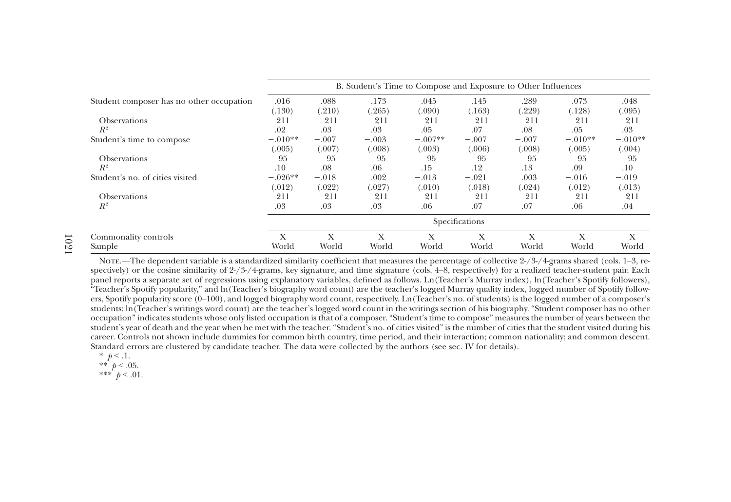|                                          | B. Student's Time to Compose and Exposure to Other Influences |         |         |           |                |         |           |           |  |
|------------------------------------------|---------------------------------------------------------------|---------|---------|-----------|----------------|---------|-----------|-----------|--|
| Student composer has no other occupation | $-.016$                                                       | $-.088$ | $-.173$ | $-.045$   | $-.145$        | $-.289$ | $-.073$   | $-.048$   |  |
|                                          | (130)                                                         | (.210)  | (.265)  | (.090)    | (.163)         | (.229)  | (.128)    | (.095)    |  |
| <b>Observations</b>                      | 211                                                           | 211     | 211     | 211       | 211            | 211     | 211       | 211       |  |
| $R^2$                                    | .02                                                           | .03     | .03     | .05       | .07            | .08     | .05       | .03       |  |
| Student's time to compose                | $-.010**$                                                     | $-.007$ | $-.003$ | $-.007**$ | $-.007$        | $-.007$ | $-.010**$ | $-.010**$ |  |
|                                          | (.005)                                                        | (.007)  | (.008)  | (.003)    | (.006)         | (.008)  | (.005)    | (.004)    |  |
| <b>Observations</b>                      | 95                                                            | 95      | 95      | 95        | 95             | 95      | 95        | 95        |  |
| $R^2$                                    | .10                                                           | .08     | .06     | .15       | .12            | .13     | .09       | $.10\,$   |  |
| Student's no. of cities visited          | $-.026**$                                                     | $-.018$ | .002    | $-.013$   | $-.021$        | .003    | $-.016$   | $-.019$   |  |
|                                          | (.012)                                                        | (.022)  | (.027)  | (.010)    | (.018)         | (.024)  | (.012)    | (.013)    |  |
| <b>Observations</b>                      | 211                                                           | 211     | 211     | 211       | 211            | 211     | 211       | 211       |  |
| $R^2$                                    | .03                                                           | .03     | .03     | .06       | .07            | .07     | .06       | .04       |  |
|                                          |                                                               |         |         |           | Specifications |         |           |           |  |
| Commonality controls                     | X                                                             | X       | X       | X         | X              | Х       | X         | X         |  |
| Sample                                   | World                                                         | World   | World   | World     | World          | World   | World     | World     |  |

Note.—The dependent variable is a standardized similarity coefficient that measures the percentage of collective 2-/3-/4-grams shared (cols. 1–3, respectively) or the cosine similarity of 2-/3-/4-grams, key signature, and time signature (cols. 4–8, respectively) for <sup>a</sup> realized teacher-student pair. Each panel reports <sup>a</sup> separate set of regressions using explanatory variables, defined as follows. Ln(Teacher'<sup>s</sup> Murray index), ln(Teacher'<sup>s</sup> Spotify followers), "Teacher'<sup>s</sup> Spotify popularity," and ln(Teacher'<sup>s</sup> biography word count) are the teacher'<sup>s</sup> logged Murray quality index, logged number of Spotify followers, Spotify popularity score (0–100), and logged biography word count, respectively. Ln(Teacher'<sup>s</sup> no. of students) is the logged number of <sup>a</sup> composer'<sup>s</sup> students; ln(Teacher'<sup>s</sup> writings word count) are the teacher'<sup>s</sup> logged word count in the writings section of his biography. "Student composer has no other occupation" indicates students whose only listed occupation is that of <sup>a</sup> composer. "Student'<sup>s</sup> time to compose" measures the number of years between the student'<sup>s</sup> year of death and the year when he met with the teacher. "Student'<sup>s</sup> no. of cities visited" is the number of cities that the student visited during his career. Controls not shown include dummies for common birth country, time period, and their interaction; common nationality; and common descent. Standard errors are clustered by candidate teacher. The data were collected by the authors (see sec. IV for details).

\*  $p < 1$ . \*\*  $p < .05$ .

$$
***^t p<.01
$$

1021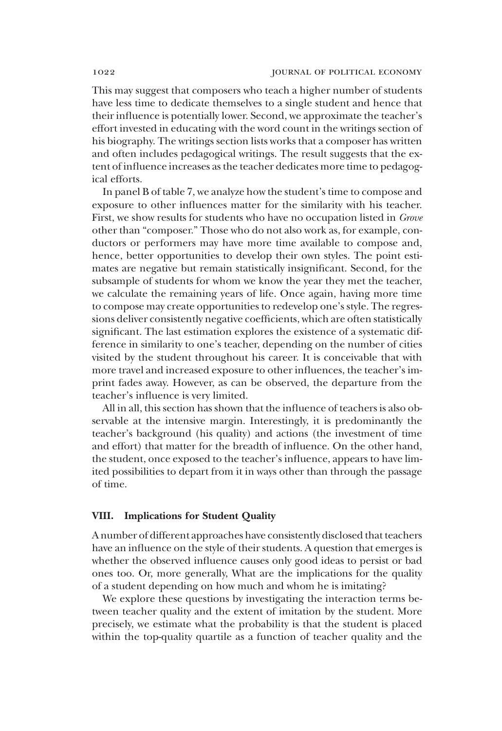This may suggest that composers who teach a higher number of students have less time to dedicate themselves to a single student and hence that their influence is potentially lower. Second, we approximate the teacher's effort invested in educating with the word count in the writings section of his biography. The writings section lists works that a composer has written and often includes pedagogical writings. The result suggests that the extent of influence increases as the teacher dedicates more time to pedagogical efforts.

In panel B of table 7, we analyze how the student's time to compose and exposure to other influences matter for the similarity with his teacher. First, we show results for students who have no occupation listed in Grove other than "composer." Those who do not also work as, for example, conductors or performers may have more time available to compose and, hence, better opportunities to develop their own styles. The point estimates are negative but remain statistically insignificant. Second, for the subsample of students for whom we know the year they met the teacher, we calculate the remaining years of life. Once again, having more time to compose may create opportunities to redevelop one's style. The regressions deliver consistently negative coefficients, which are often statistically significant. The last estimation explores the existence of a systematic difference in similarity to one's teacher, depending on the number of cities visited by the student throughout his career. It is conceivable that with more travel and increased exposure to other influences, the teacher's imprint fades away. However, as can be observed, the departure from the teacher's influence is very limited.

All in all, this section has shown that the influence of teachers is also observable at the intensive margin. Interestingly, it is predominantly the teacher's background (his quality) and actions (the investment of time and effort) that matter for the breadth of influence. On the other hand, the student, once exposed to the teacher's influence, appears to have limited possibilities to depart from it in ways other than through the passage of time.

### VIII. Implications for Student Quality

A number of different approaches have consistently disclosed that teachers have an influence on the style of their students. A question that emerges is whether the observed influence causes only good ideas to persist or bad ones too. Or, more generally, What are the implications for the quality of a student depending on how much and whom he is imitating?

We explore these questions by investigating the interaction terms between teacher quality and the extent of imitation by the student. More precisely, we estimate what the probability is that the student is placed within the top-quality quartile as a function of teacher quality and the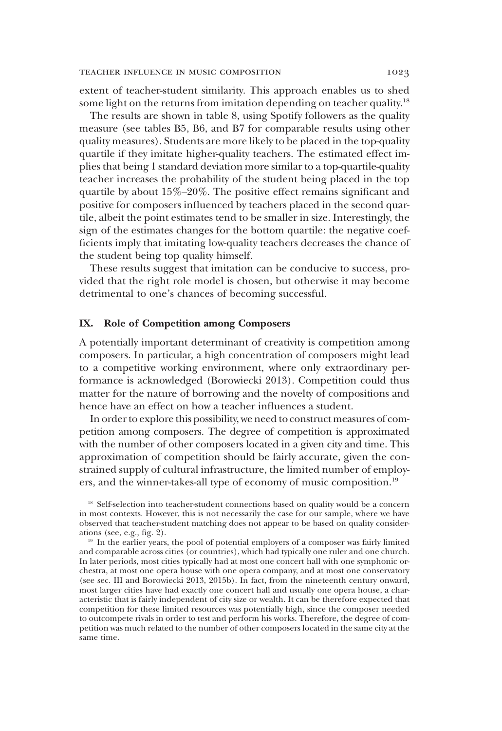extent of teacher-student similarity. This approach enables us to shed some light on the returns from imitation depending on teacher quality.<sup>18</sup>

The results are shown in table 8, using Spotify followers as the quality measure (see tables B5, B6, and B7 for comparable results using other quality measures). Students are more likely to be placed in the top-quality quartile if they imitate higher-quality teachers. The estimated effect implies that being 1 standard deviation more similar to a top-quartile-quality teacher increases the probability of the student being placed in the top quartile by about 15%–20%. The positive effect remains significant and positive for composers influenced by teachers placed in the second quartile, albeit the point estimates tend to be smaller in size. Interestingly, the sign of the estimates changes for the bottom quartile: the negative coefficients imply that imitating low-quality teachers decreases the chance of the student being top quality himself.

These results suggest that imitation can be conducive to success, provided that the right role model is chosen, but otherwise it may become detrimental to one's chances of becoming successful.

# IX. Role of Competition among Composers

A potentially important determinant of creativity is competition among composers. In particular, a high concentration of composers might lead to a competitive working environment, where only extraordinary performance is acknowledged (Borowiecki 2013). Competition could thus matter for the nature of borrowing and the novelty of compositions and hence have an effect on how a teacher influences a student.

In order to explore this possibility, we need to construct measures of competition among composers. The degree of competition is approximated with the number of other composers located in a given city and time. This approximation of competition should be fairly accurate, given the constrained supply of cultural infrastructure, the limited number of employers, and the winner-takes-all type of economy of music composition.19

<sup>&</sup>lt;sup>18</sup> Self-selection into teacher-student connections based on quality would be a concern in most contexts. However, this is not necessarily the case for our sample, where we have observed that teacher-student matching does not appear to be based on quality considerations (see, e.g., fig. 2).

<sup>&</sup>lt;sup>19</sup> In the earlier years, the pool of potential employers of a composer was fairly limited and comparable across cities (or countries), which had typically one ruler and one church. In later periods, most cities typically had at most one concert hall with one symphonic orchestra, at most one opera house with one opera company, and at most one conservatory (see sec. III and Borowiecki 2013, 2015b). In fact, from the nineteenth century onward, most larger cities have had exactly one concert hall and usually one opera house, a characteristic that is fairly independent of city size or wealth. It can be therefore expected that competition for these limited resources was potentially high, since the composer needed to outcompete rivals in order to test and perform his works. Therefore, the degree of competition was much related to the number of other composers located in the same city at the same time.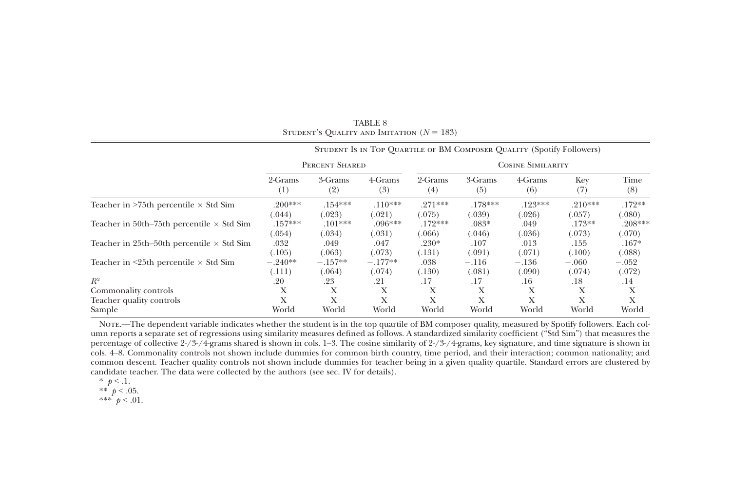|                                                    |                     |                     |                     |                     |                     | STUDENT IS IN TOP QUARTILE OF BM COMPOSER QUALITY (Spotify Followers) |                     |                     |
|----------------------------------------------------|---------------------|---------------------|---------------------|---------------------|---------------------|-----------------------------------------------------------------------|---------------------|---------------------|
|                                                    | PERCENT SHARED      |                     |                     |                     |                     | <b>COSINE SIMILARITY</b>                                              |                     |                     |
|                                                    | 2-Grams<br>(1)      | 3-Grams<br>(2)      | 4-Grams<br>(3)      | 2-Grams<br>(4)      | 3-Grams<br>(5)      | 4-Grams<br>(6)                                                        | Key<br>(7)          | Time<br>(8)         |
| Teacher in $>75$ th percentile $\times$ Std Sim    | $.200***$<br>(.044) | $.154***$<br>(.023) | $.110***$<br>(.021) | $.271***$<br>(.075) | $.178***$<br>(.039) | $.123***$<br>(.026)                                                   | $.210***$<br>(.057) | $.172**$<br>(.080)  |
| Teacher in 50th–75th percentile $\times$ Std Sim   | $.157***$<br>(.054) | $.101***$<br>(.034) | $.096***$<br>(.031) | $.172***$<br>066    | $.083*$<br>(.046)   | .049<br>(.036)                                                        | $.173**$<br>(.073)  | $.208***$<br>(.070) |
| Teacher in 25th–50th percentile $\times$ Std Sim   | .032<br>(.105)      | .049<br>(.063)      | .047<br>(.073)      | $.230*$<br>(.131)   | .107<br>(.091)      | .013<br>(.071)                                                        | .155<br>(.100)      | $.167*$<br>(.088)   |
| Teacher in $\leq$ 25th percentile $\times$ Std Sim | $-.240**$<br>(.111) | $-.157**$<br>(.064) | $-.177**$<br>(.074) | .038<br>(.130)      | $-.116$<br>(.081)   | $-.136$<br>(.090)                                                     | $-.060$<br>(.074)   | $-.052$<br>(.072)   |
| $R^2$                                              | .20                 | .23                 | .21                 | .17                 | .17                 | .16                                                                   | .18                 | .14                 |
| Commonality controls                               | Х                   | Х                   | Х                   | Х                   | X                   | Х                                                                     | Х                   | Х                   |
| Teacher quality controls                           | X                   | Х                   | X                   | Х                   | Х                   | X                                                                     | Х                   | Х                   |
| Sample                                             | World               | World               | World               | World               | World               | World                                                                 | World               | World               |

TABLE 8STUDENT'S QUALITY AND IMITATION  $(N = 183)$ 

Note.—The dependent variable indicates whether the student is in the top quartile of BM composer quality, measured by Spotify followers. Each column reports <sup>a</sup> separate set of regressions using similarity measures defined as follows. A standardized similarity coefficient ("Std Sim") that measures the percentage of collective 2-/3-/4-grams shared is shown in cols. 1–3. The cosine similarity of 2-/3-/4-grams, key signature, and time signature is shown in cols. 4–8. Commonality controls not shown include dummies for common birth country, time period, and their interaction; common nationality; and common descent. Teacher quality controls not shown include dummies for teacher being in <sup>a</sup> given quality quartile. Standard errors are clustered by candidate teacher. The data were collected by the authors (see sec. IV for details).

- \*  $p < 1$ .
- \*\*  $p < .05$ .
- \*\*\*  $p < .01$ .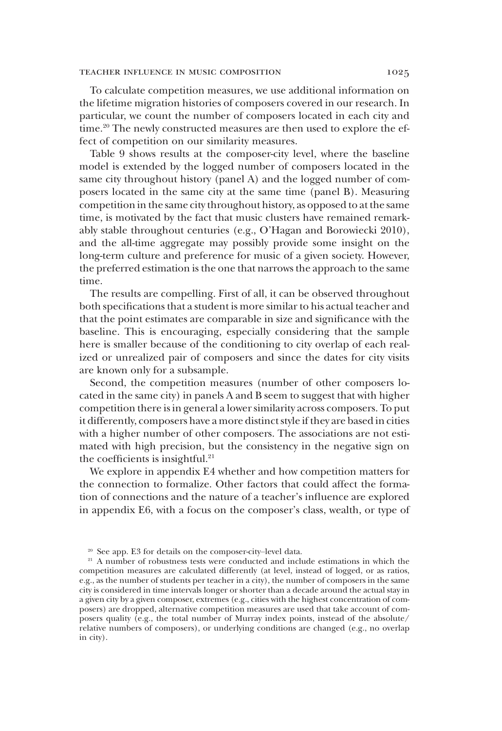### teacher influence in music composition 1025

To calculate competition measures, we use additional information on the lifetime migration histories of composers covered in our research. In particular, we count the number of composers located in each city and time.<sup>20</sup> The newly constructed measures are then used to explore the effect of competition on our similarity measures.

Table 9 shows results at the composer-city level, where the baseline model is extended by the logged number of composers located in the same city throughout history (panel A) and the logged number of composers located in the same city at the same time (panel B). Measuring competition in the same city throughout history, as opposed to at the same time, is motivated by the fact that music clusters have remained remarkably stable throughout centuries (e.g., O'Hagan and Borowiecki 2010), and the all-time aggregate may possibly provide some insight on the long-term culture and preference for music of a given society. However, the preferred estimation is the one that narrows the approach to the same time.

The results are compelling. First of all, it can be observed throughout both specifications that a student is more similar to his actual teacher and that the point estimates are comparable in size and significance with the baseline. This is encouraging, especially considering that the sample here is smaller because of the conditioning to city overlap of each realized or unrealized pair of composers and since the dates for city visits are known only for a subsample.

Second, the competition measures (number of other composers located in the same city) in panels A and B seem to suggest that with higher competition there is in general a lower similarity across composers. To put it differently, composers have a more distinct style if they are based in cities with a higher number of other composers. The associations are not estimated with high precision, but the consistency in the negative sign on the coefficients is insightful.<sup>21</sup>

We explore in appendix E4 whether and how competition matters for the connection to formalize. Other factors that could affect the formation of connections and the nature of a teacher's influence are explored in appendix E6, with a focus on the composer's class, wealth, or type of

<sup>20</sup> See app. E3 for details on the composer-city–level data.

<sup>&</sup>lt;sup>21</sup> A number of robustness tests were conducted and include estimations in which the competition measures are calculated differently (at level, instead of logged, or as ratios, e.g., as the number of students per teacher in a city), the number of composers in the same city is considered in time intervals longer or shorter than a decade around the actual stay in a given city by a given composer, extremes (e.g., cities with the highest concentration of composers) are dropped, alternative competition measures are used that take account of composers quality (e.g., the total number of Murray index points, instead of the absolute/ relative numbers of composers), or underlying conditions are changed (e.g., no overlap in city).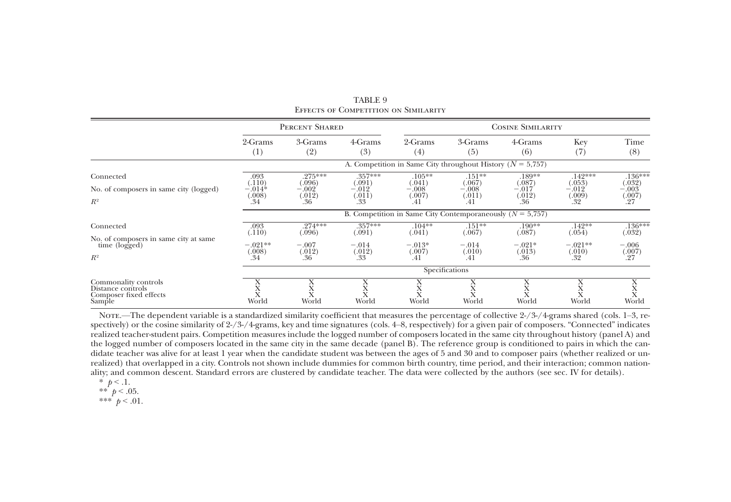|                                                                               |                                             | PERCENT SHARED                                |                                               | <b>COSINE SIMILARITY</b>                                       |                                                |                                              |                                                 |                                                    |
|-------------------------------------------------------------------------------|---------------------------------------------|-----------------------------------------------|-----------------------------------------------|----------------------------------------------------------------|------------------------------------------------|----------------------------------------------|-------------------------------------------------|----------------------------------------------------|
|                                                                               | 2-Grams<br>$^{(1)}$                         | 3-Grams<br>(2)                                | 4-Grams<br>(3)                                | 2-Grams<br>(4)                                                 | 3-Grams<br>(5)                                 | 4-Grams<br>(6)                               | Key<br>(7)                                      | Time<br>(8)                                        |
|                                                                               |                                             |                                               |                                               | A. Competition in Same City throughout History ( $N = 5,757$ ) |                                                |                                              |                                                 |                                                    |
| Connected<br>No. of composers in same city (logged)<br>$R^2$                  | .093<br>(.110)<br>$-.014*$<br>(.008)<br>.34 | .275***<br>(.096)<br>$-.002$<br>(.012)<br>.36 | .357***<br>(.091)<br>$-.012$<br>(.011)<br>.33 | $.105**$<br>(.041)<br>$-.008$<br>(.007)<br>.41                 | $.151**$<br>(.067)<br>$-.008$<br>(.011)<br>.41 | .189**<br>(.087)<br>$-.017$<br>(.012)<br>.36 | $.142***$<br>(.053)<br>$-.012$<br>(.009)<br>.32 | $.136***$<br>(.032)<br>$-.003$<br>$^{(007)}_{.27}$ |
|                                                                               |                                             |                                               |                                               | B. Competition in Same City Contemporaneously $(N = 5,757)$    |                                                |                                              |                                                 |                                                    |
| Connected<br>No. of composers in same city at same                            | .093<br>(.110)                              | $.274***$<br>(.096)                           | .357***<br>(.091)                             | $.104**$<br>(.041)                                             | $.151**$<br>(.067)                             | .190**<br>(.087)                             | $.142**$<br>(.054)                              | .136***<br>(.032)                                  |
| time (logged)<br>$R^2$                                                        | $-.021**$<br>(.008)<br>.34                  | $-.007$<br>(.012)<br>.36                      | $-.014$<br>(.012)<br>.33                      | $-.013*$<br>(.007)<br>.41                                      | $-.014$<br>(.010)<br>.41                       | $-.021*$<br>(.013)<br>.36                    | $-.021**$<br>(.010)<br>.32                      | $-.006$<br>(.007)<br>.27                           |
|                                                                               | Specifications                              |                                               |                                               |                                                                |                                                |                                              |                                                 |                                                    |
| Commonality controls<br>Distance controls<br>Composer fixed effects<br>Sample | л<br>World                                  | World                                         | л<br>World                                    | World                                                          | World                                          | л<br>л<br>World                              | World                                           | л<br>World                                         |

TABLE 9Effects of Competition on Similarity

Nore.—The dependent variable is a standardized similarity coefficient that measures the percentage of collective 2-/3-/4-grams shared (cols. 1–3, respectively) or the cosine similarity of 2-/3-/4-grams, key and time signatures (cols. 4–8, respectively) for <sup>a</sup> given pair of composers. "Connected" indicates realized teacher-student pairs. Competition measures include the logged number of composers located in the same city throughout history (panel A) and the logged number of composers located in the same city in the same decade (panel B). The reference group is conditioned to pairs in which the candidate teacher was alive for at least 1 year when the candidate student was between the ages of 5 and 30 and to composer pairs (whether realized or unrealized) that overlapped in <sup>a</sup> city. Controls not shown include dummies for common birth country, time period, and their interaction; common nationality; and common descent. Standard errors are clustered by candidate teacher. The data were collected by the authors (see sec. IV for details).

$$
\ast
$$
  $p < .1$ .

$$
** \not p < .05
$$

\*\*  $p < .05$ .<br>\*\*\*  $p < .01$ .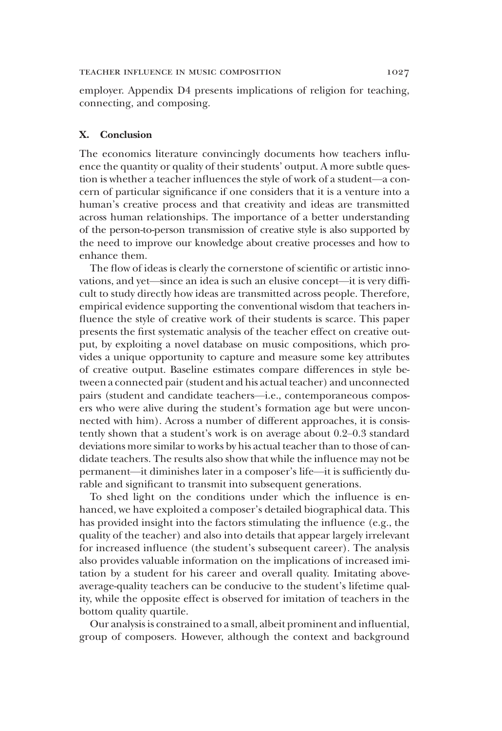## teacher influence in music composition 1027

employer. Appendix D4 presents implications of religion for teaching, connecting, and composing.

# X. Conclusion

The economics literature convincingly documents how teachers influence the quantity or quality of their students' output. A more subtle question is whether a teacher influences the style of work of a student—a concern of particular significance if one considers that it is a venture into a human's creative process and that creativity and ideas are transmitted across human relationships. The importance of a better understanding of the person-to-person transmission of creative style is also supported by the need to improve our knowledge about creative processes and how to enhance them.

The flow of ideas is clearly the cornerstone of scientific or artistic innovations, and yet—since an idea is such an elusive concept—it is very difficult to study directly how ideas are transmitted across people. Therefore, empirical evidence supporting the conventional wisdom that teachers influence the style of creative work of their students is scarce. This paper presents the first systematic analysis of the teacher effect on creative output, by exploiting a novel database on music compositions, which provides a unique opportunity to capture and measure some key attributes of creative output. Baseline estimates compare differences in style between a connected pair (student and his actual teacher) and unconnected pairs (student and candidate teachers—i.e., contemporaneous composers who were alive during the student's formation age but were unconnected with him). Across a number of different approaches, it is consistently shown that a student's work is on average about 0.2–0.3 standard deviations more similar to works by his actual teacher than to those of candidate teachers. The results also show that while the influence may not be permanent—it diminishes later in a composer's life—it is sufficiently durable and significant to transmit into subsequent generations.

To shed light on the conditions under which the influence is enhanced, we have exploited a composer's detailed biographical data. This has provided insight into the factors stimulating the influence (e.g., the quality of the teacher) and also into details that appear largely irrelevant for increased influence (the student's subsequent career). The analysis also provides valuable information on the implications of increased imitation by a student for his career and overall quality. Imitating aboveaverage-quality teachers can be conducive to the student's lifetime quality, while the opposite effect is observed for imitation of teachers in the bottom quality quartile.

Our analysis is constrained to a small, albeit prominent and influential, group of composers. However, although the context and background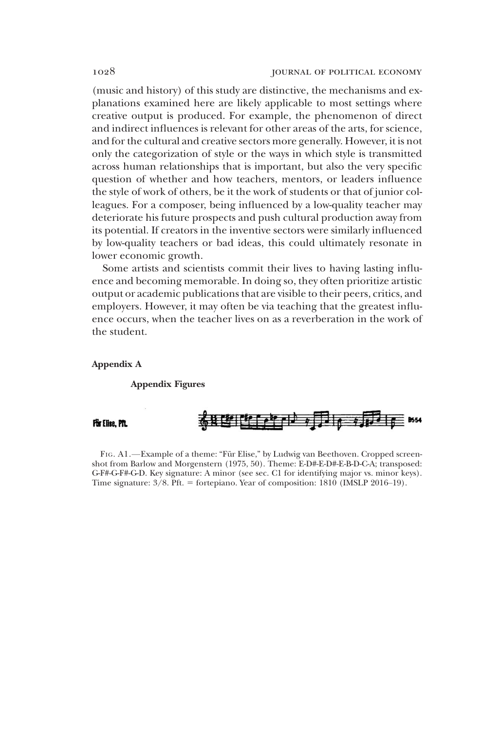(music and history) of this study are distinctive, the mechanisms and explanations examined here are likely applicable to most settings where creative output is produced. For example, the phenomenon of direct and indirect influences is relevant for other areas of the arts, for science, and for the cultural and creative sectors more generally. However, it is not only the categorization of style or the ways in which style is transmitted across human relationships that is important, but also the very specific question of whether and how teachers, mentors, or leaders influence the style of work of others, be it the work of students or that of junior colleagues. For a composer, being influenced by a low-quality teacher may deteriorate his future prospects and push cultural production away from its potential. If creators in the inventive sectors were similarly influenced by low-quality teachers or bad ideas, this could ultimately resonate in lower economic growth.

Some artists and scientists commit their lives to having lasting influence and becoming memorable. In doing so, they often prioritize artistic output or academic publications that are visible to their peers, critics, and employers. However, it may often be via teaching that the greatest influence occurs, when the teacher lives on as a reverberation in the work of the student.

## Appendix A

### Appendix Figures

## Für Elise, PfL



FIG. A1.—Example of a theme: "Für Elise," by Ludwig van Beethoven. Cropped screenshot from Barlow and Morgenstern (1975, 50). Theme: E-D#-E-D#-E-B-D-C-A; transposed: G-F#-G-F#-G-D. Key signature: A minor (see sec. C1 for identifying major vs. minor keys). Time signature:  $3/8$ . Pft. = fortepiano. Year of composition:  $1810$  (IMSLP 2016–19).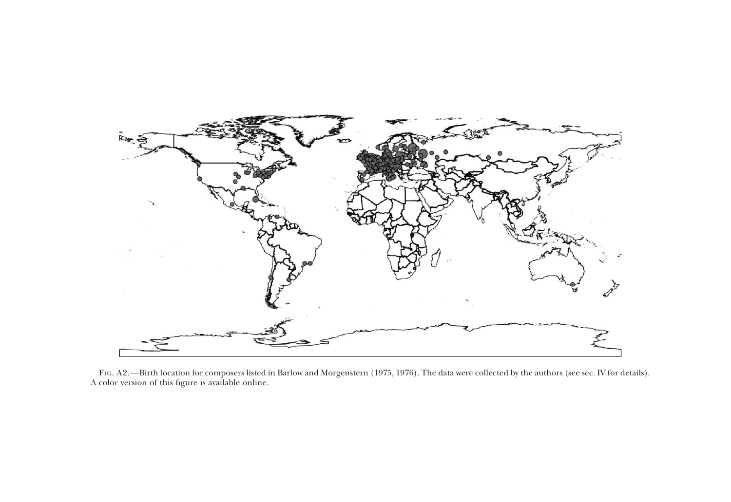

FIG. A2. —Birth location for composers listed in Barlow and Morgenstern (1975, 1976). The data were collected by the authors (see sec. IV for details). A color version of this figure is available online.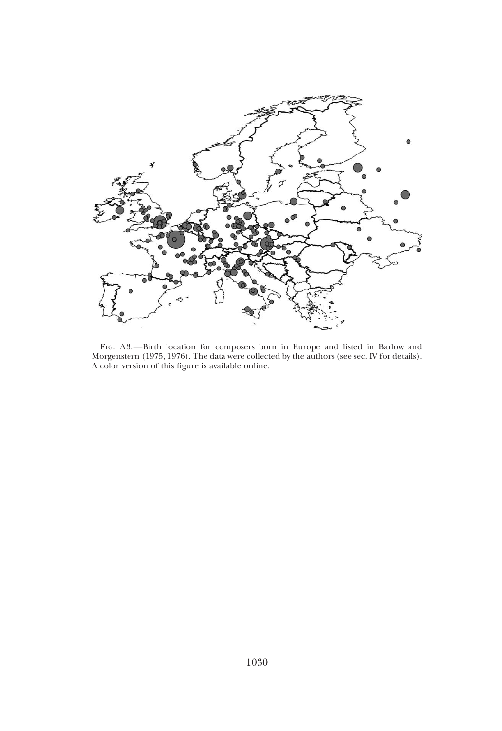

FIG. A3.—Birth location for composers born in Europe and listed in Barlow and Morgenstern (1975, 1976). The data were collected by the authors (see sec. IV for details). A color version of this figure is available online.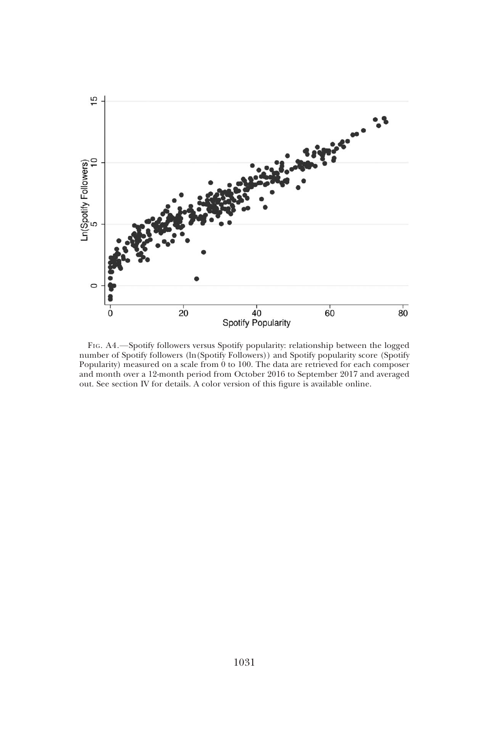

FIG. A4.—Spotify followers versus Spotify popularity: relationship between the logged number of Spotify followers (ln(Spotify Followers)) and Spotify popularity score (Spotify Popularity) measured on a scale from 0 to 100. The data are retrieved for each composer and month over a 12-month period from October 2016 to September 2017 and averaged out. See section IV for details. A color version of this figure is available online.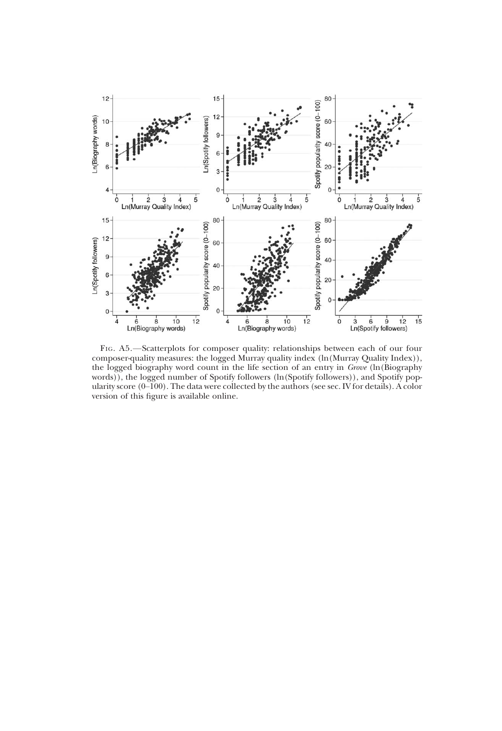

FIG. A5.—Scatterplots for composer quality: relationships between each of our four composer-quality measures: the logged Murray quality index (ln(Murray Quality Index)), the logged biography word count in the life section of an entry in Grove (ln(Biography words)), the logged number of Spotify followers (ln(Spotify followers)), and Spotify popularity score (0–100). The data were collected by the authors (see sec. IV for details). A color version of this figure is available online.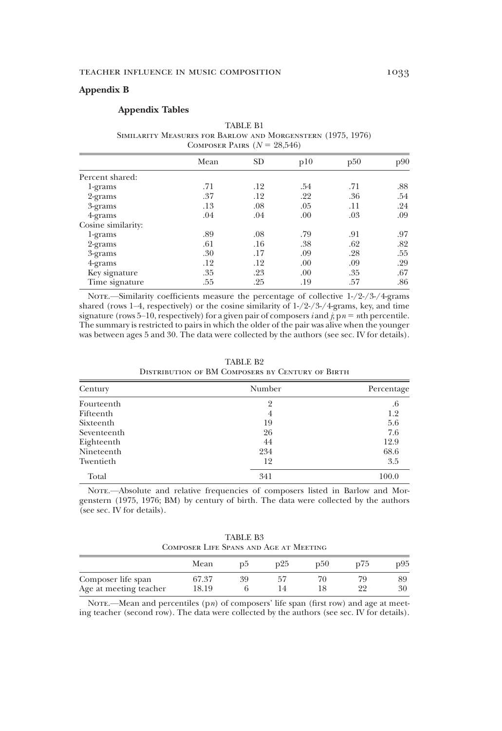## Appendix B

### Appendix Tables

TABLE B1 Similarity Measures for Barlow and Morgenstern (1975, 1976) COMPOSER PAIRS  $(N = 28,546)$ 

|                    | Mean | <b>SD</b> | p10 | p50 | p90 |
|--------------------|------|-----------|-----|-----|-----|
| Percent shared:    |      |           |     |     |     |
| 1-grams            | .71  | .12       | .54 | .71 | .88 |
| 2-grams            | .37  | .12       | .22 | .36 | .54 |
| 3-grams            | .13  | .08       | .05 | .11 | .24 |
| $4-grams$          | .04  | .04       | .00 | .03 | .09 |
| Cosine similarity: |      |           |     |     |     |
| 1-grams            | .89  | .08       | .79 | .91 | .97 |
| 2-grams            | .61  | .16       | .38 | .62 | .82 |
| 3-grams            | .30  | .17       | .09 | .28 | .55 |
| 4-grams            | .12  | .12       | .00 | .09 | .29 |
| Key signature      | .35  | .23       | .00 | .35 | .67 |
| Time signature     | .55  | .25       | .19 | .57 | .86 |

Note.—Similarity coefficients measure the percentage of collective  $1-(2-2)/3-(4)$ -grams shared (rows 1–4, respectively) or the cosine similarity of  $1-2-/3-/4$ -grams, key, and time signature (rows 5–10, respectively) for a given pair of composers *i* and *j*,  $p_n = n$ th percentile. The summary is restricted to pairs in which the older of the pair was alive when the younger was between ages 5 and 30. The data were collected by the authors (see sec. IV for details).

| Century     | Number | Percentage |
|-------------|--------|------------|
| Fourteenth  |        | .6         |
| Fifteenth   |        | 1.2        |
| Sixteenth   | 19     | 5.6        |
| Seventeenth | 26     | 7.6        |
| Eighteenth  | 44     | 12.9       |
| Nineteenth  | 234    | 68.6       |
| Twentieth   | 12     | 3.5        |

TABLE B2 Distribution of BM Composers by Century of Birth

NOTE.—Absolute and relative frequencies of composers listed in Barlow and Morgenstern (1975, 1976; BM) by century of birth. The data were collected by the authors (see sec. IV for details).

Total 100.0

TABLE B3 Composer Life Spans and Age at Meeting

|                                              | Mean           | DЭ | p25 | p50 | p75       | p95      |
|----------------------------------------------|----------------|----|-----|-----|-----------|----------|
| Composer life span<br>Age at meeting teacher | 67.37<br>18.19 | 39 |     |     | 79.<br>99 | 89<br>30 |

NOTE.—Mean and percentiles  $(pn)$  of composers' life span (first row) and age at meeting teacher (second row). The data were collected by the authors (see sec. IV for details).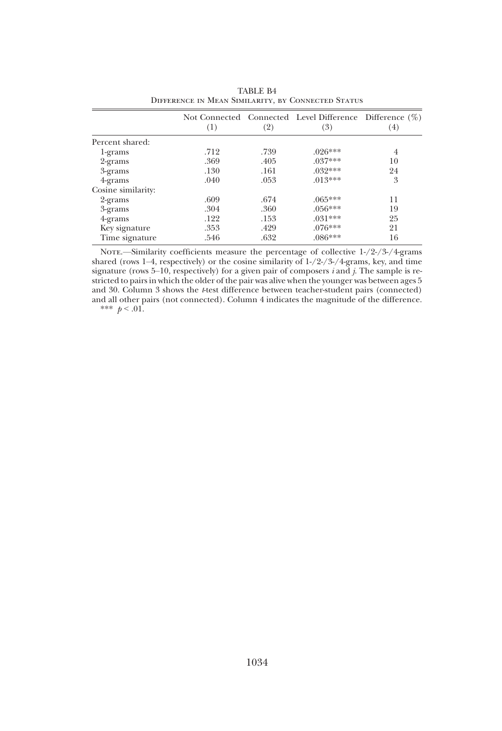|                    | (1)  | (2)  | Not Connected Connected Level Difference Difference (%)<br>(3) | (4) |
|--------------------|------|------|----------------------------------------------------------------|-----|
| Percent shared:    |      |      |                                                                |     |
| 1-grams            | .712 | .739 | $.026***$                                                      | 4   |
| 2-grams            | .369 | .405 | $.037***$                                                      | 10  |
| 3-grams            | .130 | .161 | $.032***$                                                      | 24  |
| 4-grams            | .040 | .053 | $.013***$                                                      | 3   |
| Cosine similarity: |      |      |                                                                |     |
| 2-grams            | .609 | .674 | $.065***$                                                      | 11  |
| 3-grams            | .304 | .360 | $.056***$                                                      | 19  |
| 4-grams            | .122 | .153 | $.031***$                                                      | 25  |
| Key signature      | .353 | .429 | $.076***$                                                      | 21  |
| Time signature     | .546 | .632 | $.086***$                                                      | 16  |

TABLE B4 Difference in Mean Similarity, by Connected Status

NOTE.—Similarity coefficients measure the percentage of collective 1-/2-/3-/4-grams shared (rows 1–4, respectively) or the cosine similarity of 1-/2-/3-/4-grams, key, and time signature (rows 5–10, respectively) for a given pair of composers  $i$  and  $j$ . The sample is restricted to pairs in which the older of the pair was alive when the younger was between ages 5 and 30. Column 3 shows the *t*-test difference between teacher-student pairs (connected) and all other pairs (not connected). Column 4 indicates the magnitude of the difference. \*\*\*  $p < .01$ .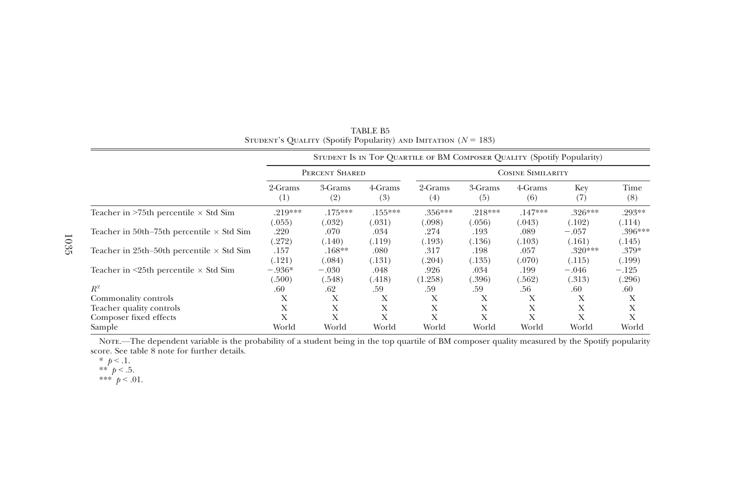|                                                    |                |                |                | STUDENT IS IN TOP QUARTILE OF BM COMPOSER QUALITY (Spotify Popularity) |                |                |            |             |  |
|----------------------------------------------------|----------------|----------------|----------------|------------------------------------------------------------------------|----------------|----------------|------------|-------------|--|
|                                                    | PERCENT SHARED |                |                | <b>COSINE SIMILARITY</b>                                               |                |                |            |             |  |
|                                                    | 2-Grams<br>(1) | 3-Grams<br>(2) | 4-Grams<br>(3) | 2-Grams<br>(4)                                                         | 3-Grams<br>(5) | 4-Grams<br>(6) | Key<br>(7) | Time<br>(8) |  |
| Teacher in $>75$ th percentile $\times$ Std Sim    | $.219***$      | $.175***$      | $.155***$      | $.356***$                                                              | $.218***$      | $.147***$      | $.326***$  | $.293**$    |  |
|                                                    | (.055)         | (.032)         | (.031)         | (.098)                                                                 | (.056)         | (.043)         | (.102)     | (.114)      |  |
| Teacher in 50th–75th percentile $\times$ Std Sim   | .220           | .070           | .034           | .274                                                                   | .193           | .089           | $-.057$    | $.396***$   |  |
|                                                    | (.272)         | (.140)         | (.119)         | (.193)                                                                 | (.136)         | (.103)         | (.161)     | (.145)      |  |
| Teacher in 25th–50th percentile $\times$ Std Sim   | .157           | $.168**$       | .080           | .317                                                                   | .198           | .057           | $.320***$  | $.379*$     |  |
|                                                    | (.121)         | (.084)         | (.131)         | 204)                                                                   | (.135)         | (.070)         | (.115)     | (.199)      |  |
| Teacher in $\leq$ 25th percentile $\times$ Std Sim | $-.936*$       | $-.030$        | .048           | .926                                                                   | .034           | .199           | $-.046$    | $-.125$     |  |
|                                                    | (.500)         | (.548)         | (.418)         | (1.258)                                                                | (.396)         | (.562)         | (.313)     | (.296)      |  |
| $R^2$                                              | .60            | .62            | .59            | .59                                                                    | .59            | .56            | .60        | .60         |  |
| Commonality controls                               | X              | Х              | Х              | Х                                                                      | X              | X              | X          | X           |  |
| Teacher quality controls                           | X              | Х              | Х              | Х                                                                      | X              | X              | Х          | Х           |  |
| Composer fixed effects                             | X              | X              | X              | X                                                                      | X              | X              | X          | X           |  |
| Sample                                             | World          | World          | World          | World                                                                  | World          | World          | World      | World       |  |

TABLE B5STUDENT'S QUALITY (Spotify Popularity) AND IMITATION  $(N = 183)$ 

Note.—The dependent variable is the probability of <sup>a</sup> student being in the top quartile of BM composer quality measured by the Spotify popularity score. See table 8 note for further details.

$$
\begin{array}{c}\n * & p < .1. \\
* & h < 5\n \end{array}
$$

\*\*  $p < .5$ .<br>\*\*\*  $p < .01$ .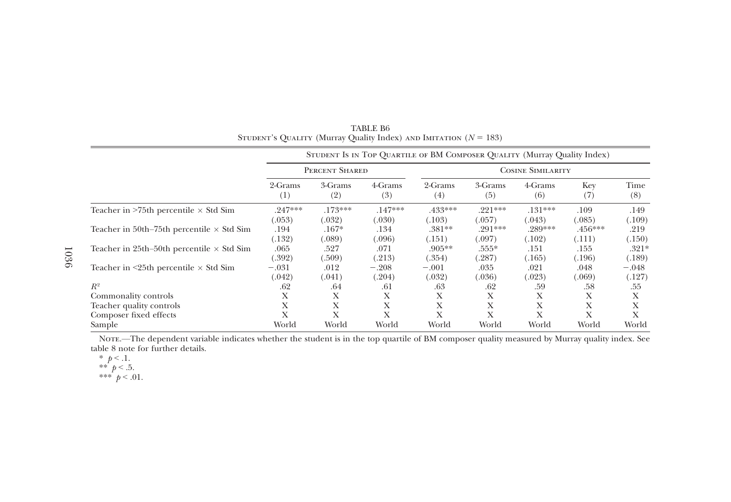|                                                    |                |                |                | STUDENT IS IN TOP QUARTILE OF BM COMPOSER QUALITY (Murray Quality Index) |                          |                |            |             |  |
|----------------------------------------------------|----------------|----------------|----------------|--------------------------------------------------------------------------|--------------------------|----------------|------------|-------------|--|
|                                                    | PERCENT SHARED |                |                |                                                                          | <b>COSINE SIMILARITY</b> |                |            |             |  |
|                                                    | 2-Grams<br>(1) | 3-Grams<br>(2) | 4-Grams<br>(3) | 2-Grams<br>(4)                                                           | 3-Grams<br>(5)           | 4-Grams<br>(6) | Key<br>(7) | Time<br>(8) |  |
| Teacher in $>75$ th percentile $\times$ Std Sim    | $.247***$      | $.173***$      | $.147***$      | .433***                                                                  | $.221***$                | $.131***$      | .109       | .149        |  |
|                                                    | (.053)         | (.032)         | (.030)         | (.103)                                                                   | (.057)                   | (.043)         | (.085)     | (.109)      |  |
| Teacher in 50th–75th percentile $\times$ Std Sim   | .194           | $.167*$        | .134           | $.381**$                                                                 | $.291***$                | $.289***$      | $.456***$  | .219        |  |
|                                                    | (.132)         | (.089)         | 0.096          | (.151)                                                                   | (.097)                   | (.102)         | (.111)     | (.150)      |  |
| Teacher in 25th–50th percentile $\times$ Std Sim   | .065           | .527           | .071           | $.905**$                                                                 | $.555*$                  | .151           | .155       | $.321*$     |  |
|                                                    | (.392)         | (.509)         | (213)          | (.354)                                                                   | (.287)                   | (.165)         | (.196)     | (.189)      |  |
| Teacher in $\leq$ 25th percentile $\times$ Std Sim | $-.031$        | .012           | $-.208$        | $-.001$                                                                  | .035                     | .021           | .048       | $-.048$     |  |
|                                                    | (.042)         | (.041)         | 204)           | (.032)                                                                   | (.036)                   | (.023)         | (.069)     | (.127)      |  |
| $R^2$                                              | .62            | .64            | .61            | .63                                                                      | .62                      | .59            | .58        | .55         |  |
| Commonality controls                               | Х              | Х              | X              | X                                                                        | Х                        | X              | Х          | Х           |  |
| Teacher quality controls                           | Х              | Х              | X              | X                                                                        | Х                        | X              | Х          | X           |  |
| Composer fixed effects                             | X              | Х              | X              | X                                                                        | Х                        | Х              | Х          | Х           |  |
| Sample                                             | World          | World          | World          | World                                                                    | World                    | World          | World      | World       |  |

TABLE B6STUDENT's QUALITY (Murray Quality Index) and Imitation  $(N = 183)$ 

Note.—The dependent variable indicates whether the student is in the top quartile of BM composer quality measured by Murray quality index. See table 8 note for further details.

\*  $p < 1$ .<br>\*\*  $p < .5$ .

$$
*** \begin{array}{c} P & 0.01 \\ p < 0.01. \end{array}
$$

1036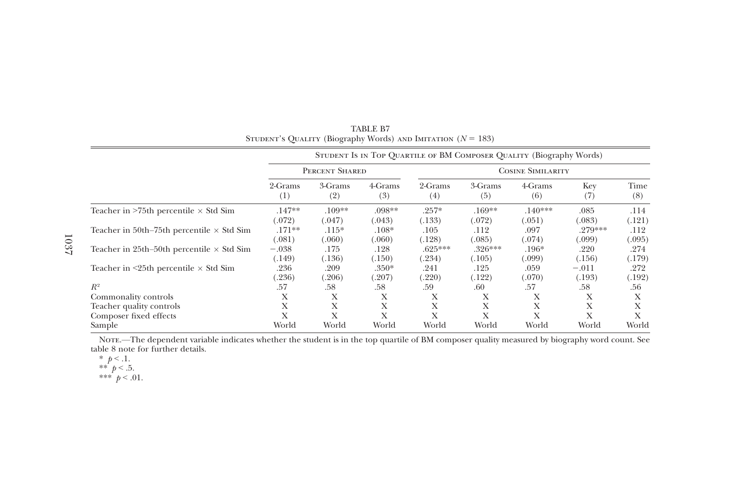|                                                    |                              |                             |                             |                          | STUDENT IS IN TOP QUARTILE OF BM COMPOSER QUALITY (Biography Words) |                          |                             |                          |  |
|----------------------------------------------------|------------------------------|-----------------------------|-----------------------------|--------------------------|---------------------------------------------------------------------|--------------------------|-----------------------------|--------------------------|--|
|                                                    | PERCENT SHARED               |                             |                             |                          | <b>COSINE SIMILARITY</b>                                            |                          |                             |                          |  |
|                                                    | 2-Grams<br>(1)               | 3-Grams<br>(2)              | 4-Grams<br>(3)              | 2-Grams<br>(4)           | 3-Grams<br>(5)                                                      | 4-Grams<br>(6)           | Key<br>(7)                  | Time<br>(8)              |  |
| Teacher in $>75$ th percentile $\times$ Std Sim    | $.147**$                     | $.109**$                    | $.098**$                    | $.257*$                  | $.169**$                                                            | $.140***$                | .085                        | .114                     |  |
| Teacher in 50th–75th percentile $\times$ Std Sim   | (.072)<br>$.171**$<br>(.081) | (.047)<br>$.115*$<br>(.060) | (.043)<br>$.108*$<br>(.060) | (.133)<br>.105<br>(.128) | (.072)<br>.112<br>(.085)                                            | (.051)<br>.097<br>(.074) | (.083)<br>.279***<br>(.099) | (.121)<br>.112<br>(.095) |  |
| Teacher in 25th–50th percentile $\times$ Std Sim   | $-.038$<br>(.149)            | .175<br>(.136)              | .128<br>(.150)              | $.625***$<br>(.234)      | $.326***$<br>(.105)                                                 | $.196*$<br>(.099)        | .220<br>(.156)              | .274<br>(.179)           |  |
| Teacher in $\leq$ 25th percentile $\times$ Std Sim | .236<br>(236)                | .209<br>(0.206)             | $.350*$<br>(.207)           | .241<br>.220)            | .125<br>(.122)                                                      | .059<br>(.070)           | $-.011$<br>(.193)           | .272<br>(.192)           |  |
| $R^2$                                              | .57                          | .58                         | .58                         | .59                      | .60                                                                 | .57                      | .58                         | .56                      |  |
| Commonality controls                               | Х                            | Х                           | Х                           | Х                        | X                                                                   | Х                        | Х                           | X                        |  |
| Teacher quality controls                           | Х                            | Χ                           | Х                           | Х                        | Х                                                                   | Х                        | Х                           | X                        |  |
| Composer fixed effects                             | Х                            | X                           | X                           | X                        | X                                                                   | X                        | Х                           | X                        |  |
| Sample                                             | World                        | World                       | World                       | World                    | World                                                               | World                    | World                       | World                    |  |

TABLE B7 STUDENT's QUALITY (Biography Words) AND IMITATION  $(N = 183)$ 

Note.—The dependent variable indicates whether the student is in the top quartile of BM composer quality measured by biography word count. See table 8 note for further details.

\*  $p < 1$ .<br>\*\*  $p < .5$ .<br>\*\*\*  $p < .01$ .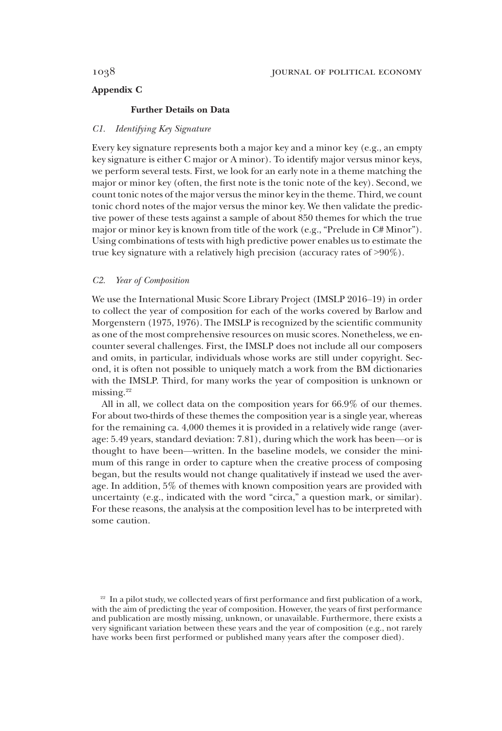# Appendix C

## Further Details on Data

## C1. Identifying Key Signature

Every key signature represents both a major key and a minor key (e.g., an empty key signature is either C major or A minor). To identify major versus minor keys, we perform several tests. First, we look for an early note in a theme matching the major or minor key (often, the first note is the tonic note of the key). Second, we count tonic notes of the major versus the minor key in the theme. Third, we count tonic chord notes of the major versus the minor key. We then validate the predictive power of these tests against a sample of about 850 themes for which the true major or minor key is known from title of the work (e.g., "Prelude in C# Minor"). Using combinations of tests with high predictive power enables us to estimate the true key signature with a relatively high precision (accuracy rates of >90%).

## C2. Year of Composition

We use the International Music Score Library Project (IMSLP 2016–19) in order to collect the year of composition for each of the works covered by Barlow and Morgenstern (1975, 1976). The IMSLP is recognized by the scientific community as one of the most comprehensive resources on music scores. Nonetheless, we encounter several challenges. First, the IMSLP does not include all our composers and omits, in particular, individuals whose works are still under copyright. Second, it is often not possible to uniquely match a work from the BM dictionaries with the IMSLP. Third, for many works the year of composition is unknown or missing. $22$ 

All in all, we collect data on the composition years for 66.9% of our themes. For about two-thirds of these themes the composition year is a single year, whereas for the remaining ca. 4,000 themes it is provided in a relatively wide range (average: 5.49 years, standard deviation: 7.81), during which the work has been—or is thought to have been—written. In the baseline models, we consider the minimum of this range in order to capture when the creative process of composing began, but the results would not change qualitatively if instead we used the average. In addition, 5% of themes with known composition years are provided with uncertainty (e.g., indicated with the word "circa," a question mark, or similar). For these reasons, the analysis at the composition level has to be interpreted with some caution.

 $22$  In a pilot study, we collected years of first performance and first publication of a work, with the aim of predicting the year of composition. However, the years of first performance and publication are mostly missing, unknown, or unavailable. Furthermore, there exists a very significant variation between these years and the year of composition (e.g., not rarely have works been first performed or published many years after the composer died).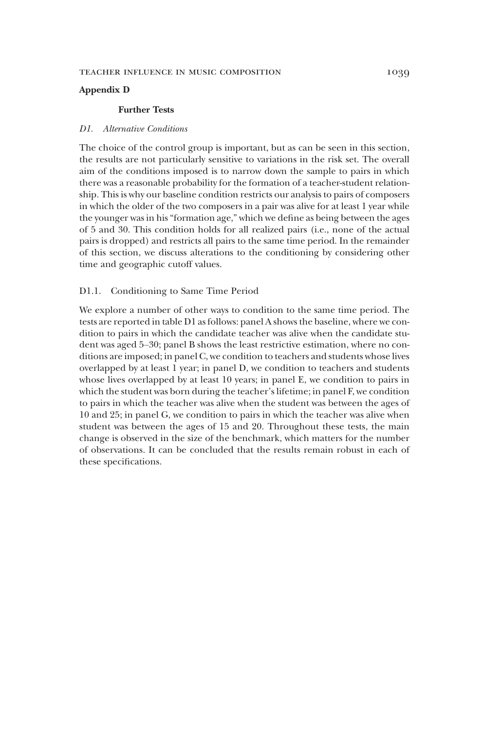# Appendix D

## Further Tests

## D1. Alternative Conditions

The choice of the control group is important, but as can be seen in this section, the results are not particularly sensitive to variations in the risk set. The overall aim of the conditions imposed is to narrow down the sample to pairs in which there was a reasonable probability for the formation of a teacher-student relationship. This is why our baseline condition restricts our analysis to pairs of composers in which the older of the two composers in a pair was alive for at least 1 year while the younger was in his"formation age," which we define as being between the ages of 5 and 30. This condition holds for all realized pairs (i.e., none of the actual pairs is dropped) and restricts all pairs to the same time period. In the remainder of this section, we discuss alterations to the conditioning by considering other time and geographic cutoff values.

### D1.1. Conditioning to Same Time Period

We explore a number of other ways to condition to the same time period. The tests are reported in table D1 as follows: panel A shows the baseline, where we condition to pairs in which the candidate teacher was alive when the candidate student was aged 5–30; panel B shows the least restrictive estimation, where no conditions are imposed; in panel C, we condition to teachers and students whose lives overlapped by at least 1 year; in panel D, we condition to teachers and students whose lives overlapped by at least 10 years; in panel E, we condition to pairs in which the student was born during the teacher's lifetime; in panel F, we condition to pairs in which the teacher was alive when the student was between the ages of 10 and 25; in panel G, we condition to pairs in which the teacher was alive when student was between the ages of 15 and 20. Throughout these tests, the main change is observed in the size of the benchmark, which matters for the number of observations. It can be concluded that the results remain robust in each of these specifications.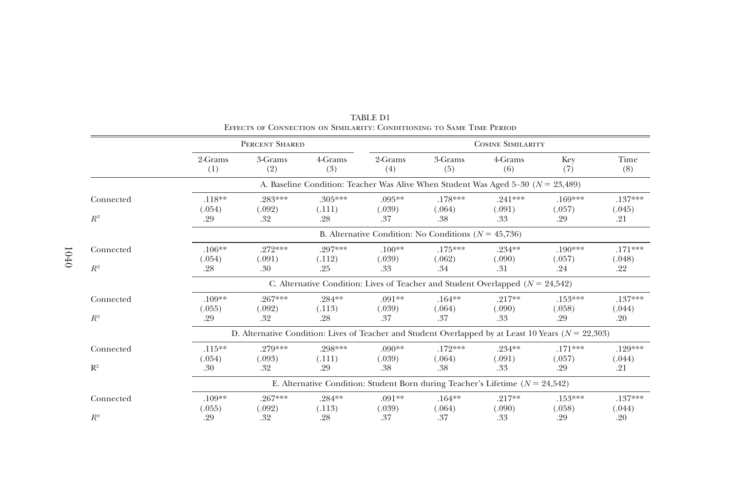|           |                     | PERCENT SHARED                                                                                          |                   |                    |                                                                                      | <b>COSINE SIMILARITY</b> |                     |                     |  |  |
|-----------|---------------------|---------------------------------------------------------------------------------------------------------|-------------------|--------------------|--------------------------------------------------------------------------------------|--------------------------|---------------------|---------------------|--|--|
|           | 2-Grams<br>(1)      | 3-Grams<br>(2)                                                                                          | 4-Grams<br>(3)    | 2-Grams<br>(4)     | 3-Grams<br>(5)                                                                       | 4-Grams<br>(6)           | Key<br>(7)          | Time<br>(8)         |  |  |
|           |                     |                                                                                                         |                   |                    | A. Baseline Condition: Teacher Was Alive When Student Was Aged 5-30 ( $N = 23,489$ ) |                          |                     |                     |  |  |
| Connected | $.118**$            | .283***                                                                                                 | .305***           | $.095***$          | .178***                                                                              | $.241***$                | $.169***$           | $.137***$           |  |  |
| $R^2$     | (.054)<br>.29       | (.092)<br>.32                                                                                           | (.111)<br>.28     | (.039)<br>.37      | (.064)<br>.38                                                                        | (.091)<br>.33            | (.057)<br>.29       | (.045)<br>.21       |  |  |
|           |                     | B. Alternative Condition: No Conditions ( $N = 45,736$ )                                                |                   |                    |                                                                                      |                          |                     |                     |  |  |
| Connected | $.106**$            | .272***                                                                                                 | .297***           | $.100**$           | $.175***$                                                                            | .234**                   | $.190***$           | $.171***$           |  |  |
| $R^2$     | (.054)<br>.28       | (.091)<br>.30                                                                                           | (.112)<br>.25     | (.039)<br>.33      | (.062)<br>.34                                                                        | (.090)<br>.31            | (.057)<br>.24       | (.048)<br>.22       |  |  |
|           |                     |                                                                                                         |                   |                    | C. Alternative Condition: Lives of Teacher and Student Overlapped ( $N = 24,542$ )   |                          |                     |                     |  |  |
| Connected | $.109**$<br>(.055)  | .267***<br>(.092)                                                                                       | .284**<br>(.113)  | $.091**$<br>(.039) | $.164***$<br>(.064)                                                                  | $.217**$<br>(.090)       | $.153***$<br>(.058) | $.137***$<br>(.044) |  |  |
| $R^2$     | .29                 | .32                                                                                                     | .28               | .37                | .37                                                                                  | .33                      | .29                 | .20                 |  |  |
|           |                     | D. Alternative Condition: Lives of Teacher and Student Overlapped by at Least 10 Years ( $N = 22,303$ ) |                   |                    |                                                                                      |                          |                     |                     |  |  |
| Connected | $.115***$<br>(.054) | .279***<br>(.093)                                                                                       | .298***<br>(.111) | $.090**$<br>(.039) | $.172***$<br>(.064)                                                                  | $.234**$<br>(.091)       | $.171***$<br>(.057) | .129***<br>(.044)   |  |  |
| $R^2$     | .30                 | .32                                                                                                     | .29               | .38                | .38                                                                                  | .33                      | .29                 | .21                 |  |  |
|           |                     |                                                                                                         |                   |                    | E. Alternative Condition: Student Born during Teacher's Lifetime ( $N = 24,542$ )    |                          |                     |                     |  |  |
| Connected | $.109**$            | .267***                                                                                                 | .284**            | $.091**$           | $.164***$                                                                            | $.217**$                 | $.153***$           | $.137***$           |  |  |
| $R^2$     | (.055)<br>.29       | (.092)<br>.32                                                                                           | (.113)<br>.28     | (.039)<br>.37      | (.064)<br>.37                                                                        | (.090)<br>.33            | (.058)<br>.29       | (.044)<br>.20       |  |  |

TABLE D1Effects of Connection on Similarity: Conditioning to Same Time Period

1040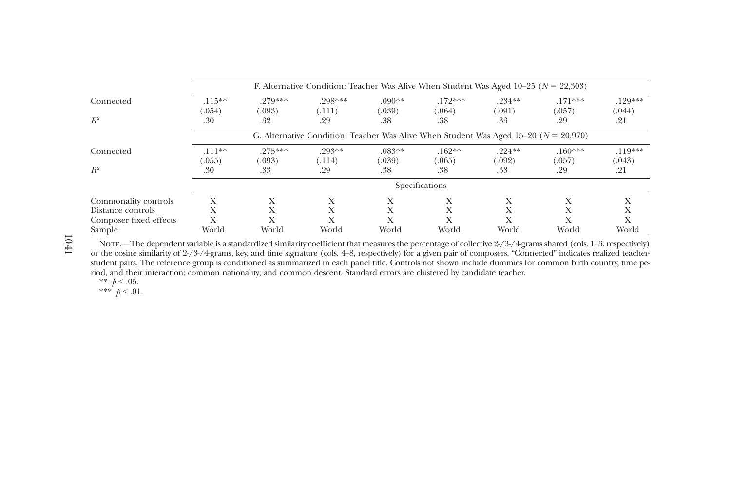|                        | F. Alternative Condition: Teacher Was Alive When Student Was Aged 10–25 ( $N = 22,303$ ) |                     |                   |                    |                                                                                          |                     |                     |                     |  |  |
|------------------------|------------------------------------------------------------------------------------------|---------------------|-------------------|--------------------|------------------------------------------------------------------------------------------|---------------------|---------------------|---------------------|--|--|
| Connected              | $.115***$<br>(.054)                                                                      | .279***<br>(.093)   | .298***<br>(.111) | $.090**$<br>(.039) | $.172***$<br>(.064)                                                                      | $.234***$<br>(.091) | $.171***$<br>(.057) | $.129***$<br>(.044) |  |  |
| $R^2$                  | .30                                                                                      | .32                 | .29               | .38                | .38                                                                                      | .33                 | .29                 | .21                 |  |  |
|                        |                                                                                          |                     |                   |                    | G. Alternative Condition: Teacher Was Alive When Student Was Aged 15–20 ( $N = 20,970$ ) |                     |                     |                     |  |  |
| Connected              | $.111***$<br>(.055)                                                                      | $.275***$<br>(.093) | .293**<br>(.114)  | $.083**$<br>(.039) | $.162**$<br>(.065)                                                                       | $.224**$<br>(.092)  | $.160***$<br>(.057) | $.119***$<br>(.043) |  |  |
| $R^2$                  | .30                                                                                      | .33                 | .29               | .38                | .38                                                                                      | .33                 | .29                 | .21                 |  |  |
|                        | Specifications                                                                           |                     |                   |                    |                                                                                          |                     |                     |                     |  |  |
| Commonality controls   | Х                                                                                        | X                   | Х                 | Х                  | Х                                                                                        | X                   | X                   | Х                   |  |  |
| Distance controls      | Х                                                                                        | Х                   | Х                 | Х                  | Х                                                                                        | X                   | Х                   | $\lambda$           |  |  |
| Composer fixed effects | Х                                                                                        | X                   | X                 | X                  | X                                                                                        | X                   | Х                   | Х                   |  |  |
| Sample                 | World                                                                                    | World               | World             | World              | World                                                                                    | World               | World               | World               |  |  |

Note.—The dependent variable is <sup>a</sup> standardized similarity coefficient that measures the percentage of collective 2-/3-/4-grams shared (cols. 1–3, respectively) or the cosine similarity of 2-/3-/4-grams, key, and time signature (cols. 4–8, respectively) for <sup>a</sup> given pair of composers. "Connected" indicates realized teacherstudent pairs. The reference group is conditioned as summarized in each panel title. Controls not shown include dummies for common birth country, time period, and their interaction; common nationality; and common descent. Standard errors are clustered by candidate teacher.

\*\*  $p < .05$ .

\*\*\*  $p < .01$ .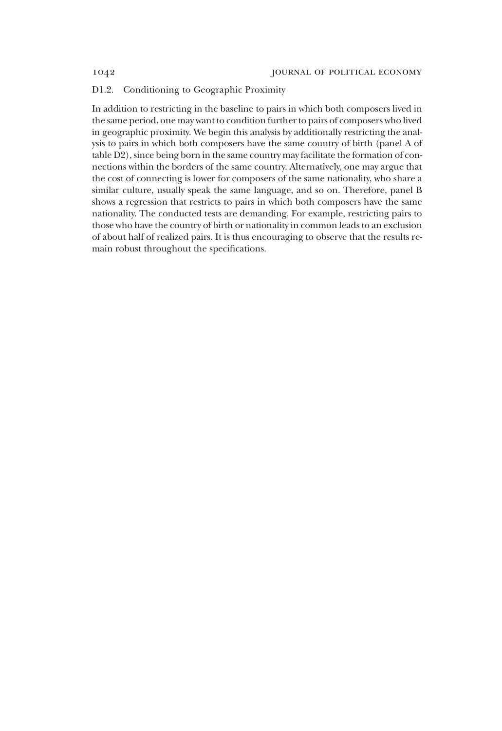## D1.2. Conditioning to Geographic Proximity

In addition to restricting in the baseline to pairs in which both composers lived in the same period, one may want to condition further to pairs of composers who lived in geographic proximity. We begin this analysis by additionally restricting the analysis to pairs in which both composers have the same country of birth (panel A of table D2), since being born in the same country may facilitate the formation of connections within the borders of the same country. Alternatively, one may argue that the cost of connecting is lower for composers of the same nationality, who share a similar culture, usually speak the same language, and so on. Therefore, panel B shows a regression that restricts to pairs in which both composers have the same nationality. The conducted tests are demanding. For example, restricting pairs to those who have the country of birth or nationality in common leads to an exclusion of about half of realized pairs. It is thus encouraging to observe that the results remain robust throughout the specifications.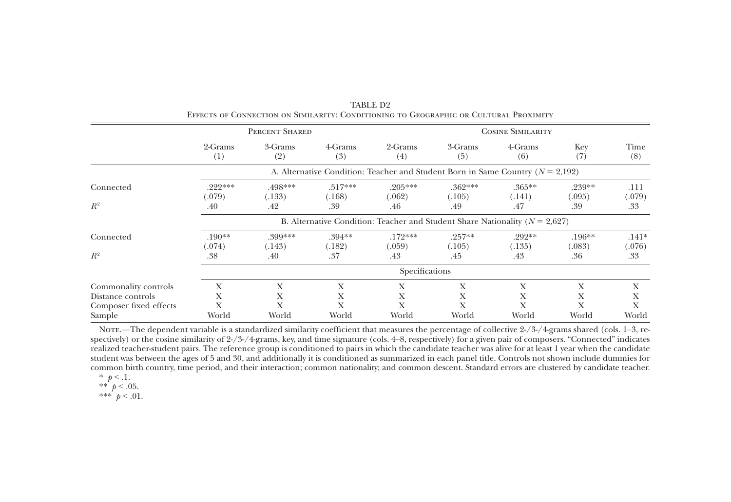|                                                                               |                                                                                 | PERCENT SHARED                                                                     |                            |                            |                            | <b>COSINE SIMILARITY</b>   |                         |                       |  |  |
|-------------------------------------------------------------------------------|---------------------------------------------------------------------------------|------------------------------------------------------------------------------------|----------------------------|----------------------------|----------------------------|----------------------------|-------------------------|-----------------------|--|--|
|                                                                               | 2-Grams<br>(1)                                                                  | 3-Grams<br>(2)                                                                     | 4-Grams<br>(3)             | 2-Grams<br>(4)             | 3-Grams<br>(5)             | 4-Grams<br>(6)             | Key<br>(7)              | Time<br>(8)           |  |  |
|                                                                               |                                                                                 | A. Alternative Condition: Teacher and Student Born in Same Country ( $N = 2,192$ ) |                            |                            |                            |                            |                         |                       |  |  |
| Connected<br>$R^2$                                                            | $.222***$<br>(.079)<br>.40                                                      | .498***<br>(.133)<br>.42                                                           | $.517***$<br>(.168)<br>.39 | $.205***$<br>(.062)<br>.46 | $.362***$<br>(.105)<br>.49 | $.365***$<br>(.141)<br>.47 | .239**<br>(.095)<br>.39 | .111<br>(.079)<br>.33 |  |  |
|                                                                               | B. Alternative Condition: Teacher and Student Share Nationality ( $N = 2.627$ ) |                                                                                    |                            |                            |                            |                            |                         |                       |  |  |
| Connected                                                                     | $.190**$<br>(.074)                                                              | .399***<br>(.143)                                                                  | $.394**$<br>(.182)         | $.172***$<br>(.059)        | $.257**$<br>(.105)         | .292**<br>(.135)           | $.196***$<br>(.083)     | $.141*$<br>(.076)     |  |  |
| $R^2$                                                                         | .38                                                                             | .40                                                                                | .37                        | .43                        | .45                        | .43                        | .36                     | .33                   |  |  |
|                                                                               | Specifications                                                                  |                                                                                    |                            |                            |                            |                            |                         |                       |  |  |
| Commonality controls<br>Distance controls<br>Composer fixed effects<br>Sample | Х<br>X<br>X<br>World                                                            | X<br>X<br>Х<br>World                                                               | X<br>X<br>World            | Х<br>X<br>Х<br>World       | X<br>X<br>Х<br>World       | Х<br>Х<br>Х<br>World       | X<br>X<br>X<br>World    | Х<br>Х<br>X<br>World  |  |  |

TABLE D2Effects of Connection on Similarity: Conditioning to Geographic or Cultural Proximity

Nore.—The dependent variable is a standardized similarity coefficient that measures the percentage of collective 2-/3-/4-grams shared (cols. 1–3, respectively) or the cosine similarity of 2-/3-/4-grams, key, and time signature (cols. 4–8, respectively) for <sup>a</sup> given pair of composers. "Connected" indicates realized teacher-student pairs. The reference group is conditioned to pairs in which the candidate teacher was alive for at least 1 year when the candidate student was between the ages of 5 and 30, and additionally it is conditioned as summarized in each panel title. Controls not shown include dummies for common birth country, time period, and their interaction; common nationality; and common descent. Standard errors are clustered by candidate teacher.

$$
\ast
$$
  $p < .1$ .

$$
\begin{array}{c}\n * \ast \quad p < .05. \\
* \ast \ast \quad p < .01.\n\end{array}
$$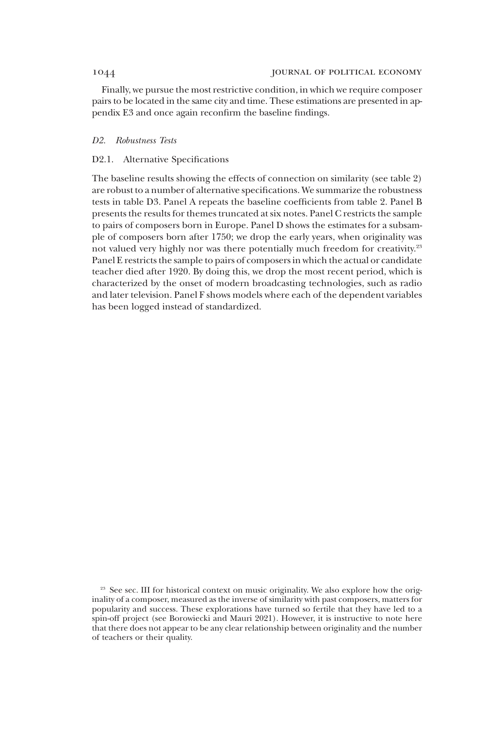Finally, we pursue the most restrictive condition, in which we require composer pairs to be located in the same city and time. These estimations are presented in appendix E3 and once again reconfirm the baseline findings.

### D2. Robustness Tests

## D2.1. Alternative Specifications

The baseline results showing the effects of connection on similarity (see table 2) are robust to a number of alternative specifications. We summarize the robustness tests in table D3. Panel A repeats the baseline coefficients from table 2. Panel B presents the results for themes truncated at six notes. Panel C restricts the sample to pairs of composers born in Europe. Panel D shows the estimates for a subsample of composers born after 1750; we drop the early years, when originality was not valued very highly nor was there potentially much freedom for creativity.<sup>23</sup> Panel E restricts the sample to pairs of composers in which the actual or candidate teacher died after 1920. By doing this, we drop the most recent period, which is characterized by the onset of modern broadcasting technologies, such as radio and later television. Panel F shows models where each of the dependent variables has been logged instead of standardized.

<sup>&</sup>lt;sup>23</sup> See sec. III for historical context on music originality. We also explore how the originality of a composer, measured as the inverse of similarity with past composers, matters for popularity and success. These explorations have turned so fertile that they have led to a spin-off project (see Borowiecki and Mauri 2021). However, it is instructive to note here that there does not appear to be any clear relationship between originality and the number of teachers or their quality.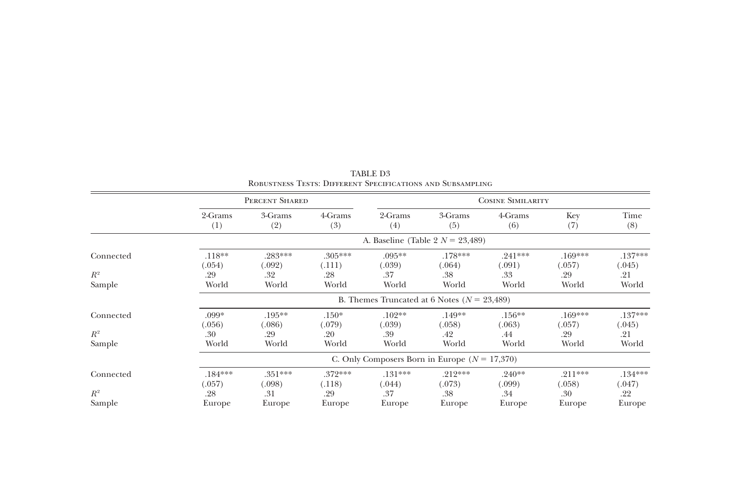|                 |                     |                                                 |                     |                          | <b>NOBUSTNESS TESTS. DIFFERENT SPECIFICATIONS AND SUBSAMPLING</b> |                     |                     |                     |  |  |  |
|-----------------|---------------------|-------------------------------------------------|---------------------|--------------------------|-------------------------------------------------------------------|---------------------|---------------------|---------------------|--|--|--|
|                 |                     | PERCENT SHARED                                  |                     | <b>COSINE SIMILARITY</b> |                                                                   |                     |                     |                     |  |  |  |
|                 | 2-Grams<br>(1)      | 3-Grams<br>(2)                                  | 4-Grams<br>(3)      | 2-Grams<br>(4)           | 3-Grams<br>(5)                                                    | 4-Grams<br>(6)      | Key<br>(7)          | Time<br>(8)         |  |  |  |
|                 |                     |                                                 |                     |                          | A. Baseline (Table 2 $N = 23,489$ )                               |                     |                     |                     |  |  |  |
| Connected       | $.118**$<br>(.054)  | .283***<br>(.092)                               | $.305***$<br>(.111) | $.095**$<br>(.039)       | $.178***$<br>(.064)                                               | $.241***$<br>(.091) | $.169***$<br>(.057) | $.137***$<br>(.045) |  |  |  |
| $R^2$<br>Sample | .29<br>World        | .32<br>World                                    | .28<br>World        | .37<br>World             | .38<br>World                                                      | .33<br>World        | .29<br>World        | .21<br>World        |  |  |  |
|                 |                     | B. Themes Truncated at 6 Notes ( $N = 23,489$ ) |                     |                          |                                                                   |                     |                     |                     |  |  |  |
| Connected       | .099*<br>(.056)     | $.195***$<br>(.086)                             | $.150*$<br>(.079)   | $.102**$<br>(.039)       | .149**<br>(.058)                                                  | $.156***$<br>(.063) | $.169***$<br>(.057) | $.137***$<br>(.045) |  |  |  |
| $R^2$<br>Sample | .30<br>World        | .29<br>World                                    | .20<br>World        | .39<br>World             | .42<br>World                                                      | .44<br>World        | .29<br>World        | .21<br>World        |  |  |  |
|                 |                     | C. Only Composers Born in Europe $(N = 17,370)$ |                     |                          |                                                                   |                     |                     |                     |  |  |  |
| Connected       | $.184***$<br>(.057) | $.351***$<br>(.098)                             | $.372***$<br>(.118) | $.131***$<br>(.044)      | $.212***$<br>(.073)                                               | $.240**$<br>(.099)  | $.211***$<br>(.058) | $.134***$<br>(.047) |  |  |  |
| $R^2$           | .28                 | .31                                             | .29                 | .37                      | .38                                                               | .34                 | .30                 | .22                 |  |  |  |
| Sample          | Europe              | Europe                                          | Europe              | Europe                   | Europe                                                            | Europe              | Europe              | Europe              |  |  |  |

TABLE D3 Robustness Tests: Different Specifications and Subsampling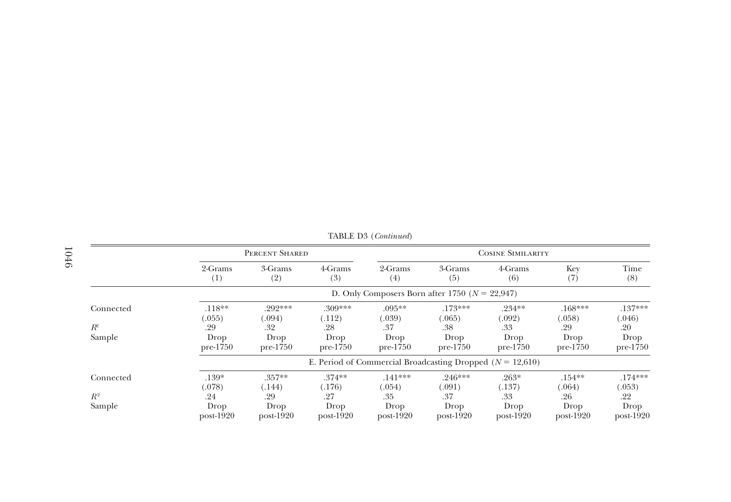|           |                     | PERCENT SHARED                                     |                     | <b>COSINE SIMILARITY</b> |                                                               |                     |                     |                     |  |  |  |
|-----------|---------------------|----------------------------------------------------|---------------------|--------------------------|---------------------------------------------------------------|---------------------|---------------------|---------------------|--|--|--|
|           | 2-Grams<br>(1)      | 3-Grams<br>(2)                                     | 4-Grams<br>(3)      | 2-Grams<br>(4)           | 3-Grams<br>(5)                                                | 4-Grams<br>(6)      | Key<br>(7)          | Time<br>(8)         |  |  |  |
|           |                     | D. Only Composers Born after 1750 ( $N = 22,947$ ) |                     |                          |                                                               |                     |                     |                     |  |  |  |
| Connected | $.118**$<br>(.055)  | $.292***$<br>(.094)                                | .309***<br>(.112)   | $.095**$<br>(.039)       | $.173***$<br>(.065)                                           | $.234***$<br>(.092) | $.168***$<br>(.058) | $.137***$<br>(.046) |  |  |  |
| $R^2$     | .29                 | .32                                                | .28                 | .37                      | .38                                                           | .33                 | .29                 | .20                 |  |  |  |
| Sample    | Drop<br>$pre-1750$  | Drop<br>$pre-1750$                                 | Drop<br>$pre-1750$  | Drop<br>$pre-1750$       | Drop<br>$pre-1750$                                            | Drop<br>$pre-1750$  | Drop<br>$pre-1750$  | Drop<br>$pre-1750$  |  |  |  |
|           |                     |                                                    |                     |                          | E. Period of Commercial Broadcasting Dropped ( $N = 12,610$ ) |                     |                     |                     |  |  |  |
| Connected | $.139*$<br>(.078)   | $.357**$<br>(.144)                                 | $.374**$<br>(.176)  | $.141***$<br>(.054)      | $.246***$<br>(.091)                                           | $.263*$<br>(.137)   | $.154***$<br>(.064) | $.174***$<br>(.053) |  |  |  |
| $R^2$     | .24                 | .29                                                | .27                 | .35                      | .37                                                           | .33                 | .26                 | .22                 |  |  |  |
| Sample    | Drop<br>$post-1920$ | Drop<br>$post-1920$                                | Drop<br>$post-1920$ | Drop<br>$post-1920$      | Drop<br>$post-1920$                                           | Drop<br>$post-1920$ | Drop<br>$post-1920$ | Drop<br>$post-1920$ |  |  |  |

TABLE D3 (Continued)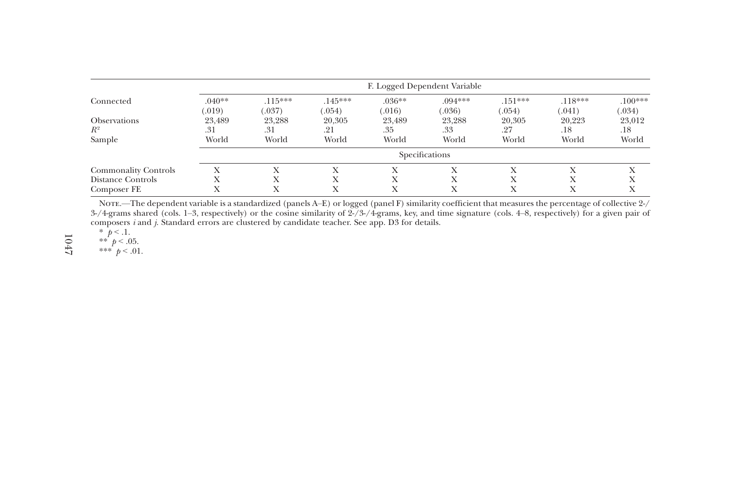|                                                                 | F. Logged Dependent Variable |                                             |                                     |                                                            |                        |                        |                        |                        |  |
|-----------------------------------------------------------------|------------------------------|---------------------------------------------|-------------------------------------|------------------------------------------------------------|------------------------|------------------------|------------------------|------------------------|--|
| Connected                                                       | $.040**$<br>(.019)           | $.115***$<br>(.037)                         | $.145***$<br>(.054)                 | $.036**$<br>(.016)                                         | $.094***$<br>(.036)    | $.151***$<br>(.054)    | $.118***$<br>0.041)    | $.100***$<br>(.034)    |  |
| <b>Observations</b><br>$R^2$<br>Sample                          | 23,489<br>.31<br>World       | 23,288<br>.31<br>World                      | 20,305<br>.21<br>World              | 23,489<br>.35<br>World                                     | 23,288<br>.33<br>World | 20,305<br>.27<br>World | 20.223<br>.18<br>World | 23,012<br>.18<br>World |  |
|                                                                 |                              | Specifications                              |                                     |                                                            |                        |                        |                        |                        |  |
| <b>Commonality Controls</b><br>Distance Controls<br>Composer FE |                              | $\mathbf v$<br>$\mathbf{v}$<br>$\mathbf{v}$ | $\lambda$<br>$\lambda$<br>$\lambda$ | $\lambda$<br>$\mathbf v$<br>$\lambda$<br>$\mathbf{v}$<br>л | X<br>Х<br>Х            | Х<br>Х<br>Х            | Х<br>Х<br>Х            | Х<br>л                 |  |

Note.—The dependent variable is <sup>a</sup> standardized (panels A–E) or logged (panel F) similarity coefficient that measures the percentage of collective 2-/  $3$ -/4-grams shared (cols. 1–3, respectively) or the cosine similarity of  $2$ -/3-/4-grams, key, and time signature (cols. 4–8, respectively) for a given pair of composers <sup>i</sup> and j. Standard errors are clustered by candidate teacher. See app. D3 for details.

\*  $p < 0.1$ .<br>\*\*  $p < 0.05$ .

\*\*\*  $p < .01$ .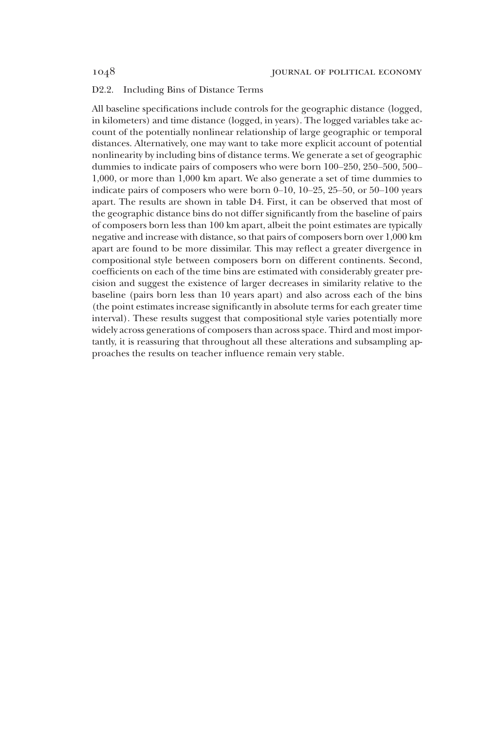## D2.2. Including Bins of Distance Terms

All baseline specifications include controls for the geographic distance (logged, in kilometers) and time distance (logged, in years). The logged variables take account of the potentially nonlinear relationship of large geographic or temporal distances. Alternatively, one may want to take more explicit account of potential nonlinearity by including bins of distance terms. We generate a set of geographic dummies to indicate pairs of composers who were born 100–250, 250–500, 500– 1,000, or more than 1,000 km apart. We also generate a set of time dummies to indicate pairs of composers who were born 0–10, 10–25, 25–50, or 50–100 years apart. The results are shown in table D4. First, it can be observed that most of the geographic distance bins do not differ significantly from the baseline of pairs of composers born less than 100 km apart, albeit the point estimates are typically negative and increase with distance, so that pairs of composers born over 1,000 km apart are found to be more dissimilar. This may reflect a greater divergence in compositional style between composers born on different continents. Second, coefficients on each of the time bins are estimated with considerably greater precision and suggest the existence of larger decreases in similarity relative to the baseline (pairs born less than 10 years apart) and also across each of the bins (the point estimates increase significantly in absolute terms for each greater time interval). These results suggest that compositional style varies potentially more widely across generations of composers than across space. Third and most importantly, it is reassuring that throughout all these alterations and subsampling approaches the results on teacher influence remain very stable.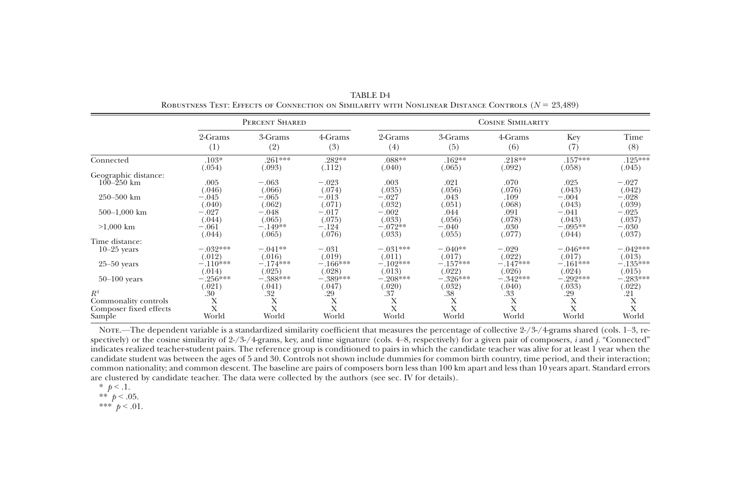|                                  |                      | PERCENT SHARED       |                      |       | <b>COSINE SIMILARITY</b><br>2-Grams<br>3-Grams<br>(5)<br>(4)<br>(6)<br>.088**<br>.162**<br>(.065)<br>(.092)<br>(.040)<br>.003<br>.021<br>.070<br>(.035)<br>(.056)<br>(.076)<br>$-.027$<br>.043<br>.109<br>(.032)<br>(.051)<br>(.068)<br>$-.002$<br>.044<br>.091<br>(.033)<br>(.056)<br>(.078)<br>$-.072**$<br>$-.040$<br>.030<br>(.077)<br>(.033)<br>(.055)<br>$-.031***$<br>$-.040**$<br>$-.029$<br>(.022)<br>(.011)<br>(.017)<br>$-.102***$<br>$-.157***$<br>(.022)<br>(.026)<br>(.013)<br>$-.208***$<br>$-.326***$<br>(.020)<br>(.032)<br>(.040)<br>.38<br>.37<br>.33 |            |                      |                      |  |
|----------------------------------|----------------------|----------------------|----------------------|-------|--------------------------------------------------------------------------------------------------------------------------------------------------------------------------------------------------------------------------------------------------------------------------------------------------------------------------------------------------------------------------------------------------------------------------------------------------------------------------------------------------------------------------------------------------------------------------|------------|----------------------|----------------------|--|
|                                  | 2-Grams<br>(1)       | 3-Grams<br>(2)       | 4-Grams<br>(3)       |       |                                                                                                                                                                                                                                                                                                                                                                                                                                                                                                                                                                          | 4-Grams    | Key<br>(7)           | Time<br>(8)          |  |
| Connected                        | $.103*$<br>(.054)    | .261***<br>(.093)    | .282**<br>(.112)     |       |                                                                                                                                                                                                                                                                                                                                                                                                                                                                                                                                                                          | .218**     | $.157***$<br>(.058)  | $.125***$<br>(.045)  |  |
| Geographic distance:             |                      |                      |                      |       |                                                                                                                                                                                                                                                                                                                                                                                                                                                                                                                                                                          |            |                      |                      |  |
| $100 - 250$ km                   | .005<br>(.046)       | $-.063$<br>(.066)    | $-.023$<br>(.074)    |       |                                                                                                                                                                                                                                                                                                                                                                                                                                                                                                                                                                          |            | .025<br>(.043)       | $-.027$<br>(.042)    |  |
| $250 - 500$ km                   | $-.045$<br>(.040)    | $-.065$<br>(.062)    | $-.013$<br>(.071)    |       |                                                                                                                                                                                                                                                                                                                                                                                                                                                                                                                                                                          |            | $-.004$<br>(.043)    | $-.028$<br>(.039)    |  |
| $500-1,000$ km                   | $-.027$<br>(.044)    | $-.048$<br>(.065)    | $-.017$<br>(.075)    |       |                                                                                                                                                                                                                                                                                                                                                                                                                                                                                                                                                                          |            | $-.041$<br>(.043)    | $-.025$<br>(.037)    |  |
| $>1,000$ km                      | $-.061$<br>(.044)    | $-.149**$<br>(.065)  | $-.124$<br>(.076)    |       |                                                                                                                                                                                                                                                                                                                                                                                                                                                                                                                                                                          |            | $-.095**$<br>(.044)  | $-.030$<br>(.037)    |  |
| Time distance:                   |                      |                      |                      |       |                                                                                                                                                                                                                                                                                                                                                                                                                                                                                                                                                                          |            |                      |                      |  |
| $10-25$ years                    | $-.032***$<br>(.012) | $-.041**$<br>(.016)  | $-.031$<br>(.019)    |       |                                                                                                                                                                                                                                                                                                                                                                                                                                                                                                                                                                          |            | $-.046***$<br>(.017) | $-.042***$<br>(.013) |  |
| $25-50$ years                    | $-.110***$<br>(.014) | $-.174***$<br>(.025) | $-.166***$<br>(.028) |       |                                                                                                                                                                                                                                                                                                                                                                                                                                                                                                                                                                          | $-.147***$ | $-.161***$<br>(.024) | $-.135***$<br>(.015) |  |
| $50-100$ years                   | $-.256***$           | $-.388***$           | $-.389***$           |       |                                                                                                                                                                                                                                                                                                                                                                                                                                                                                                                                                                          | $-.342***$ | $-.292***$           | $-.283***$           |  |
| $R^2$                            | (.021)<br>.30        | (.041)<br>.32        | (.047)<br>.29        |       |                                                                                                                                                                                                                                                                                                                                                                                                                                                                                                                                                                          |            | (.033)<br>.29        | (.022)<br>.21        |  |
| Commonality controls             | Х                    | X                    | Х                    | Х     | Х                                                                                                                                                                                                                                                                                                                                                                                                                                                                                                                                                                        | Х          | X                    | Х                    |  |
| Composer fixed effects<br>Sample | X<br>World           | X<br>World           | X<br>World           | World | World                                                                                                                                                                                                                                                                                                                                                                                                                                                                                                                                                                    | X<br>World | X<br>World           | X<br>World           |  |

TABLE D4Robustness Test: Effects of Connection on Similarity with Nonlinear Distance Controls ( N 5 23,489)

Note.—The dependent variable is a standardized similarity coefficient that measures the percentage of collective  $2\frac{1}{3}$ -/4-grams shared (cols. 1–3, respectively) or the cosine similarity of  $2\frac{1}{3}$ -/4-grams, key, and time signature (cols. 4–8, respectively) for a given pair of composers, *i* and *j*. "Connected" indicates realized teacher-student pairs. The reference group is conditioned to pairs in which the candidate teacher was alive for at least 1 year when the candidate student was between the ages of 5 and 30. Controls not shown include dummies for common birth country, time period, and their interaction; common nationality; and common descent. The baseline are pairs of composers born less than 100 km apar<sup>t</sup> and less than 10 years apart. Standard errors are clustered by candidate teacher. The data were collected by the authors (see sec. IV for details).

- \*  $p < 1$ .
- \*\*  $p < .05$ .
- \*\*\*  $p < .01$ .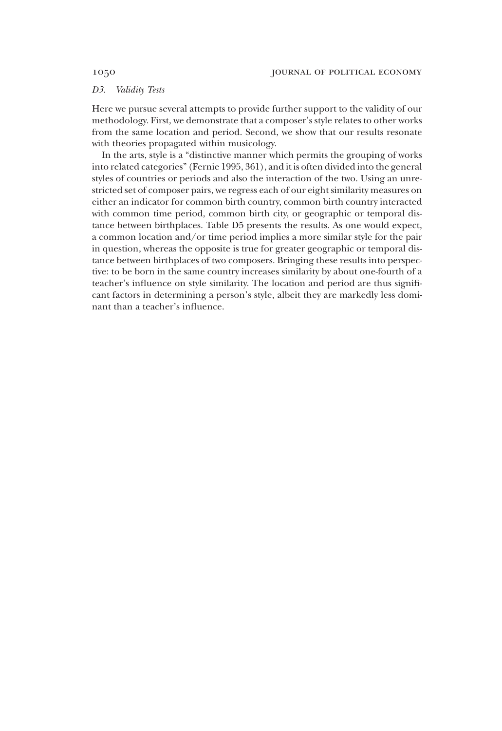## D3. Validity Tests

Here we pursue several attempts to provide further support to the validity of our methodology. First, we demonstrate that a composer's style relates to other works from the same location and period. Second, we show that our results resonate with theories propagated within musicology.

In the arts, style is a "distinctive manner which permits the grouping of works into related categories" (Fernie 1995, 361), and it is often divided into the general styles of countries or periods and also the interaction of the two. Using an unrestricted set of composer pairs, we regress each of our eight similarity measures on either an indicator for common birth country, common birth country interacted with common time period, common birth city, or geographic or temporal distance between birthplaces. Table D5 presents the results. As one would expect, a common location and/or time period implies a more similar style for the pair in question, whereas the opposite is true for greater geographic or temporal distance between birthplaces of two composers. Bringing these results into perspective: to be born in the same country increases similarity by about one-fourth of a teacher's influence on style similarity. The location and period are thus significant factors in determining a person's style, albeit they are markedly less dominant than a teacher's influence.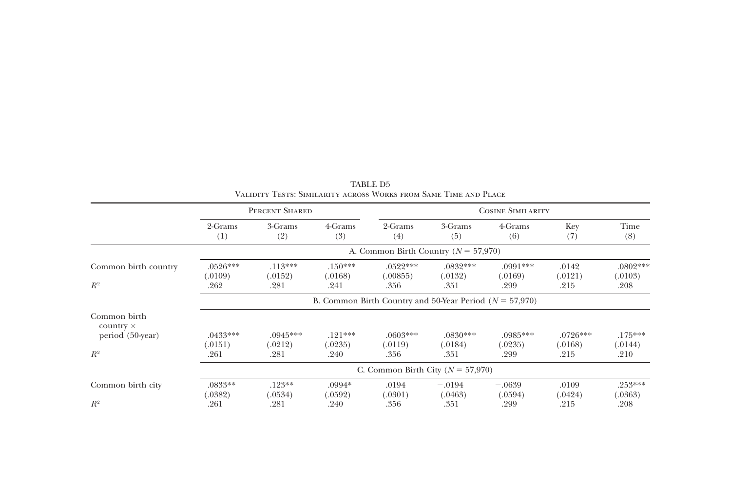|                                                      | PERCENT SHARED                                              |                                          |                              |                                | <b>COSINE SIMILARITY</b><br>3-Grams<br>4-Grams<br>Key<br>(5)<br>(6)<br>(7)<br>$.0832***$<br>$.0991***$<br>.0142<br>(.0132)<br>(.0169)<br>(.0121)<br>.351<br>.299<br>.215<br>$.0830***$<br>$.0726***$<br>$.0985***$<br>(.0184)<br>(.0235)<br>(.0168)<br>.299<br>.351<br>.215<br>$-.0194$<br>$-.0639$<br>.0109 |         |         |                               |  |  |  |
|------------------------------------------------------|-------------------------------------------------------------|------------------------------------------|------------------------------|--------------------------------|--------------------------------------------------------------------------------------------------------------------------------------------------------------------------------------------------------------------------------------------------------------------------------------------------------------|---------|---------|-------------------------------|--|--|--|
|                                                      | 2-Grams<br>(1)                                              | 3-Grams<br>(2)                           | 4-Grams<br>(3)               | 2-Grams<br>(4)                 |                                                                                                                                                                                                                                                                                                              |         |         | Time<br>(8)                   |  |  |  |
|                                                      |                                                             | A. Common Birth Country ( $N = 57,970$ ) |                              |                                |                                                                                                                                                                                                                                                                                                              |         |         |                               |  |  |  |
| Common birth country<br>$R^2$                        | $.0526***$<br>(.0109)<br>.262                               | $.113***$<br>(.0152)<br>.281             | $.150***$<br>(.0168)<br>.241 | $.0522***$<br>(.00855)<br>.356 |                                                                                                                                                                                                                                                                                                              |         |         | $.0802***$<br>(.0103)<br>.208 |  |  |  |
|                                                      | B. Common Birth Country and 50-Year Period ( $N = 57,970$ ) |                                          |                              |                                |                                                                                                                                                                                                                                                                                                              |         |         |                               |  |  |  |
| Common birth<br>$country \times$<br>period (50-year) | $.0433***$<br>(.0151)                                       | $.0945***$<br>(.0212)                    | $.121***$<br>(.0235)         | $.0603***$<br>(.0119)          |                                                                                                                                                                                                                                                                                                              |         |         | $.175***$<br>(.0144)          |  |  |  |
| $R^2$                                                | .261                                                        | .281                                     | .240                         | .356                           |                                                                                                                                                                                                                                                                                                              |         |         | .210                          |  |  |  |
|                                                      |                                                             | C. Common Birth City ( $N = 57,970$ )    |                              |                                |                                                                                                                                                                                                                                                                                                              |         |         |                               |  |  |  |
| Common birth city                                    | $.0833**$<br>(.0382)                                        | $.123**$<br>(.0534)                      | $.0994*$<br>(.0592)          | .0194<br>(.0301)               | (.0463)                                                                                                                                                                                                                                                                                                      | (.0594) | (.0424) | $.253***$<br>(.0363)          |  |  |  |
| $R^2$                                                | .261                                                        | .281                                     | .240                         | .356                           | .351                                                                                                                                                                                                                                                                                                         | .299    | .215    | .208                          |  |  |  |

TABLE D5Validity Tests: Similarity across Works from Same Time and Place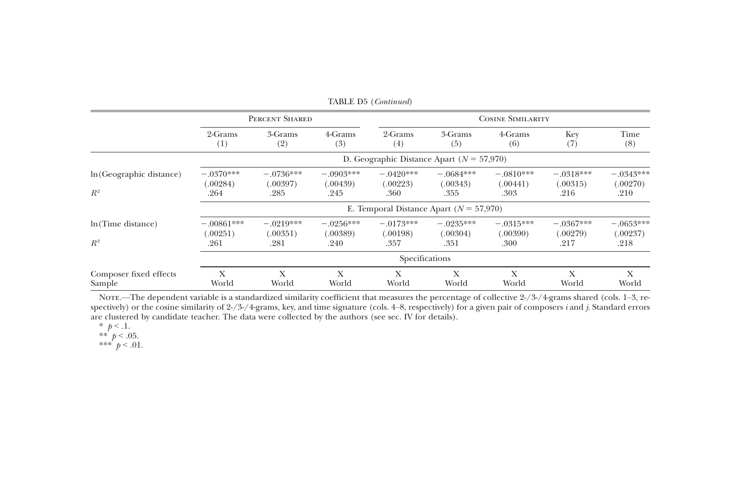|                                   |                                  |                                               |                                 | TABLE D5 (Continued)                        |                                 |                                 |                                 |                                 |  |  |
|-----------------------------------|----------------------------------|-----------------------------------------------|---------------------------------|---------------------------------------------|---------------------------------|---------------------------------|---------------------------------|---------------------------------|--|--|
|                                   |                                  | PERCENT SHARED                                |                                 | <b>COSINE SIMILARITY</b>                    |                                 |                                 |                                 |                                 |  |  |
|                                   | 2-Grams<br>(1)                   | 3-Grams<br>(2)                                | 4-Grams<br>(3)                  | 2-Grams<br>(4)                              | 3-Grams<br>(5)                  | 4-Grams<br>(6)                  | Key<br>(7)                      | Time<br>(8)                     |  |  |
|                                   |                                  | D. Geographic Distance Apart ( $N = 57,970$ ) |                                 |                                             |                                 |                                 |                                 |                                 |  |  |
| In (Geographic distance)<br>$R^2$ | $-.0370***$<br>(.00284)<br>.264  | $-.0736***$<br>(.00397)<br>.285               | $-.0903***$<br>(.00439)<br>.245 | $-.0420***$<br>(.00223)<br>.360             | $-.0684***$<br>(.00343)<br>.355 | $-.0810***$<br>(.00441)<br>.303 | $-.0318***$<br>(.00315)<br>.216 | $-.0343***$<br>(.00270)<br>.210 |  |  |
|                                   |                                  |                                               |                                 | E. Temporal Distance Apart ( $N = 57,970$ ) |                                 |                                 |                                 |                                 |  |  |
| ln(Time distance)<br>$R^2$        | $-.00861***$<br>(.00251)<br>.261 | $-.0219***$<br>(.00351)<br>.281               | $-.0256***$<br>(.00389)<br>.240 | $-.0173***$<br>(.00198)<br>.357             | $-.0235***$<br>(.00304)<br>.351 | $-.0315***$<br>(.00390)<br>.300 | $-.0367***$<br>(.00279)<br>.217 | $-.0653***$<br>(.00237)<br>.218 |  |  |
|                                   |                                  |                                               |                                 | Specifications                              |                                 |                                 |                                 |                                 |  |  |
| Composer fixed effects<br>Sample  | X<br>World                       | X<br>World                                    | X<br>World                      | X<br>World                                  | X<br>World                      | Х<br>World                      | X<br>World                      | X<br>World                      |  |  |

Nore.—The dependent variable is a standardized similarity coefficient that measures the percentage of collective 2-/3-/4-grams shared (cols. 1–3, respectively) or the cosine similarity of  $2\frac{1}{3}$  /4-grams, key, and time signature (cols. 4–8, respectively) for a given pair of composers *i* and *j*. Standard errors are clustered by candidate teacher. The data were collected by the authors (see sec. IV for details).

\*\*\*  $p < .01$ .

<sup>\*</sup>  $p < 0.1$ .<br>\*\*  $p < 0.05$ .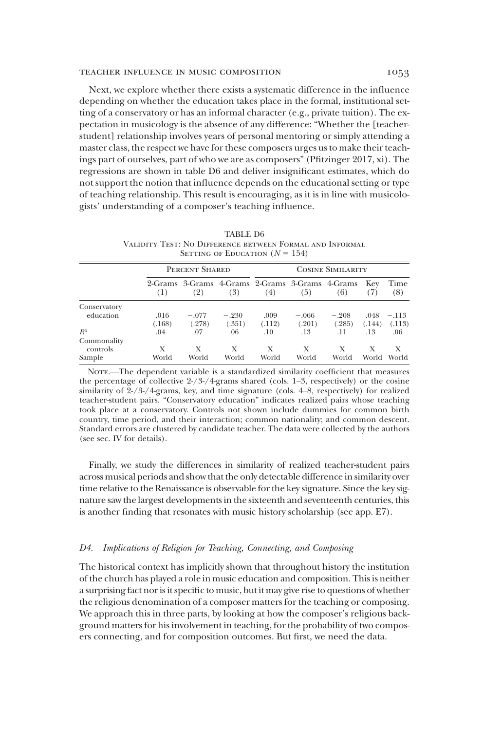## TEACHER INFLUENCE IN MUSIC COMPOSITION 1053

Next, we explore whether there exists a systematic difference in the influence depending on whether the education takes place in the formal, institutional setting of a conservatory or has an informal character (e.g., private tuition). The expectation in musicology is the absence of any difference: "Whether the [teacherstudent] relationship involves years of personal mentoring or simply attending a master class, the respect we have for these composers urges us to make their teachings part of ourselves, part of who we are as composers" (Pfitzinger 2017, xi). The regressions are shown in table D6 and deliver insignificant estimates, which do not support the notion that influence depends on the educational setting or type of teaching relationship. This result is encouraging, as it is in line with musicologists' understanding of a composer's teaching influence.

|              |        | SETTING OF EDUCATION $(N = 154)$                       |         |                          |         |         |            |             |
|--------------|--------|--------------------------------------------------------|---------|--------------------------|---------|---------|------------|-------------|
|              |        | PERCENT SHARED                                         |         | <b>COSINE SIMILARITY</b> |         |         |            |             |
|              | (1)    | 2-Grams 3-Grams 4-Grams 2-Grams 3-Grams 4-Grams<br>(2) | (3)     | (4)                      | (5)     | (6)     | Kev<br>(7) | Time<br>(8) |
| Conservatory |        |                                                        |         |                          |         |         |            |             |
| education    | .016   | $-.077$                                                | $-.230$ | .009                     | $-.066$ | $-.208$ | .048       | $-.113$     |
|              | (.168) | (.278)                                                 | (.351)  | (.112)                   | (.201)  | (.285)  | (.144)     | (.113)      |
| $R^2$        | .04    | .07                                                    | .06     | .10                      | .13     | .11     | .13        | .06         |
| Commonality  |        |                                                        |         |                          |         |         |            |             |
| controls     | X      | X                                                      | Х       | X                        | Х       | Х       | Х          | X           |
| Sample       | World  | World                                                  | World   | World                    | World   | World   | World      | World       |

TABLE D6 Validity Test: No Difference between Formal and Informal SETTING OF EDUCATION  $(N = 154)$ 

Nore.—The dependent variable is a standardized similarity coefficient that measures the percentage of collective 2-/3-/4-grams shared (cols. 1–3, respectively) or the cosine similarity of  $2\frac{1}{3}$  /4-grams, key, and time signature (cols. 4–8, respectively) for realized teacher-student pairs. "Conservatory education" indicates realized pairs whose teaching took place at a conservatory. Controls not shown include dummies for common birth country, time period, and their interaction; common nationality; and common descent. Standard errors are clustered by candidate teacher. The data were collected by the authors (see sec. IV for details).

Finally, we study the differences in similarity of realized teacher-student pairs across musical periods and show that the only detectable difference in similarity over time relative to the Renaissance is observable for the key signature. Since the key signature saw the largest developments in the sixteenth and seventeenth centuries, this is another finding that resonates with music history scholarship (see app. E7).

## D4. Implications of Religion for Teaching, Connecting, and Composing

The historical context has implicitly shown that throughout history the institution of the church has played a role in music education and composition. This is neither a surprising fact nor is it specific to music, but it may give rise to questions of whether the religious denomination of a composer matters for the teaching or composing. We approach this in three parts, by looking at how the composer's religious background matters for his involvement in teaching, for the probability of two composers connecting, and for composition outcomes. But first, we need the data.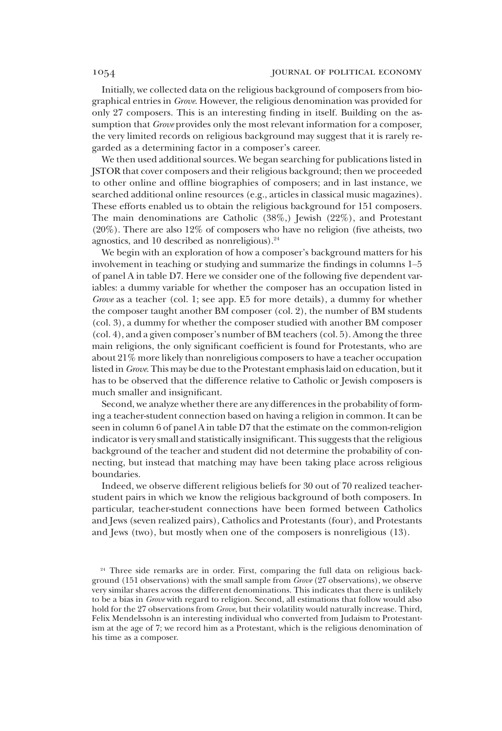Initially, we collected data on the religious background of composers from biographical entries in Grove. However, the religious denomination was provided for only 27 composers. This is an interesting finding in itself. Building on the assumption that Grove provides only the most relevant information for a composer, the very limited records on religious background may suggest that it is rarely regarded as a determining factor in a composer's career.

We then used additional sources. We began searching for publications listed in JSTOR that cover composers and their religious background; then we proceeded to other online and offline biographies of composers; and in last instance, we searched additional online resources (e.g., articles in classical music magazines). These efforts enabled us to obtain the religious background for 151 composers. The main denominations are Catholic (38%,) Jewish (22%), and Protestant (20%). There are also 12% of composers who have no religion (five atheists, two agnostics, and 10 described as nonreligious). $24$ 

We begin with an exploration of how a composer's background matters for his involvement in teaching or studying and summarize the findings in columns 1–5 of panel A in table D7. Here we consider one of the following five dependent variables: a dummy variable for whether the composer has an occupation listed in Grove as a teacher (col. 1; see app. E5 for more details), a dummy for whether the composer taught another BM composer (col. 2), the number of BM students (col. 3), a dummy for whether the composer studied with another BM composer (col. 4), and a given composer's number of BM teachers (col. 5). Among the three main religions, the only significant coefficient is found for Protestants, who are about 21% more likely than nonreligious composers to have a teacher occupation listed in *Grove*. This may be due to the Protestant emphasis laid on education, but it has to be observed that the difference relative to Catholic or Jewish composers is much smaller and insignificant.

Second, we analyze whether there are any differences in the probability of forming a teacher-student connection based on having a religion in common. It can be seen in column 6 of panel A in table D7 that the estimate on the common-religion indicator is very small and statistically insignificant. This suggests that the religious background of the teacher and student did not determine the probability of connecting, but instead that matching may have been taking place across religious boundaries.

Indeed, we observe different religious beliefs for 30 out of 70 realized teacherstudent pairs in which we know the religious background of both composers. In particular, teacher-student connections have been formed between Catholics and Jews (seven realized pairs), Catholics and Protestants (four), and Protestants and Jews (two), but mostly when one of the composers is nonreligious (13).

<sup>&</sup>lt;sup>24</sup> Three side remarks are in order. First, comparing the full data on religious background (151 observations) with the small sample from Grove (27 observations), we observe very similar shares across the different denominations. This indicates that there is unlikely to be a bias in Grove with regard to religion. Second, all estimations that follow would also hold for the 27 observations from Grove, but their volatility would naturally increase. Third, Felix Mendelssohn is an interesting individual who converted from Judaism to Protestantism at the age of 7; we record him as a Protestant, which is the religious denomination of his time as a composer.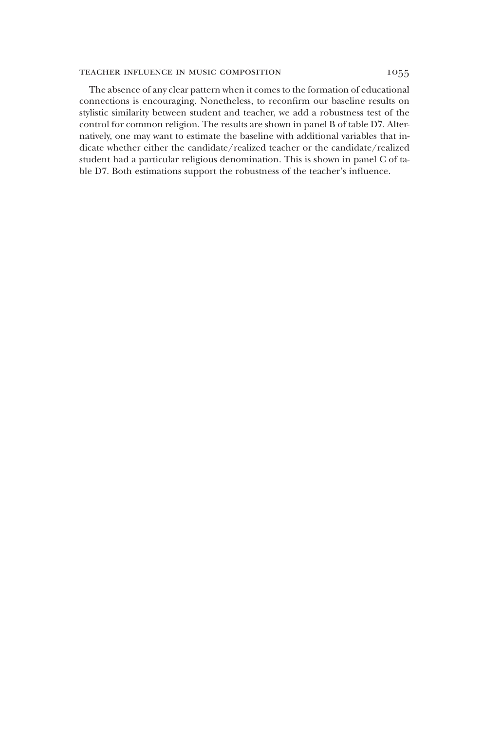## TEACHER INFLUENCE IN MUSIC COMPOSITION 1055

The absence of any clear pattern when it comes to the formation of educational connections is encouraging. Nonetheless, to reconfirm our baseline results on stylistic similarity between student and teacher, we add a robustness test of the control for common religion. The results are shown in panel B of table D7. Alternatively, one may want to estimate the baseline with additional variables that indicate whether either the candidate/realized teacher or the candidate/realized student had a particular religious denomination. This is shown in panel C of table D7. Both estimations support the robustness of the teacher's influence.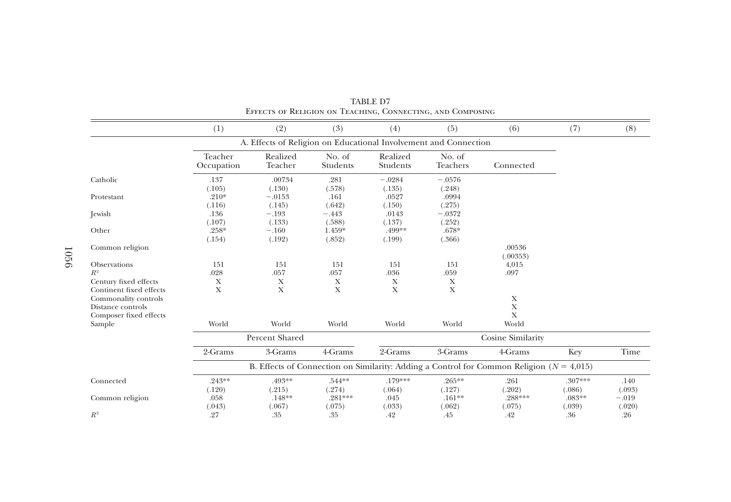|                                                                                                                         | (1)                   | (2)                        | (3)                | (4)                  | (5)                                                              | (6)                                                                                          | (7)                 | (8)               |
|-------------------------------------------------------------------------------------------------------------------------|-----------------------|----------------------------|--------------------|----------------------|------------------------------------------------------------------|----------------------------------------------------------------------------------------------|---------------------|-------------------|
|                                                                                                                         |                       |                            |                    |                      | A. Effects of Religion on Educational Involvement and Connection |                                                                                              |                     |                   |
|                                                                                                                         | Teacher<br>Occupation | Realized<br>Teacher        | No. of<br>Students | Realized<br>Students | No. of<br>Teachers                                               | Connected                                                                                    |                     |                   |
| Catholic                                                                                                                | .137<br>(.105)        | .00734<br>(.130)           | .281<br>(.578)     | $-.0284$<br>(.135)   | $-.0576$<br>(.248)                                               |                                                                                              |                     |                   |
| Protestant                                                                                                              | $.210*$<br>(.116)     | $-.0153$<br>(.145)         | .161<br>(.642)     | .0527<br>(.150)      | .0994<br>(.275)                                                  |                                                                                              |                     |                   |
| <b>Jewish</b>                                                                                                           | .136<br>(.107)        | $-.193$<br>(.133)          | $-.443$<br>(.588)  | .0143<br>(.137)      | $-.0372$<br>(.252)                                               |                                                                                              |                     |                   |
| Other                                                                                                                   | $.258*$<br>(.154)     | $-.160$<br>(.192)          | 1.459*<br>(.852)   | .499**<br>(.199)     | $.678*$<br>(.366)                                                |                                                                                              |                     |                   |
| Common religion                                                                                                         |                       |                            |                    |                      |                                                                  | .00536<br>(.00353)                                                                           |                     |                   |
| Observations<br>$R^2$                                                                                                   | 151<br>.028           | 151<br>.057                | 151<br>.057        | 151<br>.036          | 151<br>.059                                                      | 4,015<br>.097                                                                                |                     |                   |
| Century fixed effects<br>Continent fixed effects<br>Commonality controls<br>Distance controls<br>Composer fixed effects | X<br>X                | $\mathbf X$<br>$\mathbf X$ | X<br>$\mathbf X$   | X<br>$\mathbf X$     | X<br>$\mathbf X$                                                 | Х<br>X<br>X                                                                                  |                     |                   |
| Sample                                                                                                                  | World                 | World                      | World              | World                | World                                                            | World                                                                                        |                     |                   |
|                                                                                                                         |                       | Percent Shared             |                    |                      |                                                                  | Cosine Similarity                                                                            |                     |                   |
|                                                                                                                         | 2-Grams               | 3-Grams                    | 4-Grams            | 2-Grams              | 3-Grams                                                          | 4-Grams                                                                                      | Key                 | Time              |
|                                                                                                                         |                       |                            |                    |                      |                                                                  | B. Effects of Connection on Similarity: Adding a Control for Common Religion ( $N = 4,015$ ) |                     |                   |
| Connected                                                                                                               | $.243**$<br>(.120)    | .493**<br>(.215)           | .544**<br>(.274)   | .179***<br>(.064)    | $.265***$<br>(.127)                                              | .261<br>(.202)                                                                               | $.307***$<br>(.086) | .140<br>(.093)    |
| Common religion                                                                                                         | .058<br>(.043)        | $.148**$<br>(.067)         | .281***<br>(.075)  | .045<br>(.033)       | $.161**$<br>(.062)                                               | .288***<br>(.075)                                                                            | $.083**$<br>(.039)  | $-.019$<br>(.020) |
| $R^2$                                                                                                                   | .27                   | .35                        | .35                | .42                  | .45                                                              | .42                                                                                          | .36                 | .26               |

TABLE D7 Effects of Religion on Teaching, Connecting, and Composing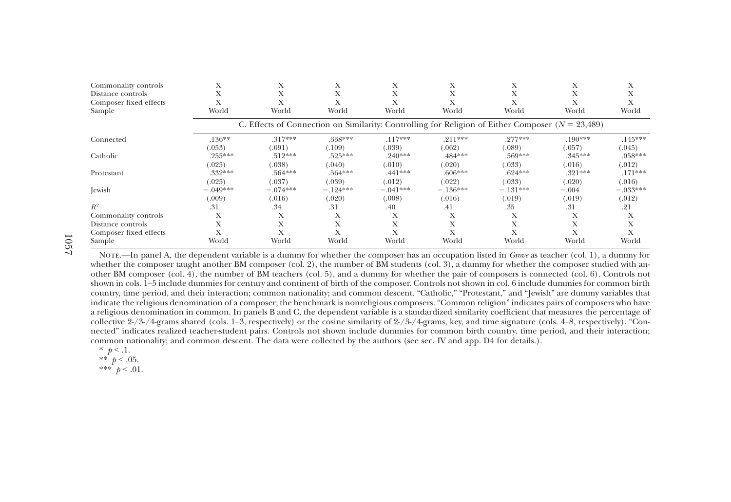| Commonality controls   | Х          | л          | л            | X          | Х          | $\lambda$                                                                                            | Х         | л          |
|------------------------|------------|------------|--------------|------------|------------|------------------------------------------------------------------------------------------------------|-----------|------------|
| Distance controls      | Х          |            | $\lambda$    | Х          | Х          | $\lambda$                                                                                            |           | А          |
| Composer fixed effects |            |            |              |            |            |                                                                                                      |           |            |
| Sample                 | World      | World      | World        | World      | World      | World                                                                                                | World     | World      |
|                        |            |            |              |            |            | C. Effects of Connection on Similarity: Controlling for Religion of Either Composer ( $N = 23,489$ ) |           |            |
| Connected              | $.136**$   | $.317***$  | .338***      | $.117***$  | $.211***$  | $.277***$                                                                                            | $.190***$ | $.145***$  |
|                        | (.053)     | (.091)     | (.109)       | (.039)     | (.062)     | (.089)                                                                                               | (.057)    | (.045)     |
| Catholic               | $.255***$  | $.512***$  | $.525***$    | $.240***$  | .484***    | .569***                                                                                              | $.345***$ | $.058***$  |
|                        | (.025)     | (.038)     | (.040)       | (.010)     | (.020)     | (.033)                                                                                               | (.016)    | (.012)     |
| Protestant             | .332***    | $.564***$  | $.564***$    | $.441***$  | $.606***$  | $.624***$                                                                                            | $.321***$ | $.171***$  |
|                        | (.025)     | (.037)     | (.039)       | (.012)     | (.022)     | (.033)                                                                                               | (.020)    | (.016)     |
| Jewish                 | $-.049***$ | $-.074***$ | $-.124***$   | $-.041***$ | $-.136***$ | $-.131***$                                                                                           | $-.004$   | $-.033***$ |
|                        | (.009)     | (.016)     | (.020)       | (.008)     | (.016)     | (.019)                                                                                               | (.019)    | (.012)     |
| $R^2$                  | .31        | .34        | .31          | .40        | .41        | .35                                                                                                  | .31       | .21        |
| Commonality controls   | X          | л          | $\mathbf{x}$ | Х          | Х          | $\lambda$                                                                                            | Х         | Х          |
| Distance controls      | X          | $\lambda$  | Х            | X          | Х          | X                                                                                                    |           | Х          |
| Composer fixed effects |            |            |              |            |            |                                                                                                      |           |            |
| Sample                 | World      | World      | World        | World      | World      | World                                                                                                | World     | World      |

1057

NOTE.—In panel A, the dependent variable is a dummy for whether the composer has an occupation listed in Grove as teacher (col. 1), a dummy for whether the composer taught another BM composer (col. 2), the number of BM students (col. 3), a dummy for whether the composer studied with another BM composer (col. 4), the number of BM teachers (col. 5), and <sup>a</sup> dummy for whether the pair of composers is connected (col. 6). Controls not shown in cols. 1–5 include dummies for century and continent of birth of the composer. Controls not shown in col. 6 include dummies for common birth country, time period, and their interaction; common nationality; and common descent. "Catholic," "Protestant," and "Jewish" are dummy variables that indicate the religious denomination of <sup>a</sup> composer; the benchmark is nonreligious composers. "Common religion" indicates pairs of composers who have <sup>a</sup> religious denomination in common. In panels <sup>B</sup> and C, the dependent variable is <sup>a</sup> standardized similarity coefficient that measures the percentage of collective 2-/3-/4-grams shared (cols. 1–3, respectively) or the cosine similarity of 2-/3-/4-grams, key, and time signature (cols. 4–8, respectively). "Connected" indicates realized teacher-student pairs. Controls not shown include dummies for common birth country, time period, and their interaction; common nationality; and common descent. The data were collected by the authors (see sec. IV and app. D4 for details.).

\*  $p < 1$ .

\*\*  $p < .05$ . \*\*\*  $p < .01$ .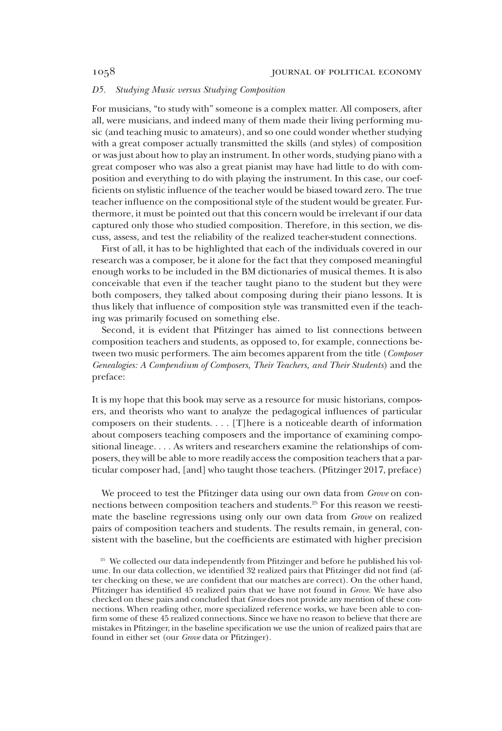### D5. Studying Music versus Studying Composition

For musicians, "to study with" someone is a complex matter. All composers, after all, were musicians, and indeed many of them made their living performing music (and teaching music to amateurs), and so one could wonder whether studying with a great composer actually transmitted the skills (and styles) of composition or was just about how to play an instrument. In other words, studying piano with a great composer who was also a great pianist may have had little to do with composition and everything to do with playing the instrument. In this case, our coefficients on stylistic influence of the teacher would be biased toward zero. The true teacher influence on the compositional style of the student would be greater. Furthermore, it must be pointed out that this concern would be irrelevant if our data captured only those who studied composition. Therefore, in this section, we discuss, assess, and test the reliability of the realized teacher-student connections.

First of all, it has to be highlighted that each of the individuals covered in our research was a composer, be it alone for the fact that they composed meaningful enough works to be included in the BM dictionaries of musical themes. It is also conceivable that even if the teacher taught piano to the student but they were both composers, they talked about composing during their piano lessons. It is thus likely that influence of composition style was transmitted even if the teaching was primarily focused on something else.

Second, it is evident that Pfitzinger has aimed to list connections between composition teachers and students, as opposed to, for example, connections between two music performers. The aim becomes apparent from the title (*Composer*) Genealogies: A Compendium of Composers, Their Teachers, and Their Students) and the preface:

It is my hope that this book may serve as a resource for music historians, composers, and theorists who want to analyze the pedagogical influences of particular composers on their students. ... [T]here is a noticeable dearth of information about composers teaching composers and the importance of examining compositional lineage. ... As writers and researchers examine the relationships of composers, they will be able to more readily access the composition teachers that a particular composer had, [and] who taught those teachers. (Pfitzinger 2017, preface)

We proceed to test the Pfitzinger data using our own data from Grove on connections between composition teachers and students.<sup>25</sup> For this reason we reestimate the baseline regressions using only our own data from Grove on realized pairs of composition teachers and students. The results remain, in general, consistent with the baseline, but the coefficients are estimated with higher precision

<sup>&</sup>lt;sup>25</sup> We collected our data independently from Pfitzinger and before he published his volume. In our data collection, we identified 32 realized pairs that Pfitzinger did not find (after checking on these, we are confident that our matches are correct). On the other hand, Pfitzinger has identified 45 realized pairs that we have not found in Grove. We have also checked on these pairs and concluded that Grove does not provide any mention of these connections. When reading other, more specialized reference works, we have been able to confirm some of these 45 realized connections. Since we have no reason to believe that there are mistakes in Pfitzinger, in the baseline specification we use the union of realized pairs that are found in either set (our Grove data or Pfitzinger).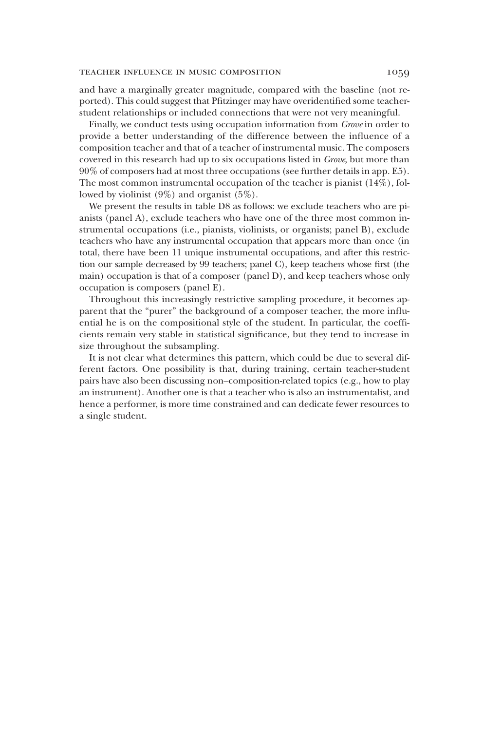## TEACHER INFLUENCE IN MUSIC COMPOSITION 1059

and have a marginally greater magnitude, compared with the baseline (not reported). This could suggest that Pfitzinger may have overidentified some teacherstudent relationships or included connections that were not very meaningful.

Finally, we conduct tests using occupation information from Grove in order to provide a better understanding of the difference between the influence of a composition teacher and that of a teacher of instrumental music. The composers covered in this research had up to six occupations listed in Grove, but more than 90% of composers had at most three occupations (see further details in app. E5). The most common instrumental occupation of the teacher is pianist (14%), followed by violinist (9%) and organist (5%).

We present the results in table D8 as follows: we exclude teachers who are pianists (panel A), exclude teachers who have one of the three most common instrumental occupations (i.e., pianists, violinists, or organists; panel B), exclude teachers who have any instrumental occupation that appears more than once (in total, there have been 11 unique instrumental occupations, and after this restriction our sample decreased by 99 teachers; panel C), keep teachers whose first (the main) occupation is that of a composer (panel D), and keep teachers whose only occupation is composers (panel E).

Throughout this increasingly restrictive sampling procedure, it becomes apparent that the "purer" the background of a composer teacher, the more influential he is on the compositional style of the student. In particular, the coefficients remain very stable in statistical significance, but they tend to increase in size throughout the subsampling.

It is not clear what determines this pattern, which could be due to several different factors. One possibility is that, during training, certain teacher-student pairs have also been discussing non–composition-related topics (e.g., how to play an instrument). Another one is that a teacher who is also an instrumentalist, and hence a performer, is more time constrained and can dedicate fewer resources to a single student.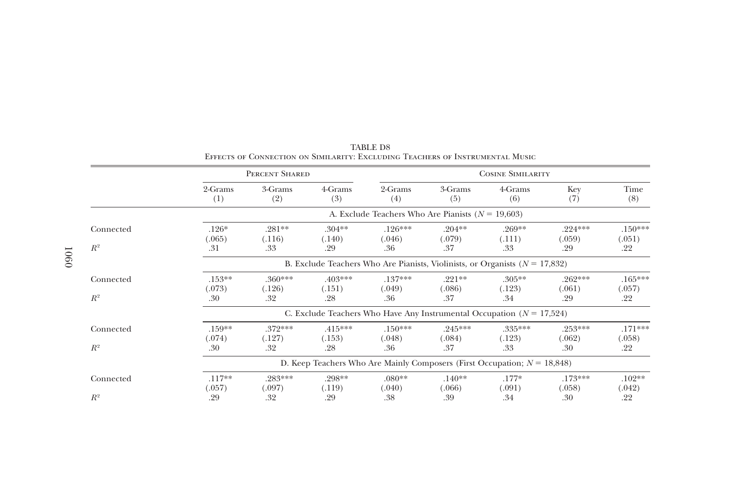|                    |                            | PERCENT SHARED                                                                  |                            |                            |                            | <b>COSINE SIMILARITY</b>                                                    |                            |                            |  |  |
|--------------------|----------------------------|---------------------------------------------------------------------------------|----------------------------|----------------------------|----------------------------|-----------------------------------------------------------------------------|----------------------------|----------------------------|--|--|
|                    | 2-Grams<br>(1)             | 3-Grams<br>(2)                                                                  | 4-Grams<br>(3)             | 2-Grams<br>(4)             | 3-Grams<br>(5)             | 4-Grams<br>(6)                                                              | Key<br>(7)                 | Time<br>(8)                |  |  |
|                    |                            | A. Exclude Teachers Who Are Pianists ( $N = 19,603$ )                           |                            |                            |                            |                                                                             |                            |                            |  |  |
| Connected<br>$R^2$ | $.126*$<br>(.065)<br>.31   | $.281**$<br>(.116)<br>.33                                                       | $.304**$<br>(.140)<br>.29  | $.126***$<br>(.046)<br>.36 | $.204**$<br>(.079)<br>.37  | $.269**$<br>(.111)<br>.33                                                   | $.224***$<br>(.059)<br>.29 | $.150***$<br>(.051)<br>.22 |  |  |
|                    |                            | B. Exclude Teachers Who Are Pianists, Violinists, or Organists ( $N = 17,832$ ) |                            |                            |                            |                                                                             |                            |                            |  |  |
| Connected<br>$R^2$ | $.153***$<br>(.073)<br>.30 | $.360***$<br>(.126)<br>.32                                                      | $.403***$<br>(.151)<br>.28 | $.137***$<br>(.049)<br>.36 | $.221**$<br>(.086)<br>.37  | $.305***$<br>(.123)<br>.34                                                  | $.262***$<br>(.061)<br>.29 | $.165***$<br>(.057)<br>.22 |  |  |
|                    |                            |                                                                                 |                            |                            |                            | C. Exclude Teachers Who Have Any Instrumental Occupation ( $N = 17,524$ )   |                            |                            |  |  |
| Connected<br>$R^2$ | $.159**$<br>(.074)<br>.30  | $.372***$<br>(.127)<br>.32                                                      | $.415***$<br>(.153)<br>.28 | $.150***$<br>(.048)<br>.36 | $.245***$<br>(.084)<br>.37 | $.335***$<br>(.123)<br>.33                                                  | $.253***$<br>(.062)<br>.30 | $.171***$<br>(.058)<br>.22 |  |  |
|                    |                            |                                                                                 |                            |                            |                            | D. Keep Teachers Who Are Mainly Composers (First Occupation; $N = 18,848$ ) |                            |                            |  |  |
| Connected          | $.117**$<br>(.057)         | $.283***$<br>(.097)                                                             | .298**<br>(.119)           | $.080**$<br>(.040)         | $.140**$<br>(.066)         | $.177*$<br>(.091)                                                           | $.173***$<br>(.058)        | $.102**$<br>(.042)         |  |  |
| $R^2$              | .29                        | .32                                                                             | .29                        | .38                        | .39                        | .34                                                                         | .30                        | .22                        |  |  |

TABLE D8Effects of Connection on Similarity: Excluding Teachers of Instrumental Music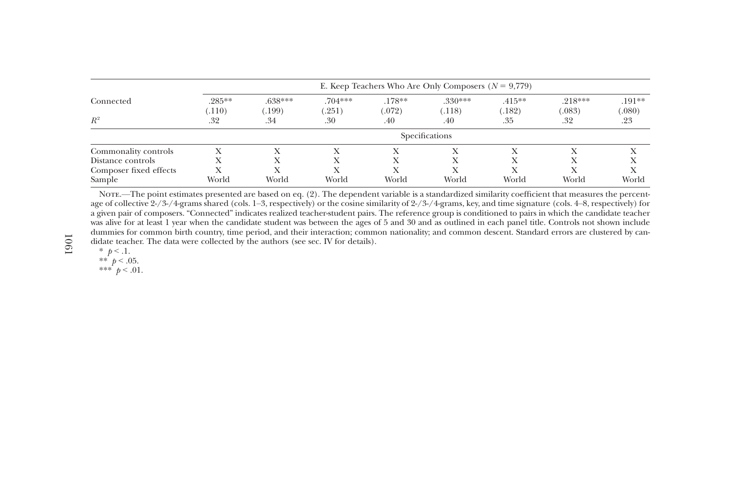|                        |                      | E. Keep Teachers Who Are Only Composers $(N = 9,779)$ |                     |                    |                     |                     |                     |                    |  |  |
|------------------------|----------------------|-------------------------------------------------------|---------------------|--------------------|---------------------|---------------------|---------------------|--------------------|--|--|
| Connected              | $.285***$<br>(0.110) | $.638***$<br>(199)                                    | $.704***$<br>(.251) | $.178**$<br>(.072) | $.330***$<br>(.118) | $.415***$<br>(.182) | $.218***$<br>(.083) | $.191**$<br>(.080) |  |  |
| $R^2$                  | .32                  | .34                                                   | .30                 | .40                | .40                 | .35                 | .32                 | .23                |  |  |
|                        |                      |                                                       |                     |                    | Specifications      |                     |                     |                    |  |  |
| Commonality controls   |                      |                                                       |                     |                    |                     |                     |                     |                    |  |  |
| Distance controls      |                      |                                                       |                     |                    |                     |                     |                     |                    |  |  |
| Composer fixed effects |                      |                                                       |                     |                    |                     |                     |                     |                    |  |  |
| Sample                 | World                | World                                                 | World               | World              | World               | World               | World               | World              |  |  |

Note.—The point estimates presented are based on eq. (2). The dependent variable is <sup>a</sup> standardized similarity coefficient that measures the percentage of collective 2-/3-/4-grams shared (cols. 1–3, respectively) or the cosine similarity of 2-/3-/4-grams, key, and time signature (cols. 4–8, respectively) for <sup>a</sup> given pair of composers. "Connected" indicates realized teacher-student pairs. The reference group is conditioned to pairs in which the candidate teacher was alive for at least 1 year when the candidate student was between the ages of 5 and 30 and as outlined in each panel title. Controls not shown include dummies for common birth country, time period, and their interaction; common nationality; and common descent. Standard errors are clustered by candidate teacher. The data were collected by the authors (see sec. IV for details).

\*  $p < 1$ .

\*\*  $p < .05$ .

\*\*\*  $p < .01$ .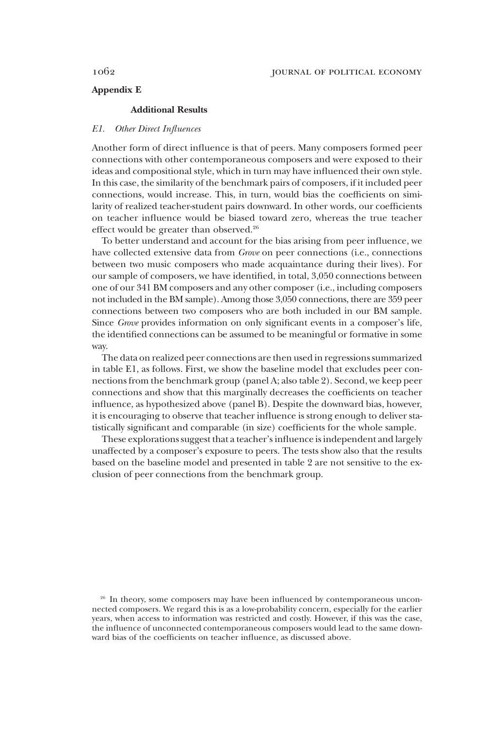# Appendix E

## Additional Results

## E1. Other Direct Influences

Another form of direct influence is that of peers. Many composers formed peer connections with other contemporaneous composers and were exposed to their ideas and compositional style, which in turn may have influenced their own style. In this case, the similarity of the benchmark pairs of composers, if it included peer connections, would increase. This, in turn, would bias the coefficients on similarity of realized teacher-student pairs downward. In other words, our coefficients on teacher influence would be biased toward zero, whereas the true teacher effect would be greater than observed.<sup>26</sup>

To better understand and account for the bias arising from peer influence, we have collected extensive data from *Grove* on peer connections (i.e., connections between two music composers who made acquaintance during their lives). For our sample of composers, we have identified, in total, 3,050 connections between one of our 341 BM composers and any other composer (i.e., including composers not included in the BM sample). Among those 3,050 connections, there are 359 peer connections between two composers who are both included in our BM sample. Since Grove provides information on only significant events in a composer's life, the identified connections can be assumed to be meaningful or formative in some way.

The data on realized peer connections are then used in regressions summarized in table E1, as follows. First, we show the baseline model that excludes peer connections from the benchmark group (panel A; also table 2). Second, we keep peer connections and show that this marginally decreases the coefficients on teacher influence, as hypothesized above (panel B). Despite the downward bias, however, it is encouraging to observe that teacher influence is strong enough to deliver statistically significant and comparable (in size) coefficients for the whole sample.

These explorations suggest that a teacher's influence is independent and largely unaffected by a composer's exposure to peers. The tests show also that the results based on the baseline model and presented in table 2 are not sensitive to the exclusion of peer connections from the benchmark group.

<sup>&</sup>lt;sup>26</sup> In theory, some composers may have been influenced by contemporaneous unconnected composers. We regard this is as a low-probability concern, especially for the earlier years, when access to information was restricted and costly. However, if this was the case, the influence of unconnected contemporaneous composers would lead to the same downward bias of the coefficients on teacher influence, as discussed above.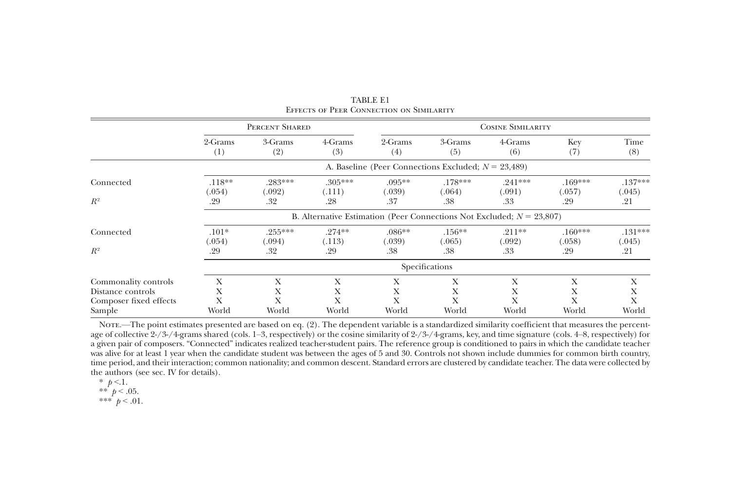|                                                                     |                                                                                                                           | PERCENT SHARED     |                     |                     | <b>COSINE SIMILARITY</b>                               |                     |                     |                     |  |
|---------------------------------------------------------------------|---------------------------------------------------------------------------------------------------------------------------|--------------------|---------------------|---------------------|--------------------------------------------------------|---------------------|---------------------|---------------------|--|
|                                                                     | 2-Grams<br>$^{(1)}$                                                                                                       | 3-Grams<br>(2)     | 4-Grams<br>(3)      | 2-Grams<br>(4)      | 3-Grams<br>(5)                                         | 4-Grams<br>(6)      | Key<br>(7)          | Time<br>(8)         |  |
|                                                                     |                                                                                                                           |                    |                     |                     | A. Baseline (Peer Connections Excluded; $N = 23,489$ ) |                     |                     |                     |  |
| Connected<br>$R^2$                                                  | $.118**$<br>(.054)                                                                                                        | $.283***$<br>.092) | $.305***$<br>(.111) | $.095***$<br>(0.39) | $.178***$<br>(.064)                                    | $.241***$<br>(.091) | $.169***$<br>(.057) | $.137***$<br>(.045) |  |
|                                                                     | .37<br>.32<br>.28<br>.38<br>.33<br>.29<br>.29<br>B. Alternative Estimation (Peer Connections Not Excluded; $N = 23,807$ ) |                    |                     |                     |                                                        |                     |                     | .21                 |  |
| Connected                                                           | $.101*$<br>(.054)                                                                                                         | $.255***$<br>.094) | $.274**$<br>(.113)  | $.086**$<br>(039)   | $.156***$<br>(.065)                                    | $.211**$<br>(.092)  | $.160***$<br>(.058) | $.131***$<br>(.045) |  |
| $R^2$                                                               | .29                                                                                                                       | .32                | .29                 | .38                 | .38                                                    | .33                 | .29                 | .21                 |  |
|                                                                     | Specifications                                                                                                            |                    |                     |                     |                                                        |                     |                     |                     |  |
| Commonality controls<br>Distance controls<br>Composer fixed effects | X<br>X<br>Х                                                                                                               | Х<br>Х<br>X        | X<br>Х<br>X         | X<br>X              | X<br>Х<br>X                                            | Х<br>Х<br>X         | Х<br>Х<br>Х         | X<br>Х<br>X         |  |
| Sample                                                              | World                                                                                                                     | World              | World               | World               | World                                                  | World               | World               | World               |  |

TABLE E1Effects of Peer Connection on Similarity

Note.—The point estimates presented are based on eq. (2). The dependent variable is <sup>a</sup> standardized similarity coefficient that measures the percentage of collective 2-/3-/4-grams shared (cols. 1–3, respectively) or the cosine similarity of 2-/3-/4-grams, key, and time signature (cols. 4–8, respectively) for <sup>a</sup> given pair of composers. "Connected" indicates realized teacher-student pairs. The reference group is conditioned to pairs in which the candidate teacher was alive for at least 1 year when the candidate student was between the ages of 5 and 30. Controls not shown include dummies for common birth country, time period, and their interaction; common nationality; and common descent. Standard errors are clustered by candidate teacher. The data were collected by the authors (see sec. IV for details).

\*  $p < 1$ .

\*\*  $p < .05$ .

\*\*\*  $p < .01$ .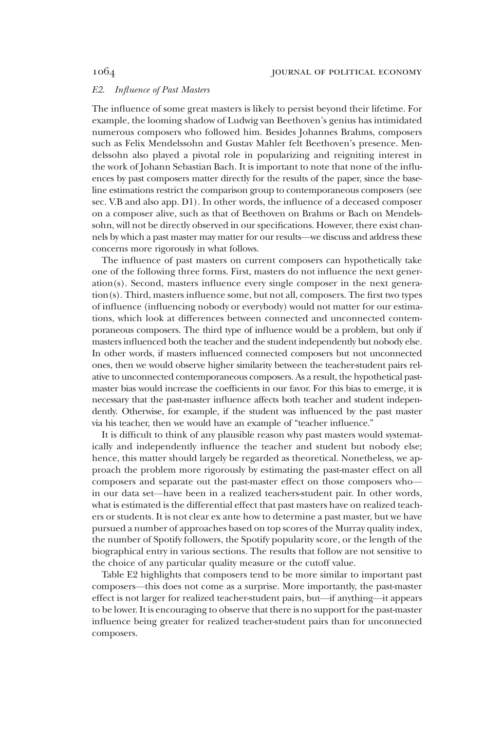### E2. Influence of Past Masters

The influence of some great masters is likely to persist beyond their lifetime. For example, the looming shadow of Ludwig van Beethoven's genius has intimidated numerous composers who followed him. Besides Johannes Brahms, composers such as Felix Mendelssohn and Gustav Mahler felt Beethoven's presence. Mendelssohn also played a pivotal role in popularizing and reigniting interest in the work of Johann Sebastian Bach. It is important to note that none of the influences by past composers matter directly for the results of the paper, since the baseline estimations restrict the comparison group to contemporaneous composers (see sec. V.B and also app. D1). In other words, the influence of a deceased composer on a composer alive, such as that of Beethoven on Brahms or Bach on Mendelssohn, will not be directly observed in our specifications. However, there exist channels by which a past master may matter for our results—we discuss and address these concerns more rigorously in what follows.

The influence of past masters on current composers can hypothetically take one of the following three forms. First, masters do not influence the next generation(s). Second, masters influence every single composer in the next generation(s). Third, masters influence some, but not all, composers. The first two types of influence (influencing nobody or everybody) would not matter for our estimations, which look at differences between connected and unconnected contemporaneous composers. The third type of influence would be a problem, but only if masters influenced both the teacher and the student independently but nobody else. In other words, if masters influenced connected composers but not unconnected ones, then we would observe higher similarity between the teacher-student pairs relative to unconnected contemporaneous composers. As a result, the hypothetical pastmaster bias would increase the coefficients in our favor. For this bias to emerge, it is necessary that the past-master influence affects both teacher and student independently. Otherwise, for example, if the student was influenced by the past master via his teacher, then we would have an example of "teacher influence."

It is difficult to think of any plausible reason why past masters would systematically and independently influence the teacher and student but nobody else; hence, this matter should largely be regarded as theoretical. Nonetheless, we approach the problem more rigorously by estimating the past-master effect on all composers and separate out the past-master effect on those composers who in our data set—have been in a realized teachers-student pair. In other words, what is estimated is the differential effect that past masters have on realized teachers or students. It is not clear ex ante how to determine a past master, but we have pursued a number of approaches based on top scores of the Murray quality index, the number of Spotify followers, the Spotify popularity score, or the length of the biographical entry in various sections. The results that follow are not sensitive to the choice of any particular quality measure or the cutoff value.

Table E2 highlights that composers tend to be more similar to important past composers—this does not come as a surprise. More importantly, the past-master effect is not larger for realized teacher-student pairs, but—if anything—it appears to be lower. It is encouraging to observe that there is no support for the past-master influence being greater for realized teacher-student pairs than for unconnected composers.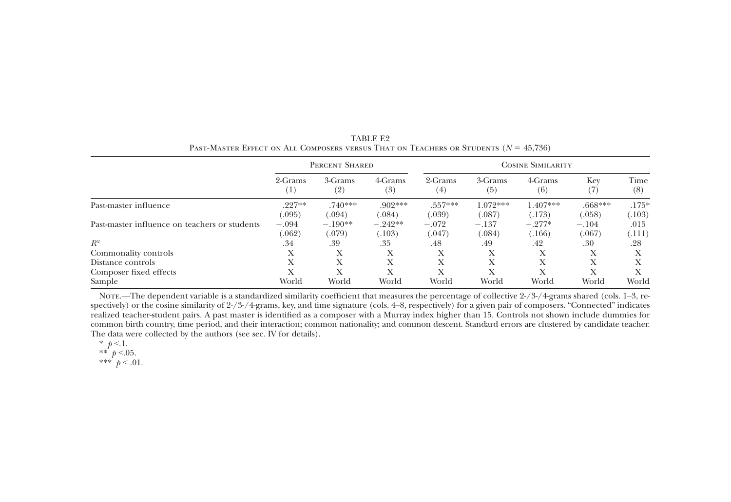|                                               | PERCENT SHARED |                |                | <b>COSINE SIMILARITY</b> |                |                |                         |             |
|-----------------------------------------------|----------------|----------------|----------------|--------------------------|----------------|----------------|-------------------------|-------------|
|                                               | 2-Grams<br>(1) | 3-Grams<br>(2) | 4-Grams<br>(3) | 2-Grams<br>$^{(4)}$      | 3-Grams<br>(5) | 4-Grams<br>(6) | Kev<br>$\left  \right $ | Time<br>(8) |
| Past-master influence                         | $.227**$       | $.740***$      | $.902***$      | $.557***$                | $1.072***$     | $1.407***$     | $.668***$               | $.175*$     |
|                                               | (.095)         | (.094)         | (.084)         | (.039)                   | (.087)         | (.173)         | (.058)                  | (.103)      |
| Past-master influence on teachers or students | $-.094$        | $-.190**$      | $-.242**$      | $-.072$                  | $-.137$        | $-.277*$       | $-.104$                 | .015        |
|                                               | (.062)         | (.079)         | (.103)         | (.047)                   | (.084)         | (166)          | (.067)                  | (.111)      |
| $R^2$                                         | .34            | .39            | .35            | .48                      | .49            | .42            | .30                     | .28         |
| Commonality controls                          |                | X              | Х              | л                        | Х              | Х              |                         |             |
| Distance controls                             | X              | X              | Х              | л                        | Х              | Х              |                         |             |
| Composer fixed effects                        |                | Х              | Х              |                          | Х              | Х              |                         |             |
| Sample                                        | World          | World          | World          | World                    | World          | World          | World                   | World       |

TABLE E2PAST-MASTER EFFECT ON ALL COMPOSERS VERSUS THAT ON TEACHERS OR STUDENTS  $(N = 45,736)$ 

Nore.—The dependent variable is a standardized similarity coefficient that measures the percentage of collective 2-/3-/4-grams shared (cols. 1–3, respectively) or the cosine similarity of 2-/3-/4-grams, key, and time signature (cols. 4–8, respectively) for <sup>a</sup> given pair of composers. "Connected" indicates realized teacher-student pairs. A pas<sup>t</sup> master is identified as <sup>a</sup> composer with <sup>a</sup> Murray index higher than 15. Controls not shown include dummies for common birth country, time period, and their interaction; common nationality; and common descent. Standard errors are clustered by candidate teacher. The data were collected by the authors (see sec. IV for details).

\*  $p < 1$ .<br>\*\*  $p < 05$ . \*\*\*  $p < .01$ .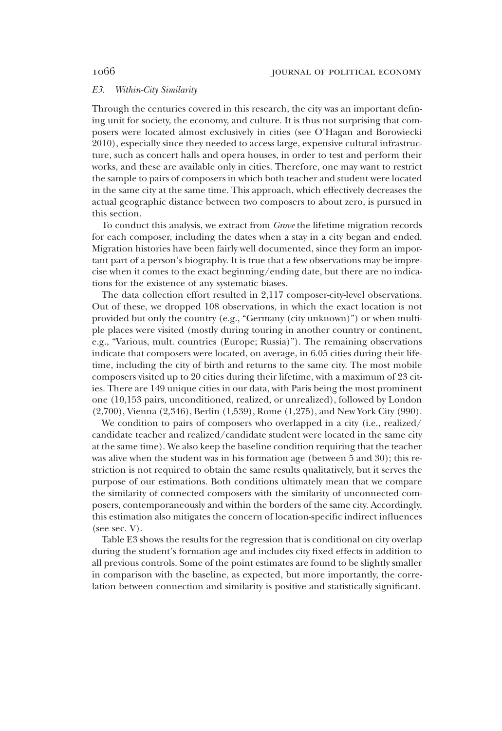### E3. Within-City Similarity

Through the centuries covered in this research, the city was an important defining unit for society, the economy, and culture. It is thus not surprising that composers were located almost exclusively in cities (see O'Hagan and Borowiecki 2010), especially since they needed to access large, expensive cultural infrastructure, such as concert halls and opera houses, in order to test and perform their works, and these are available only in cities. Therefore, one may want to restrict the sample to pairs of composers in which both teacher and student were located in the same city at the same time. This approach, which effectively decreases the actual geographic distance between two composers to about zero, is pursued in this section.

To conduct this analysis, we extract from Grove the lifetime migration records for each composer, including the dates when a stay in a city began and ended. Migration histories have been fairly well documented, since they form an important part of a person's biography. It is true that a few observations may be imprecise when it comes to the exact beginning/ending date, but there are no indications for the existence of any systematic biases.

The data collection effort resulted in 2,117 composer-city-level observations. Out of these, we dropped 108 observations, in which the exact location is not provided but only the country (e.g., "Germany (city unknown)") or when multiple places were visited (mostly during touring in another country or continent, e.g., "Various, mult. countries (Europe; Russia)"). The remaining observations indicate that composers were located, on average, in 6.05 cities during their lifetime, including the city of birth and returns to the same city. The most mobile composers visited up to 20 cities during their lifetime, with a maximum of 23 cities. There are 149 unique cities in our data, with Paris being the most prominent one (10,153 pairs, unconditioned, realized, or unrealized), followed by London (2,700), Vienna (2,346), Berlin (1,539), Rome (1,275), and New York City (990).

We condition to pairs of composers who overlapped in a city (i.e., realized/ candidate teacher and realized/candidate student were located in the same city at the same time). We also keep the baseline condition requiring that the teacher was alive when the student was in his formation age (between 5 and 30); this restriction is not required to obtain the same results qualitatively, but it serves the purpose of our estimations. Both conditions ultimately mean that we compare the similarity of connected composers with the similarity of unconnected composers, contemporaneously and within the borders of the same city. Accordingly, this estimation also mitigates the concern of location-specific indirect influences (see sec. V).

Table E3 shows the results for the regression that is conditional on city overlap during the student's formation age and includes city fixed effects in addition to all previous controls. Some of the point estimates are found to be slightly smaller in comparison with the baseline, as expected, but more importantly, the correlation between connection and similarity is positive and statistically significant.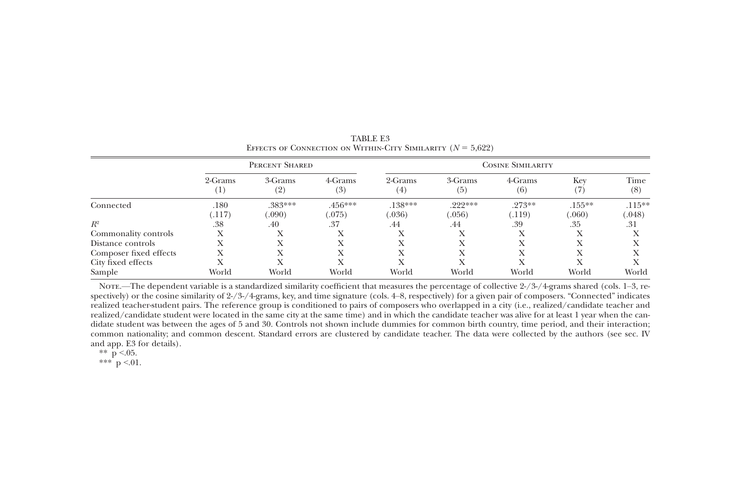|                        | PERCENT SHARED   |                     |                     | <b>COSINE SIMILARITY</b> |                     |                    |                     |                     |  |
|------------------------|------------------|---------------------|---------------------|--------------------------|---------------------|--------------------|---------------------|---------------------|--|
|                        | 2-Grams<br>( 1 ) | 3-Grams<br>(2)      | 4-Grams<br>(3)      | 2-Grams<br>(4)           | 3-Grams<br>(5)      | 4-Grams<br>(6)     | Key                 | Time<br>(8)         |  |
| Connected              | .180<br>(117)    | $.383***$<br>(.090) | $.456***$<br>(.075) | $.138***$<br>(0.036)     | $.222***$<br>(.056) | $.273**$<br>(.119) | $.155***$<br>(.060) | $.115***$<br>(.048) |  |
| $R^2$                  | .38              | .40                 | .37                 | .44                      | .44                 | .39                | .35                 | .31                 |  |
| Commonality controls   | Х                |                     |                     |                          | л                   | Х                  |                     |                     |  |
| Distance controls      |                  |                     |                     |                          |                     |                    |                     |                     |  |
| Composer fixed effects |                  |                     |                     |                          |                     |                    |                     |                     |  |
| City fixed effects     |                  |                     |                     |                          |                     |                    |                     |                     |  |
| Sample                 | World            | World               | World               | World                    | World               | World              | World               | World               |  |

TABLE E3EFFECTS OF CONNECTION ON WITHIN-CITY SIMILARITY  $(N = 5.622)$ 

Nore.—The dependent variable is a standardized similarity coefficient that measures the percentage of collective  $2\frac{1}{3}$ -/4-grams shared (cols. 1–3, respectively) or the cosine similarity of 2-/3-/4-grams, key, and time signature (cols. 4–8, respectively) for <sup>a</sup> given pair of composers. "Connected" indicates realized teacher-student pairs. The reference group is conditioned to pairs of composers who overlapped in <sup>a</sup> city (i.e., realized/candidate teacher and realized/candidate student were located in the same city at the same time) and in which the candidate teacher was alive for at least 1 year when the candidate student was between the ages of 5 and 30. Controls not shown include dummies for common birth country, time period, and their interaction; common nationality; and common descent. Standard errors are clustered by candidate teacher. The data were collected by the authors (see sec. IV and app. E3 for details).

\*\* p <.05.

\*\*\* p <.01.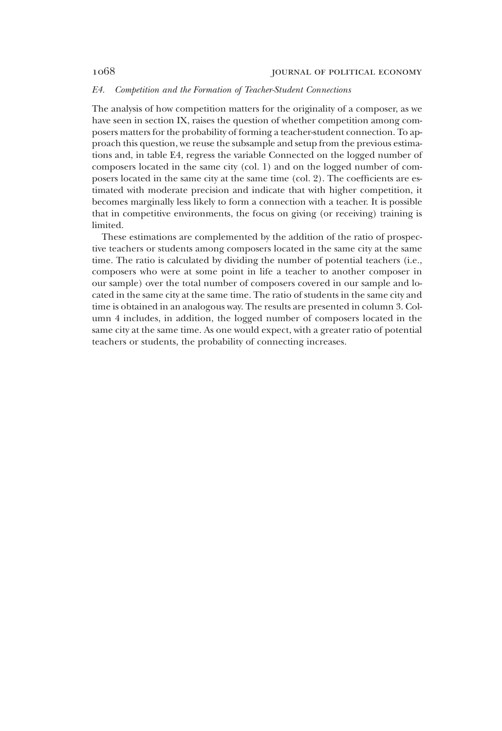### E4. Competition and the Formation of Teacher-Student Connections

The analysis of how competition matters for the originality of a composer, as we have seen in section IX, raises the question of whether competition among composers matters for the probability of forming a teacher-student connection. To approach this question, we reuse the subsample and setup from the previous estimations and, in table E4, regress the variable Connected on the logged number of composers located in the same city (col. 1) and on the logged number of composers located in the same city at the same time (col. 2). The coefficients are estimated with moderate precision and indicate that with higher competition, it becomes marginally less likely to form a connection with a teacher. It is possible that in competitive environments, the focus on giving (or receiving) training is limited.

These estimations are complemented by the addition of the ratio of prospective teachers or students among composers located in the same city at the same time. The ratio is calculated by dividing the number of potential teachers (i.e., composers who were at some point in life a teacher to another composer in our sample) over the total number of composers covered in our sample and located in the same city at the same time. The ratio of students in the same city and time is obtained in an analogous way. The results are presented in column 3. Column 4 includes, in addition, the logged number of composers located in the same city at the same time. As one would expect, with a greater ratio of potential teachers or students, the probability of connecting increases.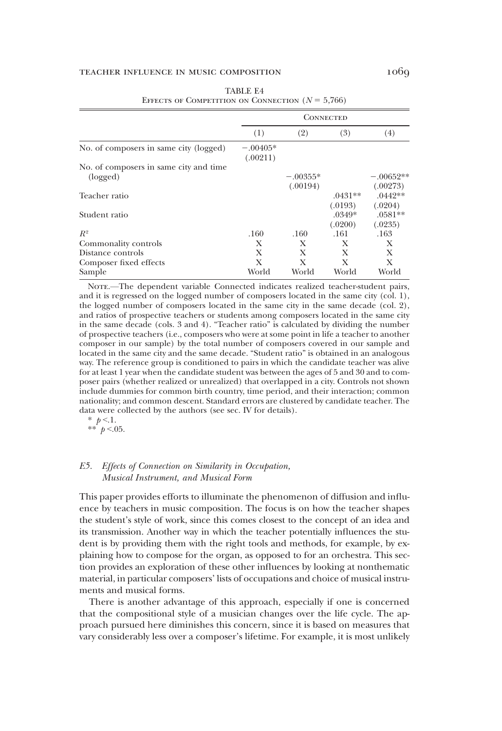## TEACHER INFLUENCE IN MUSIC COMPOSITION 1069

|                                                    |                        |            | CONNECTED           |                       |
|----------------------------------------------------|------------------------|------------|---------------------|-----------------------|
|                                                    | (1)                    | (2)        | (3)                 | (4)                   |
| No. of composers in same city (logged)             | $-.00405*$<br>(.00211) |            |                     |                       |
| No. of composers in same city and time<br>(logged) |                        | $-.00355*$ |                     | $-.00652**$           |
| Teacher ratio                                      |                        | (.00194)   | $.0431**$           | (.00273)<br>$.0442**$ |
| Student ratio                                      |                        |            | (.0193)<br>$.0349*$ | (.0204)<br>$.0581**$  |
| $R^2$                                              | .160                   | .160       | (.0200)<br>.161     | (.0235)<br>.163       |
| Commonality controls                               | X                      | X          | X                   | X                     |
| Distance controls                                  | X                      | X          | X                   | X                     |
| Composer fixed effects                             | X                      | X          | X                   | X                     |
| Sample                                             | World                  | World      | World               | World                 |

| TABLE E4                                           |  |  |  |  |  |  |  |  |
|----------------------------------------------------|--|--|--|--|--|--|--|--|
| EFFECTS OF COMPETITION ON CONNECTION $(N = 5,766)$ |  |  |  |  |  |  |  |  |

NOTE.—The dependent variable Connected indicates realized teacher-student pairs, and it is regressed on the logged number of composers located in the same city (col. 1), the logged number of composers located in the same city in the same decade (col. 2), and ratios of prospective teachers or students among composers located in the same city in the same decade (cols. 3 and 4). "Teacher ratio" is calculated by dividing the number of prospective teachers (i.e., composers who were at some point in life a teacher to another composer in our sample) by the total number of composers covered in our sample and located in the same city and the same decade. "Student ratio" is obtained in an analogous way. The reference group is conditioned to pairs in which the candidate teacher was alive for at least 1 year when the candidate student was between the ages of 5 and 30 and to composer pairs (whether realized or unrealized) that overlapped in a city. Controls not shown include dummies for common birth country, time period, and their interaction; common nationality; and common descent. Standard errors are clustered by candidate teacher. The data were collected by the authors (see sec. IV for details).

\*  $p < 1$ . \*\*  $p < 0.05$ .

### E5. Effects of Connection on Similarity in Occupation, Musical Instrument, and Musical Form

This paper provides efforts to illuminate the phenomenon of diffusion and influence by teachers in music composition. The focus is on how the teacher shapes the student's style of work, since this comes closest to the concept of an idea and its transmission. Another way in which the teacher potentially influences the student is by providing them with the right tools and methods, for example, by explaining how to compose for the organ, as opposed to for an orchestra. This section provides an exploration of these other influences by looking at nonthematic material, in particular composers' lists of occupations and choice of musical instruments and musical forms.

There is another advantage of this approach, especially if one is concerned that the compositional style of a musician changes over the life cycle. The approach pursued here diminishes this concern, since it is based on measures that vary considerably less over a composer's lifetime. For example, it is most unlikely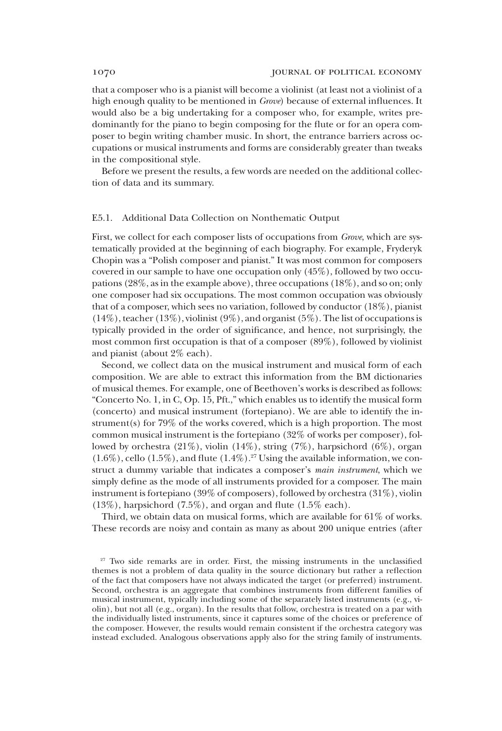that a composer who is a pianist will become a violinist (at least not a violinist of a high enough quality to be mentioned in Grove) because of external influences. It would also be a big undertaking for a composer who, for example, writes predominantly for the piano to begin composing for the flute or for an opera composer to begin writing chamber music. In short, the entrance barriers across occupations or musical instruments and forms are considerably greater than tweaks in the compositional style.

Before we present the results, a few words are needed on the additional collection of data and its summary.

#### E5.1. Additional Data Collection on Nonthematic Output

First, we collect for each composer lists of occupations from Grove, which are systematically provided at the beginning of each biography. For example, Fryderyk Chopin was a "Polish composer and pianist." It was most common for composers covered in our sample to have one occupation only (45%), followed by two occupations (28%, as in the example above), three occupations (18%), and so on; only one composer had six occupations. The most common occupation was obviously that of a composer, which sees no variation, followed by conductor (18%), pianist  $(14\%)$ , teacher  $(13\%)$ , violinist  $(9\%)$ , and organist  $(5\%)$ . The list of occupations is typically provided in the order of significance, and hence, not surprisingly, the most common first occupation is that of a composer (89%), followed by violinist and pianist (about 2% each).

Second, we collect data on the musical instrument and musical form of each composition. We are able to extract this information from the BM dictionaries of musical themes. For example, one of Beethoven's works is described as follows: "Concerto No. 1, in C, Op. 15, Pft.," which enables us to identify the musical form (concerto) and musical instrument (fortepiano). We are able to identify the instrument(s) for 79% of the works covered, which is a high proportion. The most common musical instrument is the fortepiano (32% of works per composer), followed by orchestra (21%), violin (14%), string (7%), harpsichord (6%), organ  $(1.6\%)$ , cello  $(1.5\%)$ , and flute  $(1.4\%)$ .<sup>27</sup> Using the available information, we construct a dummy variable that indicates a composer's main instrument, which we simply define as the mode of all instruments provided for a composer. The main instrument is fortepiano (39% of composers), followed by orchestra (31%), violin (13%), harpsichord (7.5%), and organ and flute (1.5% each).

Third, we obtain data on musical forms, which are available for 61% of works. These records are noisy and contain as many as about 200 unique entries (after

<sup>&</sup>lt;sup>27</sup> Two side remarks are in order. First, the missing instruments in the unclassified themes is not a problem of data quality in the source dictionary but rather a reflection of the fact that composers have not always indicated the target (or preferred) instrument. Second, orchestra is an aggregate that combines instruments from different families of musical instrument, typically including some of the separately listed instruments (e.g., violin), but not all (e.g., organ). In the results that follow, orchestra is treated on a par with the individually listed instruments, since it captures some of the choices or preference of the composer. However, the results would remain consistent if the orchestra category was instead excluded. Analogous observations apply also for the string family of instruments.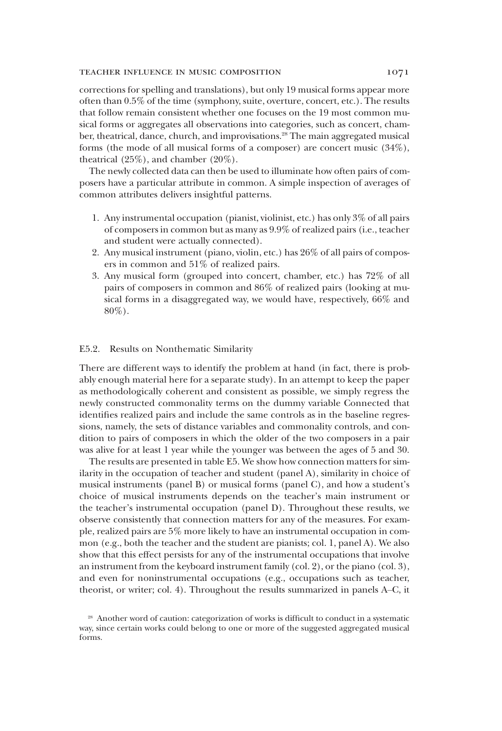### teacher influence in music composition 1071

corrections for spelling and translations), but only 19 musical forms appear more often than 0.5% of the time (symphony, suite, overture, concert, etc.). The results that follow remain consistent whether one focuses on the 19 most common musical forms or aggregates all observations into categories, such as concert, chamber, theatrical, dance, church, and improvisations.<sup>28</sup> The main aggregated musical forms (the mode of all musical forms of a composer) are concert music (34%), theatrical  $(25\%)$ , and chamber  $(20\%)$ .

The newly collected data can then be used to illuminate how often pairs of composers have a particular attribute in common. A simple inspection of averages of common attributes delivers insightful patterns.

- 1. Any instrumental occupation (pianist, violinist, etc.) has only 3% of all pairs of composers in common but as many as 9.9% of realized pairs (i.e., teacher and student were actually connected).
- 2. Any musical instrument (piano, violin, etc.) has 26% of all pairs of composers in common and 51% of realized pairs.
- 3. Any musical form (grouped into concert, chamber, etc.) has 72% of all pairs of composers in common and 86% of realized pairs (looking at musical forms in a disaggregated way, we would have, respectively, 66% and 80%).

### E5.2. Results on Nonthematic Similarity

There are different ways to identify the problem at hand (in fact, there is probably enough material here for a separate study). In an attempt to keep the paper as methodologically coherent and consistent as possible, we simply regress the newly constructed commonality terms on the dummy variable Connected that identifies realized pairs and include the same controls as in the baseline regressions, namely, the sets of distance variables and commonality controls, and condition to pairs of composers in which the older of the two composers in a pair was alive for at least 1 year while the younger was between the ages of 5 and 30.

The results are presented in table E5. We show how connection matters for similarity in the occupation of teacher and student (panel A), similarity in choice of musical instruments (panel B) or musical forms (panel C), and how a student's choice of musical instruments depends on the teacher's main instrument or the teacher's instrumental occupation (panel D). Throughout these results, we observe consistently that connection matters for any of the measures. For example, realized pairs are 5% more likely to have an instrumental occupation in common (e.g., both the teacher and the student are pianists; col. 1, panel A). We also show that this effect persists for any of the instrumental occupations that involve an instrument from the keyboard instrument family (col. 2), or the piano (col. 3), and even for noninstrumental occupations (e.g., occupations such as teacher, theorist, or writer; col. 4). Throughout the results summarized in panels A–C, it

<sup>28</sup> Another word of caution: categorization of works is difficult to conduct in a systematic way, since certain works could belong to one or more of the suggested aggregated musical forms.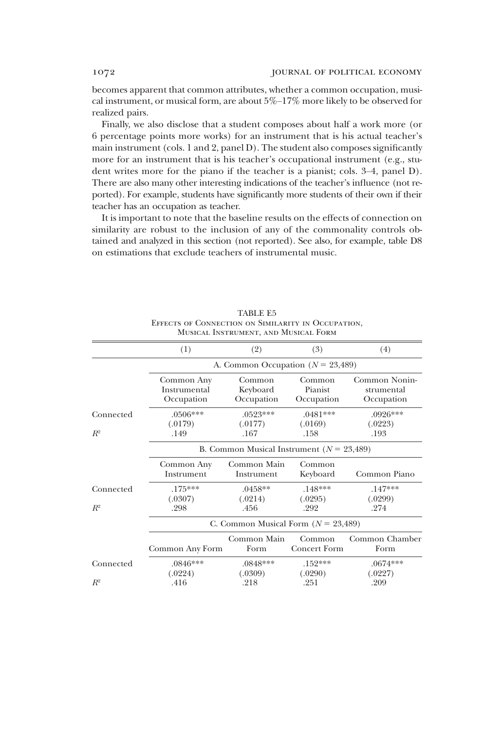becomes apparent that common attributes, whether a common occupation, musical instrument, or musical form, are about 5%–17% more likely to be observed for realized pairs.

Finally, we also disclose that a student composes about half a work more (or 6 percentage points more works) for an instrument that is his actual teacher's main instrument (cols. 1 and 2, panel D). The student also composes significantly more for an instrument that is his teacher's occupational instrument (e.g., student writes more for the piano if the teacher is a pianist; cols. 3–4, panel D). There are also many other interesting indications of the teacher's influence (not reported). For example, students have significantly more students of their own if their teacher has an occupation as teacher.

It is important to note that the baseline results on the effects of connection on similarity are robust to the inclusion of any of the commonality controls obtained and analyzed in this section (not reported). See also, for example, table D8 on estimations that exclude teachers of instrumental music.

|                    | (1)                                      | (2)                                           | (3)                             | (4)                                       |  |  |  |  |  |  |
|--------------------|------------------------------------------|-----------------------------------------------|---------------------------------|-------------------------------------------|--|--|--|--|--|--|
|                    |                                          | A. Common Occupation ( $N = 23,489$ )         |                                 |                                           |  |  |  |  |  |  |
|                    | Common Any<br>Instrumental<br>Occupation | Common<br>Keyboard<br>Occupation              | Common<br>Pianist<br>Occupation | Common Nonin-<br>strumental<br>Occupation |  |  |  |  |  |  |
| Connected<br>$R^2$ | $.0506***$<br>(.0179)<br>.149            | $.0523***$<br>(.0177)<br>.167                 | $.0481***$<br>(.0169)<br>.158   | $.0926***$<br>(.0223)<br>.193             |  |  |  |  |  |  |
|                    |                                          | B. Common Musical Instrument ( $N = 23,489$ ) |                                 |                                           |  |  |  |  |  |  |
|                    | Common Any<br>Instrument                 | Common Main<br>Instrument                     | Common<br>Keyboard              | Common Piano                              |  |  |  |  |  |  |
| Connected<br>$R^2$ | $.175***$<br>(.0307)<br>.298             | $.0458**$<br>(.0214)<br>.456                  | $.148***$<br>(.0295)<br>.292    | $.147***$<br>(.0299)<br>.274              |  |  |  |  |  |  |
|                    |                                          | C. Common Musical Form $(N = 23,489)$         |                                 |                                           |  |  |  |  |  |  |
|                    | Common Any Form                          | Common Main<br>Form                           | Common<br>Concert Form          | Common Chamber<br>Form                    |  |  |  |  |  |  |
| Connected          | $.0846***$<br>(.0224)                    | $.0848***$<br>(.0309)                         | $.152***$<br>(.0290)            | $.0674***$<br>(.0227)                     |  |  |  |  |  |  |
| $R^2$              | .416                                     | .218                                          | .251                            | .209                                      |  |  |  |  |  |  |

| TABLE E5                                           |
|----------------------------------------------------|
| EFFECTS OF CONNECTION ON SIMILARITY IN OCCUPATION. |
| MUSICAL INSTRUMENT, AND MUSICAL FORM               |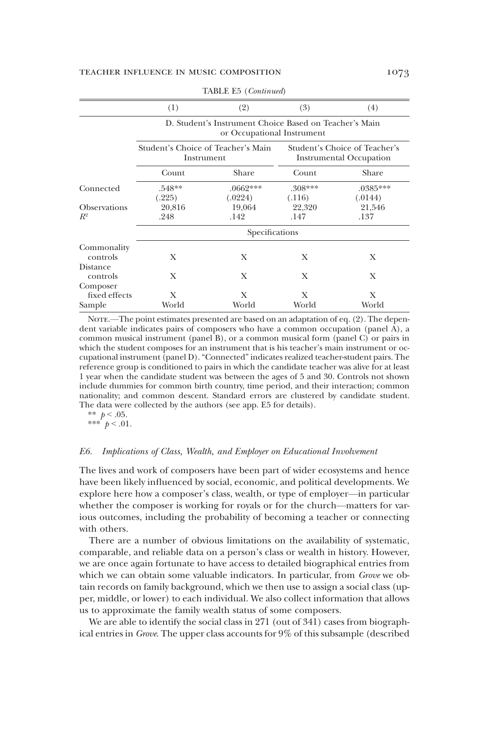|                                     | (1)                                              | (2)                                                                                  | (3)                 | (4)                                                             |  |  |  |  |  |  |
|-------------------------------------|--------------------------------------------------|--------------------------------------------------------------------------------------|---------------------|-----------------------------------------------------------------|--|--|--|--|--|--|
|                                     |                                                  | D. Student's Instrument Choice Based on Teacher's Main<br>or Occupational Instrument |                     |                                                                 |  |  |  |  |  |  |
|                                     | Student's Choice of Teacher's Main<br>Instrument |                                                                                      |                     | Student's Choice of Teacher's<br><b>Instrumental Occupation</b> |  |  |  |  |  |  |
|                                     | Count                                            | Share                                                                                | Count               | Share                                                           |  |  |  |  |  |  |
| Connected                           | $.548**$<br>(.225)                               | $.0662***$<br>(.0224)                                                                | $.308***$<br>(.116) | .0385***<br>(.0144)                                             |  |  |  |  |  |  |
| <b>Observations</b><br>$R^2$        | 20,816<br>.248                                   | 19,064<br>.142                                                                       | 22,320<br>.147      | 21,546<br>.137                                                  |  |  |  |  |  |  |
|                                     | Specifications                                   |                                                                                      |                     |                                                                 |  |  |  |  |  |  |
| Commonality<br>controls<br>Distance | X                                                | X                                                                                    | X                   | X                                                               |  |  |  |  |  |  |
| controls<br>Composer                | X                                                | X                                                                                    | X                   | X                                                               |  |  |  |  |  |  |
| fixed effects<br>Sample             | X<br>World                                       | X<br>World                                                                           | X<br>World          | X<br>World                                                      |  |  |  |  |  |  |

TABLE E5 (Continued)

NOTE.—The point estimates presented are based on an adaptation of eq. (2). The dependent variable indicates pairs of composers who have a common occupation (panel A), a common musical instrument (panel B), or a common musical form (panel C) or pairs in which the student composes for an instrument that is his teacher's main instrument or occupational instrument (panel D). "Connected" indicates realized teacher-student pairs. The reference group is conditioned to pairs in which the candidate teacher was alive for at least 1 year when the candidate student was between the ages of 5 and 30. Controls not shown include dummies for common birth country, time period, and their interaction; common nationality; and common descent. Standard errors are clustered by candidate student. The data were collected by the authors (see app. E5 for details).

\*\*  $p < .05$ .

\*\*\*  $p < .01$ .

### E6. Implications of Class, Wealth, and Employer on Educational Involvement

The lives and work of composers have been part of wider ecosystems and hence have been likely influenced by social, economic, and political developments. We explore here how a composer's class, wealth, or type of employer—in particular whether the composer is working for royals or for the church—matters for various outcomes, including the probability of becoming a teacher or connecting with others.

There are a number of obvious limitations on the availability of systematic, comparable, and reliable data on a person's class or wealth in history. However, we are once again fortunate to have access to detailed biographical entries from which we can obtain some valuable indicators. In particular, from *Grove* we obtain records on family background, which we then use to assign a social class (upper, middle, or lower) to each individual. We also collect information that allows us to approximate the family wealth status of some composers.

We are able to identify the social class in 271 (out of 341) cases from biographical entries in Grove. The upper class accounts for 9% of this subsample (described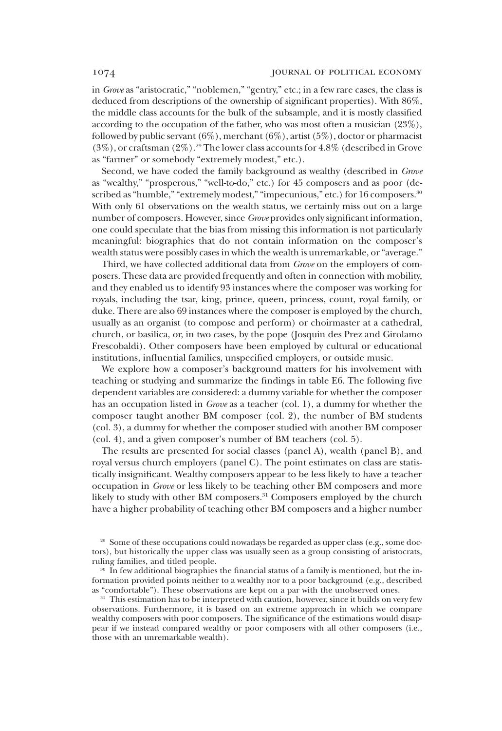in Grove as "aristocratic," "noblemen," "gentry," etc.; in a few rare cases, the class is deduced from descriptions of the ownership of significant properties). With 86%, the middle class accounts for the bulk of the subsample, and it is mostly classified according to the occupation of the father, who was most often a musician (23%), followed by public servant (6%), merchant (6%), artist (5%), doctor or pharmacist  $(3\%)$ , or craftsman  $(2\%)$ .<sup>29</sup> The lower class accounts for  $4.8\%$  (described in Grove as "farmer" or somebody "extremely modest," etc.).

Second, we have coded the family background as wealthy (described in Grove as "wealthy," "prosperous," "well-to-do," etc.) for 45 composers and as poor (described as "humble," "extremely modest," "impecunious," etc.) for 16 composers.<sup>30</sup> With only 61 observations on the wealth status, we certainly miss out on a large number of composers. However, since *Grove* provides only significant information, one could speculate that the bias from missing this information is not particularly meaningful: biographies that do not contain information on the composer's wealth status were possibly cases in which the wealth is unremarkable, or "average."

Third, we have collected additional data from Grove on the employers of composers. These data are provided frequently and often in connection with mobility, and they enabled us to identify 93 instances where the composer was working for royals, including the tsar, king, prince, queen, princess, count, royal family, or duke. There are also 69 instances where the composer is employed by the church, usually as an organist (to compose and perform) or choirmaster at a cathedral, church, or basilica, or, in two cases, by the pope (Josquin des Prez and Girolamo Frescobaldi). Other composers have been employed by cultural or educational institutions, influential families, unspecified employers, or outside music.

We explore how a composer's background matters for his involvement with teaching or studying and summarize the findings in table E6. The following five dependent variables are considered: a dummy variable for whether the composer has an occupation listed in *Grove* as a teacher (col. 1), a dummy for whether the composer taught another BM composer (col. 2), the number of BM students (col. 3), a dummy for whether the composer studied with another BM composer (col. 4), and a given composer's number of BM teachers (col. 5).

The results are presented for social classes (panel A), wealth (panel B), and royal versus church employers (panel C). The point estimates on class are statistically insignificant. Wealthy composers appear to be less likely to have a teacher occupation in Grove or less likely to be teaching other BM composers and more likely to study with other BM composers.<sup>31</sup> Composers employed by the church have a higher probability of teaching other BM composers and a higher number

<sup>29</sup> Some of these occupations could nowadays be regarded as upper class (e.g., some doctors), but historically the upper class was usually seen as a group consisting of aristocrats, ruling families, and titled people.

<sup>30</sup> In few additional biographies the financial status of a family is mentioned, but the information provided points neither to a wealthy nor to a poor background (e.g., described as "comfortable"). These observations are kept on a par with the unobserved ones.

<sup>31</sup> This estimation has to be interpreted with caution, however, since it builds on very few observations. Furthermore, it is based on an extreme approach in which we compare wealthy composers with poor composers. The significance of the estimations would disappear if we instead compared wealthy or poor composers with all other composers (i.e., those with an unremarkable wealth).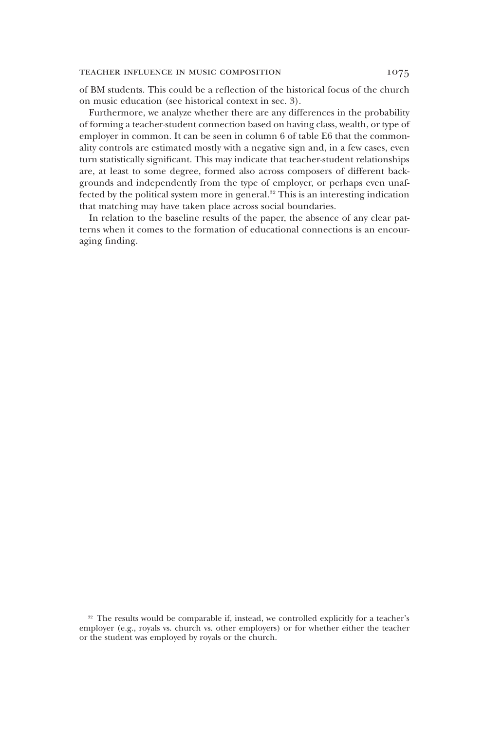### TEACHER INFLUENCE IN MUSIC COMPOSITION 1075

of BM students. This could be a reflection of the historical focus of the church on music education (see historical context in sec. 3).

Furthermore, we analyze whether there are any differences in the probability of forming a teacher-student connection based on having class, wealth, or type of employer in common. It can be seen in column 6 of table E6 that the commonality controls are estimated mostly with a negative sign and, in a few cases, even turn statistically significant. This may indicate that teacher-student relationships are, at least to some degree, formed also across composers of different backgrounds and independently from the type of employer, or perhaps even unaffected by the political system more in general.<sup>32</sup> This is an interesting indication that matching may have taken place across social boundaries.

In relation to the baseline results of the paper, the absence of any clear patterns when it comes to the formation of educational connections is an encouraging finding.

<sup>32</sup> The results would be comparable if, instead, we controlled explicitly for a teacher's employer (e.g., royals vs. church vs. other employers) or for whether either the teacher or the student was employed by royals or the church.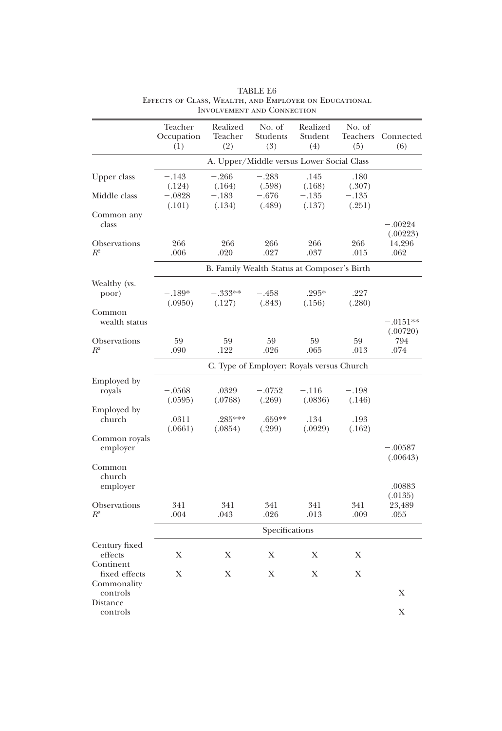|                                       | Teacher<br>Occupation<br>(1) | Realized<br>Teacher<br>(2)                  | No. of<br>Students<br>(3)                 | Realized<br>Student<br>(4) | No. of<br>(5)     | Teachers Connected<br>(6) |
|---------------------------------------|------------------------------|---------------------------------------------|-------------------------------------------|----------------------------|-------------------|---------------------------|
|                                       |                              |                                             | A. Upper/Middle versus Lower Social Class |                            |                   |                           |
| Upper class                           | $-.143$<br>(.124)            | $-.266$<br>(.164)                           | $-.283$<br>(.598)                         | .145<br>(.168)             | .180<br>(.307)    |                           |
| Middle class                          | $-.0828$<br>(.101)           | $-.183$<br>(.134)                           | $-.676$<br>(.489)                         | $-.135$<br>(.137)          | $-.135$<br>(.251) |                           |
| Common any<br>class                   |                              |                                             |                                           |                            |                   | $-.00224$<br>(.00223)     |
| Observations<br>$R^2$                 | 266<br>.006                  | 266<br>.020                                 | 266<br>.027                               | 266<br>.037                | 266<br>.015       | 14,296<br>.062            |
|                                       |                              | B. Family Wealth Status at Composer's Birth |                                           |                            |                   |                           |
| Wealthy (vs.<br>poor)                 | $-.189*$<br>(.0950)          | $-.333**$<br>(.127)                         | $-.458$<br>(.843)                         | $.295*$<br>(.156)          | .227<br>(.280)    |                           |
| Common<br>wealth status               |                              |                                             |                                           |                            |                   | $-.0151**$<br>(.00720)    |
| Observations<br>$R^2$                 | 59<br>.090                   | 59<br>.122                                  | 59<br>.026                                | 59<br>.065                 | 59<br>.013        | 794<br>.074               |
|                                       |                              |                                             | C. Type of Employer: Royals versus Church |                            |                   |                           |
| Employed by<br>royals                 | $-.0568$<br>(.0595)          | .0329<br>(.0768)                            | $-.0752$<br>(.269)                        | $-.116$<br>(.0836)         | $-.198$<br>(.146) |                           |
| Employed by<br>church                 | .0311<br>(.0661)             | .285***<br>(.0854)                          | $.659**$<br>(.299)                        | .134<br>(.0929)            | .193<br>(.162)    |                           |
| Common royals<br>employer             |                              |                                             |                                           |                            |                   | $-.00587$<br>(.00643)     |
| Common<br>church<br>employer          |                              |                                             |                                           |                            |                   | .00883                    |
| Observations<br>$R^2$                 | 341<br>.004                  | 341<br>.043                                 | 341<br>.026                               | 341<br>.013                | 341<br>.009       | (.0135)<br>23,489<br>.055 |
|                                       |                              |                                             | Specifications                            |                            |                   |                           |
| Century fixed<br>effects<br>Continent | Χ                            | X                                           | Х                                         | Х                          | Χ                 |                           |
| fixed effects<br>Commonality          | X                            | X                                           | X                                         | X                          | X                 |                           |
| controls<br>Distance                  |                              |                                             |                                           |                            |                   | X                         |
| controls                              |                              |                                             |                                           |                            |                   | X                         |

TABLE E6 Effects of Class, Wealth, and Employer on Educational Involvement and Connection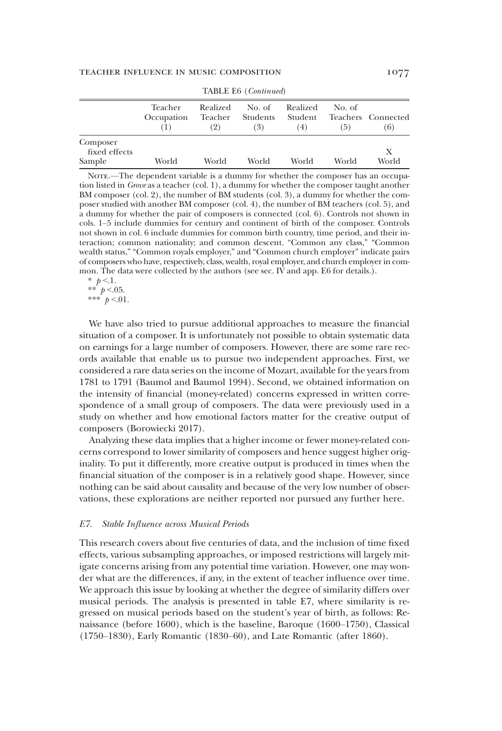|                                     | Teacher<br>Occupation | (2)   | Realized No. of<br>Teacher Students Student<br>(3) | Realized<br>(4) | No. of<br>(5) | Teachers Connected<br>(6) |  |  |  |  |
|-------------------------------------|-----------------------|-------|----------------------------------------------------|-----------------|---------------|---------------------------|--|--|--|--|
| Composer<br>fixed effects<br>Sample | World                 | World | World                                              | World           | World         | Х<br>World                |  |  |  |  |

TABLE E6 (Continued)

Nore.—The dependent variable is a dummy for whether the composer has an occupation listed in Grove as a teacher (col. 1), a dummy for whether the composer taught another BM composer (col. 2), the number of BM students (col. 3), a dummy for whether the composer studied with another BM composer (col. 4), the number of BM teachers (col. 5), and a dummy for whether the pair of composers is connected (col. 6). Controls not shown in cols. 1–5 include dummies for century and continent of birth of the composer. Controls not shown in col. 6 include dummies for common birth country, time period, and their interaction; common nationality; and common descent. "Common any class," "Common wealth status," "Common royals employer," and "Common church employer" indicate pairs of composers who have, respectively, class, wealth, royal employer, and church employer in common. The data were collected by the authors (see sec. IV and app. E6 for details.).

\*  $p < 1$ . \*\*  $p < 0.05$ .

\*\*\*  $p < 01$ .

We have also tried to pursue additional approaches to measure the financial situation of a composer. It is unfortunately not possible to obtain systematic data on earnings for a large number of composers. However, there are some rare records available that enable us to pursue two independent approaches. First, we considered a rare data series on the income of Mozart, available for the years from 1781 to 1791 (Baumol and Baumol 1994). Second, we obtained information on the intensity of financial (money-related) concerns expressed in written correspondence of a small group of composers. The data were previously used in a study on whether and how emotional factors matter for the creative output of composers (Borowiecki 2017).

Analyzing these data implies that a higher income or fewer money-related concerns correspond to lower similarity of composers and hence suggest higher originality. To put it differently, more creative output is produced in times when the financial situation of the composer is in a relatively good shape. However, since nothing can be said about causality and because of the very low number of observations, these explorations are neither reported nor pursued any further here.

#### E7. Stable Influence across Musical Periods

This research covers about five centuries of data, and the inclusion of time fixed effects, various subsampling approaches, or imposed restrictions will largely mitigate concerns arising from any potential time variation. However, one may wonder what are the differences, if any, in the extent of teacher influence over time. We approach this issue by looking at whether the degree of similarity differs over musical periods. The analysis is presented in table E7, where similarity is regressed on musical periods based on the student's year of birth, as follows: Renaissance (before 1600), which is the baseline, Baroque (1600–1750), Classical (1750–1830), Early Romantic (1830–60), and Late Romantic (after 1860).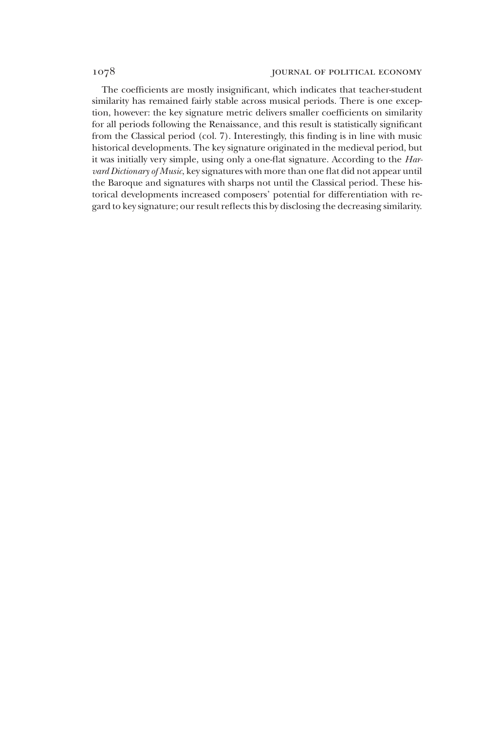### 1078 **jOURNAL OF POLITICAL ECONOMY**

The coefficients are mostly insignificant, which indicates that teacher-student similarity has remained fairly stable across musical periods. There is one exception, however: the key signature metric delivers smaller coefficients on similarity for all periods following the Renaissance, and this result is statistically significant from the Classical period (col. 7). Interestingly, this finding is in line with music historical developments. The key signature originated in the medieval period, but it was initially very simple, using only a one-flat signature. According to the Harvard Dictionary of Music, key signatures with more than one flat did not appear until the Baroque and signatures with sharps not until the Classical period. These historical developments increased composers' potential for differentiation with regard to key signature; our result reflects this by disclosing the decreasing similarity.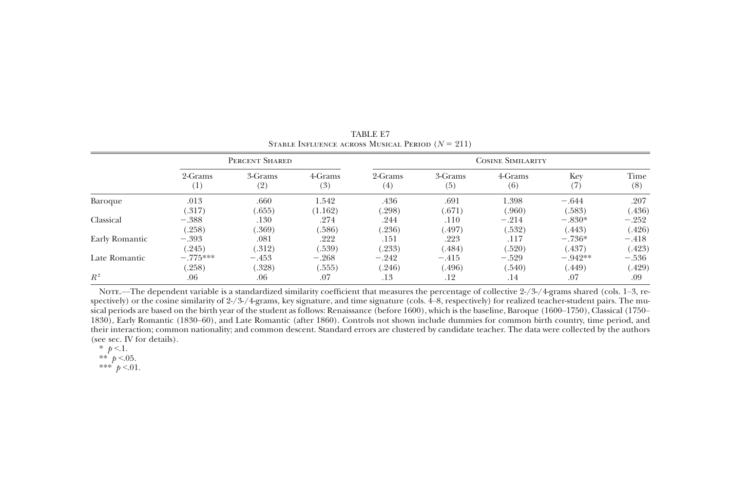|                | PERCENT SHARED |         |         | <b>COSINE SIMILARITY</b> |         |         |           |         |  |
|----------------|----------------|---------|---------|--------------------------|---------|---------|-----------|---------|--|
|                | 2-Grams        | 3-Grams | 4-Grams | 2-Grams                  | 3-Grams | 4-Grams | Key       | Time    |  |
|                | $^{(1)}$       | (2)     | (3)     | $^{(4)}$                 | (5)     | (6)     | (7)       | (8)     |  |
| Baroque        | .013           | .660    | 1.542   | .436                     | .691    | 1.398   | $-.644$   | .207    |  |
|                | (.317)         | (.655)  | (1.162) | (298)                    | (.671)  | (.960)  | (.583)    | (.436)  |  |
| Classical      | $-.388$        | .130    | .274    | .244                     | .110    | $-.214$ | $-.830*$  | $-.252$ |  |
|                | (.258)         | (.369)  | (.586)  | (0.236)                  | (.497)  | (.532)  | (.443)    | (.426)  |  |
| Early Romantic | $-.393$        | .081    | .222    | .151                     | .223    | .117    | $-.736*$  | $-.418$ |  |
| Late Romantic  | (245)          | (.312)  | (.539)  | (.233)                   | (.484)  | (.520)  | (.437)    | (.423)  |  |
|                | $-.775***$     | $-.453$ | $-.268$ | $-.242$                  | $-.415$ | $-.529$ | $-.942**$ | $-.536$ |  |
|                | (.258)         | (.328)  | (.555)  | (.246)                   | (.496)  | (.540)  | (.449)    | (.429)  |  |
| $R^2$          | .06            | .06     | .07     | .13                      | .12     | .14     | .07       | .09     |  |

TABLE E7STABLE INFLUENCE ACROSS MUSICAL PERIOD  $(N = 211)$ 

Nore.—The dependent variable is a standardized similarity coefficient that measures the percentage of collective 2-/3-/4-grams shared (cols. 1–3, respectively) or the cosine similarity of 2-/3-/4-grams, key signature, and time signature (cols. 4–8, respectively) for realized teacher-student pairs. The musical periods are based on the birth year of the student as follows: Renaissance (before 1600), which is the baseline, Baroque (1600–1750), Classical (1750– 1830), Early Romantic (1830–60), and Late Romantic (after 1860). Controls not shown include dummies for common birth country, time period, and their interaction; common nationality; and common descent. Standard errors are clustered by candidate teacher. The data were collected by the authors (see sec. IV for details).

\*  $p < 1$ . \*\*  $p < 0.05$ .

\*\*\*  $p < 01$ .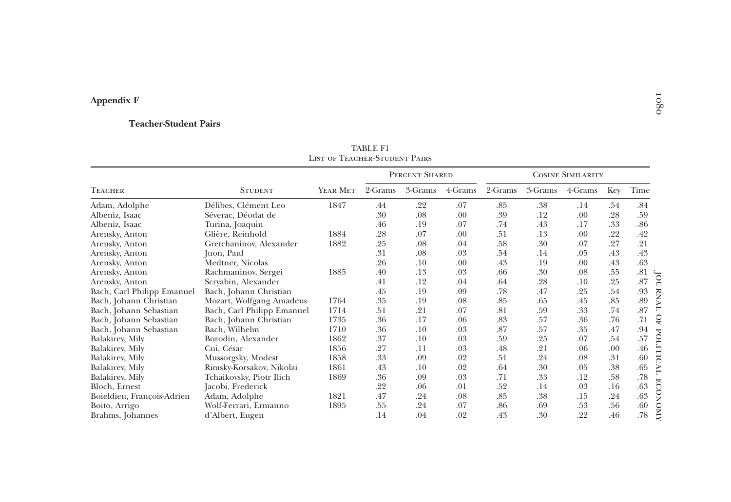# Appendix F

#### Teacher-Student Pairs

|                            |                            | <b>LIST OF TEACHER-STUDENT PAIRS</b> | TADLE LI |                |         |         |                          |         |     |      |                |
|----------------------------|----------------------------|--------------------------------------|----------|----------------|---------|---------|--------------------------|---------|-----|------|----------------|
|                            |                            |                                      |          | PERCENT SHARED |         |         | <b>COSINE SIMILARITY</b> |         |     |      |                |
| Teacher                    | <b>STUDENT</b>             | YEAR MET                             | 2-Grams  | 3-Grams        | 4-Grams | 2-Grams | 3-Grams                  | 4-Grams | Key | Time |                |
| Adam, Adolphe              | Délibes, Clément Leo       | 1847                                 | .44      | .22            | .07     | .85     | .38                      | .14     | .54 | .84  |                |
| Albeniz, Isaac             | Séverac, Déodat de         |                                      | .30      | .08            | .00     | .39     | .12                      | .00     | .28 | .59  |                |
| Albeniz, Isaac             | Turina, Joaquin            |                                      | .46      | .19            | .07     | .74     | .43                      | .17     | .33 | .86  |                |
| Arensky, Anton             | Glière, Reinhold           | 1884                                 | .28      | .07            | .00     | .51     | .13                      | .00     | .22 | .42  |                |
| Arensky, Anton             | Gretchaninov, Alexander    | 1882                                 | .25      | .08            | .04     | .58     | .30                      | .07     | .27 | .21  |                |
| Arensky, Anton             | Juon, Paul                 |                                      | .31      | .08            | .03     | .54     | .14                      | .05     | .43 | .43  |                |
| Arensky, Anton             | Medtner, Nicolas           |                                      | .26      | .10            | .00     | .43     | .19                      | .00     | .43 | .63  |                |
| Arensky, Anton             | Rachmaninov, Sergei        | 1885                                 | .40      | .13            | .03     | .66     | .30                      | .08     | .55 | .81  |                |
| Arensky, Anton             | Scryabin, Alexander        |                                      | .41      | .12            | .04     | .64     | .28                      | .10     | .25 | .87  | JOURNA         |
| Bach, Carl Philipp Emanuel | Bach, Johann Christian     |                                      | .45      | .19            | .09     | .78     | .47                      | .25     | .54 | .93  |                |
| Bach, Johann Christian     | Mozart, Wolfgang Amadeus   | 1764                                 | .35      | .19            | .08     | .85     | .65                      | .45     | .85 | .89  |                |
| Bach, Johann Sebastian     | Bach, Carl Philipp Emanuel | 1714                                 | .51      | .21            | .07     | .81     | .59                      | .33     | .74 | .87  | ٣              |
| Bach, Johann Sebastian     | Bach, Johann Christian     | 1735                                 | .36      | .17            | .06     | .83     | .57                      | .36     | .76 | .71  | $\Omega$       |
| Bach, Johann Sebastian     | Bach, Wilhelm              | 1710                                 | .36      | .10            | .03     | .87     | .57                      | .35     | .47 | .94  | ᠊ᡆ             |
| Balakirev, Mily            | Borodin, Alexander         | 1862                                 | .37      | .10            | .03     | .59     | .25                      | .07     | .54 | .57  | <b>OUT</b>     |
| Balakirev, Mily            | Cui, César                 | 1856                                 | .27      | .11            | .03     | .48     | .21                      | .06     | .00 | .46  |                |
| Balakirev, Mily            | Mussorgsky, Modest         | 1858                                 | .33      | .09            | .02     | .51     | .24                      | .08     | .31 | .60  | ā              |
| Balakirev, Mily            | Rimsky-Korsakov, Nikolai   | 1861                                 | .43      | .10            | .02     | .64     | .30                      | .05     | .38 | .65  | TV             |
| Balakirev, Mily            | Tchaikovsky, Piotr Ilich   | 1869                                 | .36      | .09            | .03     | .71     | .33                      | .12     | .58 | .78  | 固              |
| Bloch, Ernest              | Jacobi, Frederick          |                                      | .22      | .06            | .01     | .52     | .14                      | .03     | .16 | .63  | Ö              |
| Boieldieu, François-Adrien | Adam, Adolphe              | 1821                                 | .47      | .24            | .08     | .85     | .38                      | .15     | .24 | .63  | g              |
| Boito, Arrigo              | Wolf-Ferrari, Ermanno      | 1895                                 | .55      | .24            | .07     | .86     | .69                      | .53     | .56 | .60  | $\circ$        |
| Brahms, Johannes           | d'Albert, Eugen            |                                      | .14      | .04            | .02     | .43     | .30                      | .22     | .46 | .78  | $\overline{M}$ |

TABLE F1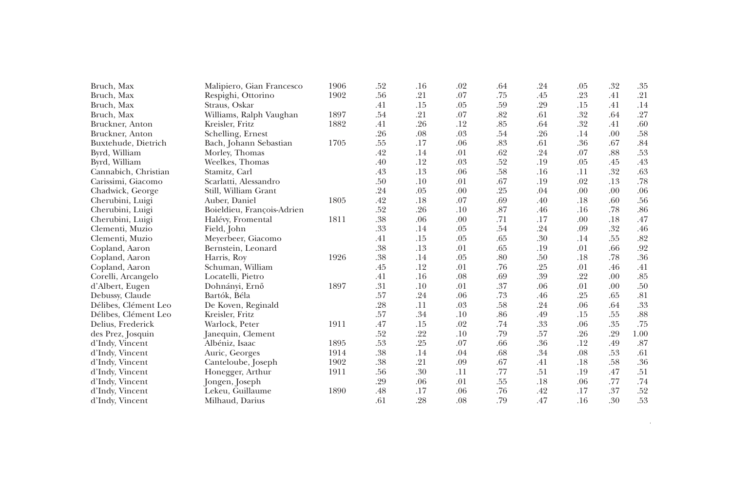| Bruch, Max           | Malipiero, Gian Francesco  | 1906 | .52 | .16 | .02 | .64 | .24 | .05 | .32 | .35     |
|----------------------|----------------------------|------|-----|-----|-----|-----|-----|-----|-----|---------|
| Bruch, Max           | Respighi, Ottorino         | 1902 | .56 | .21 | .07 | .75 | .45 | .23 | .41 | .21     |
| Bruch, Max           | Straus, Oskar              |      | .41 | .15 | .05 | .59 | .29 | .15 | .41 | .14     |
| Bruch, Max           | Williams, Ralph Vaughan    | 1897 | .54 | .21 | .07 | .82 | .61 | .32 | .64 | .27     |
| Bruckner, Anton      | Kreisler, Fritz            | 1882 | .41 | .26 | .12 | .85 | .64 | .32 | .41 | .60     |
| Bruckner, Anton      | Schelling, Ernest          |      | .26 | .08 | .03 | .54 | .26 | .14 | .00 | .58     |
| Buxtehude, Dietrich  | Bach, Johann Sebastian     | 1705 | .55 | .17 | .06 | .83 | .61 | .36 | .67 | .84     |
| Byrd, William        | Morley, Thomas             |      | .42 | .14 | .01 | .62 | .24 | .07 | .88 | .53     |
| Byrd, William        | Weelkes, Thomas            |      | .40 | .12 | .03 | .52 | .19 | .05 | .45 | .43     |
| Cannabich, Christian | Stamitz, Carl              |      | .43 | .13 | .06 | .58 | .16 | .11 | .32 | .63     |
| Carissimi, Giacomo   | Scarlatti, Alessandro      |      | .50 | .10 | .01 | .67 | .19 | .02 | .13 | .78     |
| Chadwick, George     | Still, William Grant       |      | .24 | .05 | .00 | .25 | .04 | .00 | .00 | .06     |
| Cherubini, Luigi     | Auber, Daniel              | 1805 | .42 | .18 | .07 | .69 | .40 | .18 | .60 | .56     |
| Cherubini, Luigi     | Boieldieu, François-Adrien |      | .52 | .26 | .10 | .87 | .46 | .16 | .78 | .86     |
| Cherubini, Luigi     | Halévy, Fromental          | 1811 | .38 | .06 | .00 | .71 | .17 | .00 | .18 | .47     |
| Clementi, Muzio      | Field, John                |      | .33 | .14 | .05 | .54 | .24 | .09 | .32 | .46     |
| Clementi, Muzio      | Meyerbeer, Giacomo         |      | .41 | .15 | .05 | .65 | .30 | .14 | .55 | $.82\,$ |
| Copland, Aaron       | Bernstein, Leonard         |      | .38 | .13 | .01 | .65 | .19 | .01 | .66 | .92     |
| Copland, Aaron       | Harris, Roy                | 1926 | .38 | .14 | .05 | .80 | .50 | .18 | .78 | .36     |
| Copland, Aaron       | Schuman, William           |      | .45 | .12 | .01 | .76 | .25 | .01 | .46 | .41     |
| Corelli, Arcangelo   | Locatelli, Pietro          |      | .41 | .16 | .08 | .69 | .39 | .22 | .00 | $.85\,$ |
| d'Albert, Eugen      | Dohnányi, Ernő             | 1897 | .31 | .10 | .01 | .37 | .06 | .01 | .00 | .50     |
| Debussy, Claude      | Bartók, Béla               |      | .57 | .24 | .06 | .73 | .46 | .25 | .65 | .81     |
| Délibes, Clément Leo | De Koven, Reginald         |      | .28 | .11 | .03 | .58 | .24 | .06 | .64 | .33     |
| Délibes, Clément Leo | Kreisler, Fritz            |      | .57 | .34 | .10 | .86 | .49 | .15 | .55 | .88     |
| Delius, Frederick    | Warlock, Peter             | 1911 | .47 | .15 | .02 | .74 | .33 | .06 | .35 | .75     |
| des Prez, Josquin    | Janequin, Clement          |      | .52 | .22 | .10 | .79 | .57 | .26 | .29 | 1.00    |
| d'Indy, Vincent      | Albéniz, Isaac             | 1895 | .53 | .25 | .07 | .66 | .36 | .12 | .49 | .87     |
| d'Indy, Vincent      | Auric, Georges             | 1914 | .38 | .14 | .04 | .68 | .34 | .08 | .53 | .61     |
| d'Indy, Vincent      | Canteloube, Joseph         | 1902 | .38 | .21 | .09 | .67 | .41 | .18 | .58 | $.36\,$ |
| d'Indy, Vincent      | Honegger, Arthur           | 1911 | .56 | .30 | .11 | .77 | .51 | .19 | .47 | .51     |
| d'Indy, Vincent      | Jongen, Joseph             |      | .29 | .06 | .01 | .55 | .18 | .06 | .77 | .74     |
| d'Indy, Vincent      | Lekeu, Guillaume           | 1890 | .48 | .17 | .06 | .76 | .42 | .17 | .37 | .52     |
| d'Indy, Vincent      | Milhaud, Darius            |      | .61 | .28 | .08 | .79 | .47 | .16 | .30 | .53     |

 $\alpha$  continued on  $\alpha$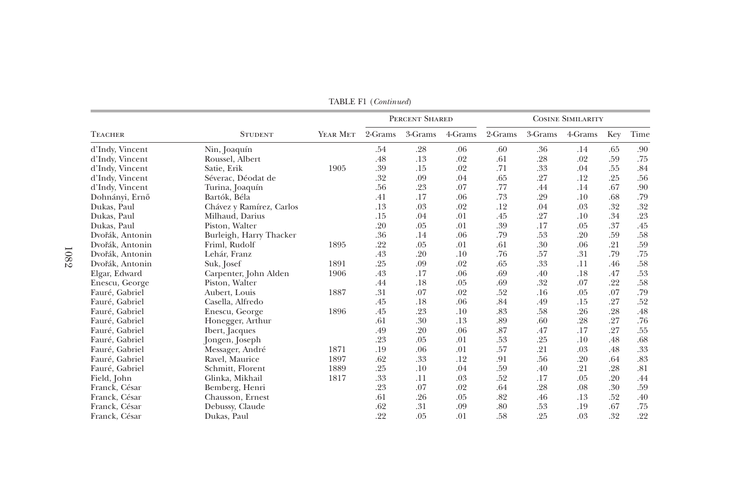| <b>TEACHER</b>  |                          |          | PERCENT SHARED |         |         | <b>COSINE SIMILARITY</b> |         |         |     |      |
|-----------------|--------------------------|----------|----------------|---------|---------|--------------------------|---------|---------|-----|------|
|                 | <b>STUDENT</b>           | YEAR MET | 2-Grams        | 3-Grams | 4-Grams | 2-Grams                  | 3-Grams | 4-Grams | Key | Time |
| d'Indy, Vincent | Nin, Joaquín             |          | .54            | .28     | .06     | .60                      | .36     | .14     | .65 | .90  |
| d'Indy, Vincent | Roussel, Albert          |          | .48            | .13     | .02     | .61                      | .28     | .02     | .59 | .75  |
| d'Indy, Vincent | Satie, Erik              | 1905     | .39            | .15     | .02     | .71                      | .33     | .04     | .55 | .84  |
| d'Indy, Vincent | Séverac, Déodat de       |          | .32            | .09     | .04     | .65                      | .27     | .12     | .25 | .56  |
| d'Indy, Vincent | Turina, Joaquín          |          | .56            | .23     | .07     | .77                      | .44     | .14     | .67 | .90  |
| Dohnányi, Ernő  | Bartók, Béla             |          | .41            | .17     | .06     | .73                      | .29     | .10     | .68 | .79  |
| Dukas, Paul     | Chávez y Ramírez, Carlos |          | .13            | .03     | .02     | .12                      | .04     | .03     | .32 | .32  |
| Dukas, Paul     | Milhaud, Darius          |          | .15            | .04     | .01     | .45                      | .27     | .10     | .34 | .23  |
| Dukas, Paul     | Piston, Walter           |          | .20            | .05     | .01     | .39                      | .17     | .05     | .37 | .45  |
| Dvořák, Antonin | Burleigh, Harry Thacker  |          | .36            | .14     | .06     | .79                      | .53     | .20     | .59 | .58  |
| Dvořák, Antonin | Friml, Rudolf            | 1895     | .22            | .05     | .01     | .61                      | .30     | .06     | .21 | .59  |
| Dvořák, Antonin | Lehár, Franz             |          | .43            | .20     | .10     | .76                      | .57     | .31     | .79 | .75  |
| Dvořák, Antonin | Suk, Josef               | 1891     | .25            | .09     | .02     | .65                      | .33     | .11     | .46 | .58  |
| Elgar, Edward   | Carpenter, John Alden    | 1906     | .43            | .17     | .06     | .69                      | .40     | .18     | .47 | .53  |
| Enescu, George  | Piston, Walter           |          | .44            | .18     | .05     | .69                      | .32     | .07     | .22 | .58  |
| Fauré, Gabriel  | Aubert, Louis            | 1887     | .31            | .07     | .02     | .52                      | .16     | .05     | .07 | .79  |
| Fauré, Gabriel  | Casella, Alfredo         |          | .45            | .18     | .06     | .84                      | .49     | .15     | .27 | .52  |
| Fauré, Gabriel  | Enescu, George           | 1896     | .45            | .23     | .10     | .83                      | .58     | .26     | .28 | .48  |
| Fauré, Gabriel  | Honegger, Arthur         |          | .61            | .30     | .13     | .89                      | .60     | .28     | .27 | .76  |
| Fauré, Gabriel  | Ibert, Jacques           |          | .49            | .20     | .06     | .87                      | .47     | .17     | .27 | .55  |
| Fauré, Gabriel  | Jongen, Joseph           |          | .23            | .05     | .01     | .53                      | .25     | .10     | .48 | .68  |
| Fauré, Gabriel  | Messager, André          | 1871     | .19            | .06     | .01     | .57                      | .21     | .03     | .48 | .33  |
| Fauré, Gabriel  | Ravel, Maurice           | 1897     | .62            | .33     | .12     | .91                      | .56     | .20     | .64 | .83  |
| Fauré, Gabriel  | Schmitt, Florent         | 1889     | .25            | .10     | .04     | .59                      | .40     | .21     | .28 | .81  |
| Field, John     | Glinka, Mikhail          | 1817     | .33            | .11     | .03     | .52                      | .17     | .05     | .20 | .44  |
| Franck, César   | Bemberg, Henri           |          | .23            | .07     | .02     | .64                      | .28     | .08     | .30 | .59  |
| Franck, César   | Chausson, Ernest         |          | .61            | .26     | .05     | .82                      | .46     | .13     | .52 | .40  |
| Franck, César   | Debussy, Claude          |          | .62            | .31     | .09     | .80                      | .53     | .19     | .67 | .75  |
| Franck, César   | Dukas, Paul              |          | .22            | .05     | .01     | .58                      | .25     | .03     | .32 | .22  |

TABLE F1 (Continued)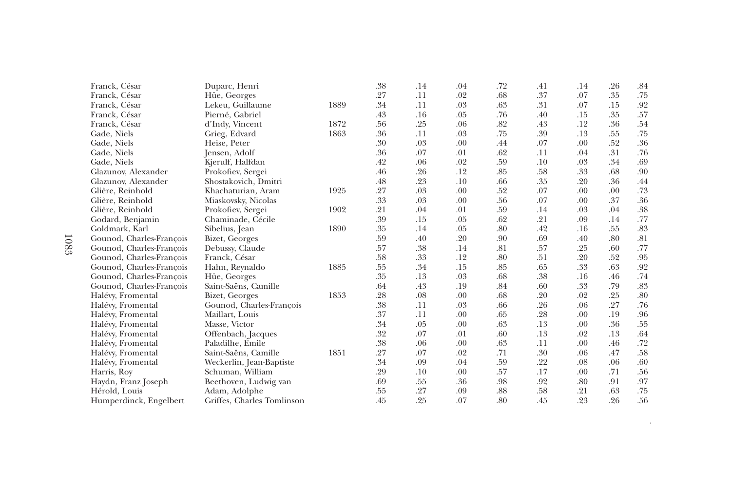| Franck, César            | Duparc, Henri              |      | .38 | .14 | .04 | .72 | .41 | .14 | .26 | .84     |
|--------------------------|----------------------------|------|-----|-----|-----|-----|-----|-----|-----|---------|
| Franck, César            | Hüe, Georges               |      | .27 | .11 | .02 | .68 | .37 | .07 | .35 | .75     |
| Franck, César            | Lekeu, Guillaume           | 1889 | .34 | .11 | .03 | .63 | .31 | .07 | .15 | .92     |
| Franck, César            | Pierné, Gabriel            |      | .43 | .16 | .05 | .76 | .40 | .15 | .35 | .57     |
| Franck, César            | d'Indy, Vincent            | 1872 | .56 | .25 | .06 | .82 | .43 | .12 | .36 | .54     |
| Gade, Niels              | Grieg, Edvard              | 1863 | .36 | .11 | .03 | .75 | .39 | .13 | .55 | .75     |
| Gade, Niels              | Heise, Peter               |      | .30 | .03 | .00 | .44 | .07 | .00 | .52 | .36     |
| Gade, Niels              | Jensen, Adolf              |      | .36 | .07 | .01 | .62 | .11 | .04 | .31 | .76     |
| Gade, Niels              | Kjerulf, Halfdan           |      | .42 | .06 | .02 | .59 | .10 | .03 | .34 | .69     |
| Glazunov, Alexander      | Prokofiev, Sergei          |      | .46 | .26 | .12 | .85 | .58 | .33 | .68 | .90     |
| Glazunov, Alexander      | Shostakovich, Dmitri       |      | .48 | .23 | .10 | .66 | .35 | .20 | .36 | .44     |
| Glière, Reinhold         | Khachaturian, Aram         | 1925 | .27 | .03 | .00 | .52 | .07 | .00 | .00 | .73     |
| Glière, Reinhold         | Miaskovsky, Nicolas        |      | .33 | .03 | .00 | .56 | .07 | .00 | .37 | .36     |
| Glière, Reinhold         | Prokofiev, Sergei          | 1902 | .21 | .04 | .01 | .59 | .14 | .03 | .04 | .38     |
| Godard, Benjamin         | Chaminade, Cécile          |      | .39 | .15 | .05 | .62 | .21 | .09 | .14 | .77     |
| Goldmark, Karl           | Sibelius, Jean             | 1890 | .35 | .14 | .05 | .80 | .42 | .16 | .55 | .83     |
| Gounod, Charles-François | Bizet, Georges             |      | .59 | .40 | .20 | .90 | .69 | .40 | .80 | .81     |
| Gounod, Charles-François | Debussy, Claude            |      | .57 | .38 | .14 | .81 | .57 | .25 | .60 | .77     |
| Gounod, Charles-Francois | Franck, César              |      | .58 | .33 | .12 | .80 | .51 | .20 | .52 | .95     |
| Gounod, Charles-Francois | Hahn, Reynaldo             | 1885 | .55 | .34 | .15 | .85 | .65 | .33 | .63 | .92     |
| Gounod, Charles-François | Hüe, Georges               |      | .35 | .13 | .03 | .68 | .38 | .16 | .46 | $.74\,$ |
| Gounod, Charles-François | Saint-Saëns, Camille       |      | .64 | .43 | .19 | .84 | .60 | .33 | .79 | .83     |
| Halévy, Fromental        | Bizet, Georges             | 1853 | .28 | .08 | .00 | .68 | .20 | .02 | .25 | .80     |
| Halévy, Fromental        | Gounod, Charles-François   |      | .38 | .11 | .03 | .66 | .26 | .06 | .27 | .76     |
| Halévy, Fromental        | Maillart, Louis            |      | .37 | .11 | .00 | .65 | .28 | .00 | .19 | $.96\,$ |
| Halévy, Fromental        | Masse, Victor              |      | .34 | .05 | .00 | .63 | .13 | .00 | .36 | .55     |
| Halévy, Fromental        | Offenbach, Jacques         |      | .32 | .07 | .01 | .60 | .13 | .02 | .13 | .64     |
| Halévy, Fromental        | Paladilhe, Emile           |      | .38 | .06 | .00 | .63 | .11 | .00 | .46 | .72     |
| Halévy, Fromental        | Saint-Saëns, Camille       | 1851 | .27 | .07 | .02 | .71 | .30 | .06 | .47 | .58     |
| Halévy, Fromental        | Weckerlin, Jean-Baptiste   |      | .34 | .09 | .04 | .59 | .22 | .08 | .06 | .60     |
| Harris, Roy              | Schuman, William           |      | .29 | .10 | .00 | .57 | .17 | .00 | .71 | .56     |
| Haydn, Franz Joseph      | Beethoven, Ludwig van      |      | .69 | .55 | .36 | .98 | .92 | .80 | .91 | .97     |
| Hérold, Louis            | Adam, Adolphe              |      | .55 | .27 | .09 | .88 | .58 | .21 | .63 | .75     |
| Humperdinck, Engelbert   | Griffes, Charles Tomlinson |      | .45 | .25 | .07 | .80 | .45 | .23 | .26 | .56     |

 $\alpha$  continued on  $\alpha$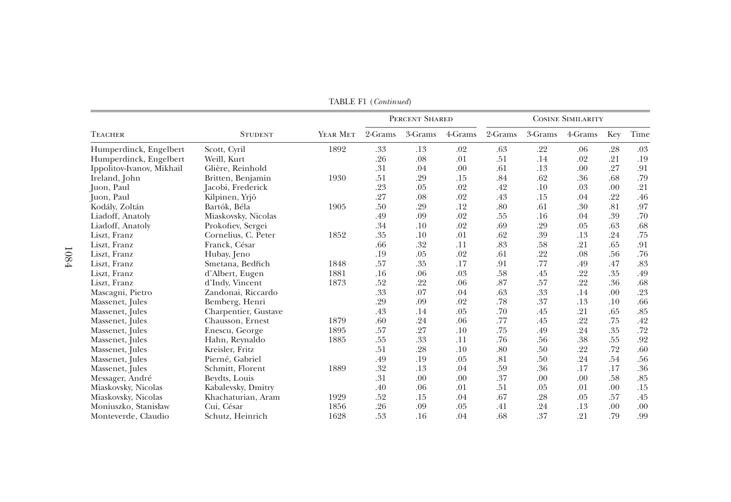|                           |                      |          | PERCENT SHARED |         |         | <b>COSINE SIMILARITY</b> |         |         |     |      |
|---------------------------|----------------------|----------|----------------|---------|---------|--------------------------|---------|---------|-----|------|
| <b>TEACHER</b>            | <b>STUDENT</b>       | YEAR MET | 2-Grams        | 3-Grams | 4-Grams | 2-Grams                  | 3-Grams | 4-Grams | Key | Time |
| Humperdinck, Engelbert    | Scott, Cyril         | 1892     | .33            | .13     | .02     | .63                      | .22     | .06     | .28 | .03  |
| Humperdinck, Engelbert    | Weill, Kurt          |          | .26            | .08     | .01     | .51                      | .14     | .02     | .21 | .19  |
| Ippolitov-Ivanov, Mikhail | Glière, Reinhold     |          | .31            | .04     | .00     | .61                      | .13     | .00     | .27 | .91  |
| Ireland, John             | Britten, Benjamin    | 1930     | .51            | .29     | .15     | .84                      | .62     | .36     | .68 | .79  |
| Juon, Paul                | Jacobi, Frederick    |          | .23            | .05     | .02     | .42                      | .10     | .03     | .00 | .21  |
| Juon, Paul                | Kilpinen, Yrjö       |          | .27            | .08     | .02     | .43                      | .15     | .04     | .22 | .46  |
| Kodály, Zoltán            | Bartók, Béla         | 1905     | .50            | .29     | .12     | .80                      | .61     | .30     | .81 | .97  |
| Liadoff, Anatoly          | Miaskovsky, Nicolas  |          | .49            | .09     | .02     | .55                      | .16     | .04     | .39 | .70  |
| Liadoff, Anatoly          | Prokofiev, Sergei    |          | .34            | .10     | .02     | .69                      | .29     | .05     | .63 | .68  |
| Liszt, Franz              | Cornelius, C. Peter  | 1852     | .35            | .10     | .01     | .62                      | .39     | .13     | .24 | .75  |
| Liszt, Franz              | Franck, César        |          | .66            | .32     | .11     | .83                      | .58     | .21     | .65 | .91  |
| Liszt, Franz              | Hubay, Jeno          |          | .19            | .05     | .02     | .61                      | .22     | .08     | .56 | .76  |
| Liszt, Franz              | Smetana, Bedřich     | 1848     | .57            | .35     | .17     | .91                      | .77     | .49     | .47 | .83  |
| Liszt, Franz              | d'Albert, Eugen      | 1881     | .16            | .06     | .03     | .58                      | .45     | .22     | .35 | .49  |
| Liszt, Franz              | d'Indy, Vincent      | 1873     | .52            | .22     | .06     | .87                      | .57     | .22     | .36 | .68  |
| Mascagni, Pietro          | Zandonai, Riccardo   |          | .33            | .07     | .04     | .63                      | .33     | .14     | .00 | .23  |
| Massenet, Jules           | Bemberg, Henri       |          | .29            | .09     | .02     | .78                      | .37     | .13     | .10 | .66  |
| Massenet, Jules           | Charpentier, Gustave |          | .43            | .14     | .05     | .70                      | .45     | .21     | .65 | .85  |
| Massenet, Jules           | Chausson, Ernest     | 1879     | .60            | .24     | .06     | .77                      | .45     | .22     | .75 | .42  |
| Massenet, Jules           | Enescu, George       | 1895     | .57            | .27     | .10     | .75                      | .49     | .24     | .35 | .72  |
| Massenet, Jules           | Hahn, Reynaldo       | 1885     | .55            | .33     | .11     | .76                      | .56     | .38     | .55 | .92  |
| Massenet, Jules           | Kreisler, Fritz      |          | .51            | .28     | .10     | .80                      | .50     | .22     | .72 | .60  |
| Massenet, Jules           | Pierné, Gabriel      |          | .49            | .19     | .05     | .81                      | .50     | .24     | .54 | .56  |
| Massenet, Jules           | Schmitt, Florent     | 1889     | .32            | .13     | .04     | .59                      | .36     | .17     | .17 | .36  |
| Messager, André           | Beydts, Louis        |          | .31            | .00     | .00     | .37                      | .00     | .00     | .58 | .85  |
| Miaskovsky, Nicolas       | Kabalevsky, Dmitry   |          | .40            | .06     | .01     | .51                      | .05     | .01     | .00 | .15  |
| Miaskovsky, Nicolas       | Khachaturian, Aram   | 1929     | .52            | .15     | .04     | .67                      | .28     | .05     | .57 | .45  |
| Moniuszko, Stanisław      | Cui, César           | 1856     | .26            | .09     | .05     | .41                      | .24     | .13     | .00 | .00  |
| Monteverde, Claudio       | Schutz, Heinrich     | 1628     | .53            | .16     | .04     | .68                      | .37     | .21     | .79 | .99  |

TABLE F1 (Continued)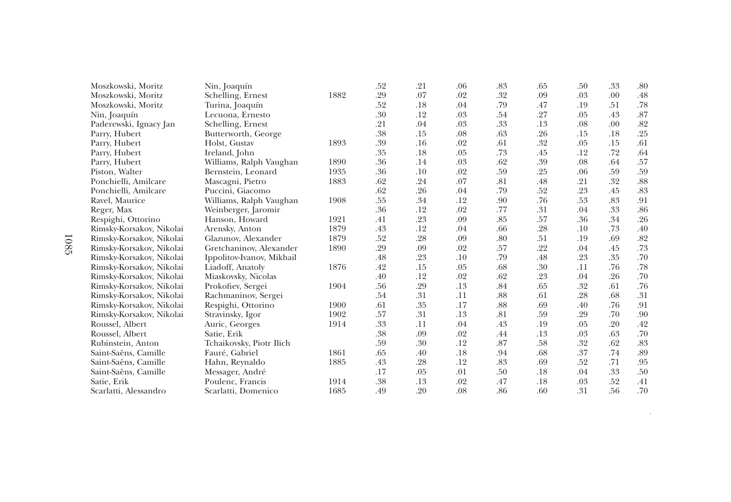| Moszkowski, Moritz       | Nin, Joaquín              |      | .52 | .21 | .06 | .83 | .65 | .50 | .33 | .80     |
|--------------------------|---------------------------|------|-----|-----|-----|-----|-----|-----|-----|---------|
| Moszkowski, Moritz       | Schelling, Ernest         | 1882 | .29 | .07 | .02 | .32 | .09 | .03 | .00 | .48     |
| Moszkowski, Moritz       | Turina, Joaquín           |      | .52 | .18 | .04 | .79 | .47 | .19 | .51 | .78     |
| Nin, Joaquín             | Lecuona, Ernesto          |      | .30 | .12 | .03 | .54 | .27 | .05 | .43 | .87     |
| Paderewski, Ignacy Jan   | Schelling, Ernest         |      | .21 | .04 | .03 | .33 | .13 | .08 | .00 | .82     |
| Parry, Hubert            | Butterworth, George       |      | .38 | .15 | .08 | .63 | .26 | .15 | .18 | .25     |
| Parry, Hubert            | Holst, Gustav             | 1893 | .39 | .16 | .02 | .61 | .32 | .05 | .15 | .61     |
| Parry, Hubert            | Ireland, John             |      | .35 | .18 | .05 | .73 | .45 | .12 | .72 | .64     |
| Parry, Hubert            | Williams, Ralph Vaughan   | 1890 | .36 | .14 | .03 | .62 | .39 | .08 | .64 | .57     |
| Piston, Walter           | Bernstein, Leonard        | 1935 | .36 | .10 | .02 | .59 | .25 | .06 | .59 | .59     |
| Ponchielli, Amilcare     | Mascagni, Pietro          | 1883 | .62 | .24 | .07 | .81 | .48 | .21 | .32 | .88     |
| Ponchielli, Amilcare     | Puccini, Giacomo          |      | .62 | .26 | .04 | .79 | .52 | .23 | .45 | .83     |
| Ravel, Maurice           | Williams, Ralph Vaughan   | 1908 | .55 | .34 | .12 | .90 | .76 | .53 | .83 | .91     |
| Reger, Max               | Weinberger, Jaromir       |      | .36 | .12 | .02 | .77 | .31 | .04 | .33 | .86     |
| Respighi, Ottorino       | Hanson, Howard            | 1921 | .41 | .23 | .09 | .85 | .57 | .36 | .34 | .26     |
| Rimsky-Korsakov, Nikolai | Arensky, Anton            | 1879 | .43 | .12 | .04 | .66 | .28 | .10 | .73 | .40     |
| Rimsky-Korsakov, Nikolai | Glazunov, Alexander       | 1879 | .52 | .28 | .09 | .80 | .51 | .19 | .69 | .82     |
| Rimsky-Korsakov, Nikolai | Gretchaninov, Alexander   | 1890 | .29 | .09 | .02 | .57 | .22 | .04 | .45 | .73     |
| Rimsky-Korsakov, Nikolai | Ippolitov-Ivanov, Mikhail |      | .48 | .23 | .10 | .79 | .48 | .23 | .35 | .70     |
| Rimsky-Korsakov, Nikolai | Liadoff, Anatoly          | 1876 | .42 | .15 | .05 | .68 | .30 | .11 | .76 | .78     |
| Rimsky-Korsakov, Nikolai | Miaskovsky, Nicolas       |      | .40 | .12 | .02 | .62 | .23 | .04 | .26 | .70     |
| Rimsky-Korsakov, Nikolai | Prokofiev, Sergei         | 1904 | .56 | .29 | .13 | .84 | .65 | .32 | .61 | .76     |
| Rimsky-Korsakov, Nikolai | Rachmaninov, Sergei       |      | .54 | .31 | .11 | .88 | .61 | .28 | .68 | .31     |
| Rimsky-Korsakov, Nikolai | Respighi, Ottorino        | 1900 | .61 | .35 | .17 | .88 | .69 | .40 | .76 | .91     |
| Rimsky-Korsakov, Nikolai | Stravinsky, Igor          | 1902 | .57 | .31 | .13 | .81 | .59 | .29 | .70 | .90     |
| Roussel, Albert          | Auric, Georges            | 1914 | .33 | .11 | .04 | .43 | .19 | .05 | .20 | .42     |
| Roussel, Albert          | Satie, Erik               |      | .38 | .09 | .02 | .44 | .13 | .03 | .63 | .70     |
| Rubinstein, Anton        | Tchaikovsky, Piotr Ilich  |      | .59 | .30 | .12 | .87 | .58 | .32 | .62 | $.83\,$ |
| Saint-Saëns, Camille     | Fauré, Gabriel            | 1861 | .65 | .40 | .18 | .94 | .68 | .37 | .74 | .89     |
| Saint-Saëns, Camille     | Hahn, Reynaldo            | 1885 | .43 | .28 | .12 | .83 | .69 | .52 | .71 | .95     |
| Saint-Saëns, Camille     | Messager, André           |      | .17 | .05 | .01 | .50 | .18 | .04 | .33 | .50     |
| Satie, Erik              | Poulenc, Francis          | 1914 | .38 | .13 | .02 | .47 | .18 | .03 | .52 | .41     |
| Scarlatti, Alessandro    | Scarlatti, Domenico       | 1685 | .49 | .20 | .08 | .86 | .60 | .31 | .56 | .70     |

continued on next page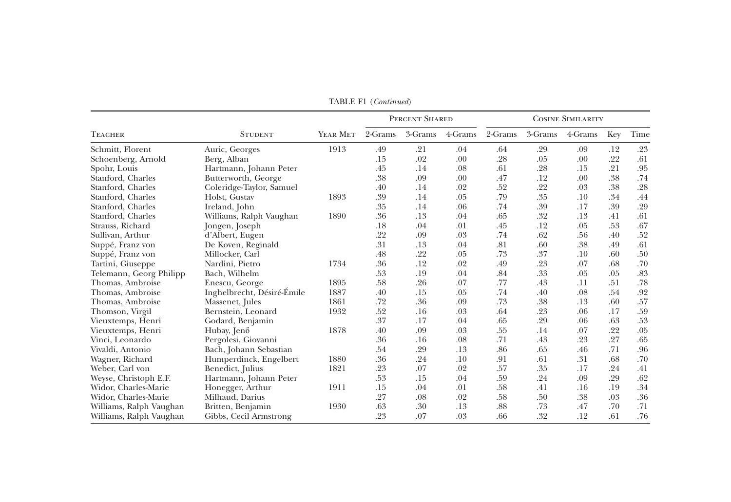|                         |                            |          | PERCENT SHARED |         |         | <b>COSINE SIMILARITY</b> |         |         |     |      |
|-------------------------|----------------------------|----------|----------------|---------|---------|--------------------------|---------|---------|-----|------|
| <b>TEACHER</b>          | <b>STUDENT</b>             | YEAR MET | 2-Grams        | 3-Grams | 4-Grams | 2-Grams                  | 3-Grams | 4-Grams | Key | Time |
| Schmitt, Florent        | Auric, Georges             | 1913     | .49            | .21     | .04     | .64                      | .29     | .09     | .12 | .23  |
| Schoenberg, Arnold      | Berg, Alban                |          | .15            | .02     | .00     | .28                      | .05     | .00     | .22 | .61  |
| Spohr, Louis            | Hartmann, Johann Peter     |          | .45            | .14     | .08     | .61                      | .28     | .15     | .21 | .95  |
| Stanford, Charles       | Butterworth, George        |          | .38            | .09     | .00     | .47                      | .12     | .00     | .38 | .74  |
| Stanford, Charles       | Coleridge-Taylor, Samuel   |          | .40            | .14     | .02     | .52                      | .22     | .03     | .38 | .28  |
| Stanford, Charles       | Holst, Gustav              | 1893     | .39            | .14     | .05     | .79                      | .35     | .10     | .34 | .44  |
| Stanford, Charles       | Ireland, John              |          | .35            | .14     | .06     | .74                      | .39     | .17     | .39 | .29  |
| Stanford, Charles       | Williams, Ralph Vaughan    | 1890     | .36            | .13     | .04     | .65                      | .32     | .13     | .41 | .61  |
| Strauss, Richard        | Jongen, Joseph             |          | .18            | .04     | .01     | .45                      | .12     | .05     | .53 | .67  |
| Sullivan, Arthur        | d'Albert, Eugen            |          | .22            | .09     | .03     | .74                      | .62     | .56     | .40 | .52  |
| Suppé, Franz von        | De Koven, Reginald         |          | .31            | .13     | .04     | .81                      | .60     | .38     | .49 | .61  |
| Suppé, Franz von        | Millocker, Carl            |          | .48            | .22     | .05     | .73                      | .37     | .10     | .60 | .50  |
| Tartini, Giuseppe       | Nardini, Pietro            | 1734     | .36            | .12     | .02     | .49                      | .23     | .07     | .68 | .70  |
| Telemann, Georg Philipp | Bach, Wilhelm              |          | .53            | .19     | .04     | .84                      | .33     | .05     | .05 | .83  |
| Thomas, Ambroise        | Enescu, George             | 1895     | .58            | .26     | .07     | .77                      | .43     | .11     | .51 | .78  |
| Thomas, Ambroise        | Inghelbrecht, Désiré-Émile | 1887     | .40            | .15     | .05     | .74                      | .40     | .08     | .54 | .92  |
| Thomas, Ambroise        | Massenet, Jules            | 1861     | .72            | .36     | .09     | .73                      | .38     | .13     | .60 | .57  |
| Thomson, Virgil         | Bernstein, Leonard         | 1932     | .52            | .16     | .03     | .64                      | .23     | .06     | .17 | .59  |
| Vieuxtemps, Henri       | Godard, Benjamin           |          | .37            | .17     | .04     | .65                      | .29     | .06     | .63 | .53  |
| Vieuxtemps, Henri       | Hubay, Jenő                | 1878     | .40            | .09     | .03     | .55                      | .14     | .07     | .22 | .05  |
| Vinci, Leonardo         | Pergolesi, Giovanni        |          | .36            | .16     | .08     | .71                      | .43     | .23     | .27 | .65  |
| Vivaldi, Antonio        | Bach, Johann Sebastian     |          | .54            | .29     | .13     | .86                      | .65     | .46     | .71 | .96  |
| Wagner, Richard         | Humperdinck, Engelbert     | 1880     | .36            | .24     | .10     | .91                      | .61     | .31     | .68 | .70  |
| Weber, Carl von         | Benedict, Julius           | 1821     | .23            | .07     | .02     | .57                      | .35     | .17     | .24 | .41  |
| Weyse, Christoph E.F.   | Hartmann, Johann Peter     |          | .53            | .15     | .04     | .59                      | .24     | .09     | .29 | .62  |
| Widor, Charles-Marie    | Honegger, Arthur           | 1911     | .15            | .04     | .01     | .58                      | .41     | .16     | .19 | .34  |
| Widor, Charles-Marie    | Milhaud, Darius            |          | .27            | .08     | .02     | .58                      | .50     | .38     | .03 | .36  |
| Williams, Ralph Vaughan | Britten, Benjamin          | 1930     | .63            | .30     | .13     | .88                      | .73     | .47     | .70 | .71  |
| Williams, Ralph Vaughan | Gibbs, Cecil Armstrong     |          | .23            | .07     | .03     | .66                      | .32     | .12     | .61 | .76  |

TABLE F1 (Continued)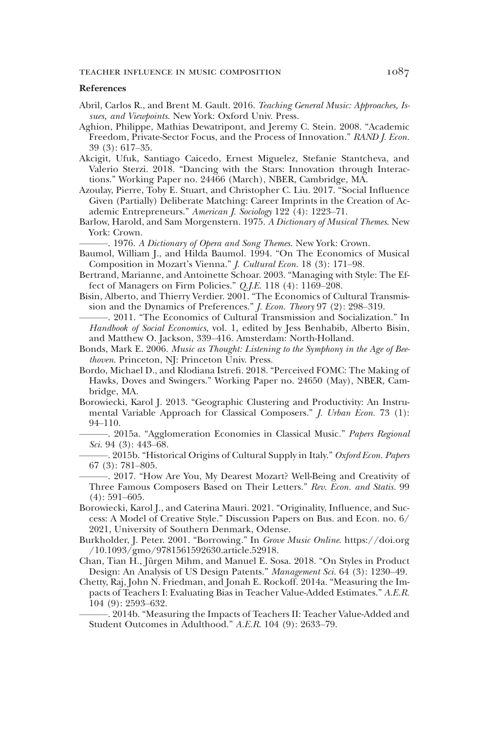### TEACHER INFLUENCE IN MUSIC COMPOSITION 1087

#### References

- Abril, Carlos R., and Brent M. Gault. 2016. Teaching General Music: Approaches, Issues, and Viewpoints. New York: Oxford Univ. Press.
- Aghion, Philippe, Mathias Dewatripont, and Jeremy C. Stein. 2008. "Academic Freedom, Private-Sector Focus, and the Process of Innovation." RAND J. Econ. 39 (3): 617–35.
- Akcigit, Ufuk, Santiago Caicedo, Ernest Miguelez, Stefanie Stantcheva, and Valerio Sterzi. 2018. "Dancing with the Stars: Innovation through Interactions." Working Paper no. 24466 (March), NBER, Cambridge, MA.
- Azoulay, Pierre, Toby E. Stuart, and Christopher C. Liu. 2017. "Social Influence Given (Partially) Deliberate Matching: Career Imprints in the Creation of Academic Entrepreneurs." American J. Sociology 122 (4): 1223–71.
- Barlow, Harold, and Sam Morgenstern. 1975. A Dictionary of Musical Themes. New York: Crown.

. 1976. A Dictionary of Opera and Song Themes. New York: Crown.

- Baumol, William J., and Hilda Baumol. 1994. "On The Economics of Musical Composition in Mozart's Vienna." J. Cultural Econ. 18 (3): 171–98.
- Bertrand, Marianne, and Antoinette Schoar. 2003. "Managing with Style: The Effect of Managers on Firm Policies." Q.J.E. 118 (4): 1169–208.
- Bisin, Alberto, and Thierry Verdier. 2001. "The Economics of Cultural Transmission and the Dynamics of Preferences." J. Econ. Theory 97 (2): 298–319.
- -. 2011. "The Economics of Cultural Transmission and Socialization." In Handbook of Social Economics, vol. 1, edited by Jess Benhabib, Alberto Bisin, and Matthew O. Jackson, 339–416. Amsterdam: North-Holland.
- Bonds, Mark E. 2006. Music as Thought: Listening to the Symphony in the Age of Beethoven. Princeton, NJ: Princeton Univ. Press.
- Bordo, Michael D., and Klodiana Istrefi. 2018. "Perceived FOMC: The Making of Hawks, Doves and Swingers." Working Paper no. 24650 (May), NBER, Cambridge, MA.
- Borowiecki, Karol J. 2013. "Geographic Clustering and Productivity: An Instrumental Variable Approach for Classical Composers." *J. Urban Econ.* 73 (1): 94–110.
- -. 2015a. "Agglomeration Economies in Classical Music." Papers Regional Sci. 94 (3): 443–68.
- -. 2015b. "Historical Origins of Cultural Supply in Italy." Oxford Econ. Papers 67 (3): 781–805.
- ———. 2017. "How Are You, My Dearest Mozart? Well-Being and Creativity of Three Famous Composers Based on Their Letters." Rev. Econ. and Statis. 99 (4): 591–605.
- Borowiecki, Karol J., and Caterina Mauri. 2021. "Originality, Influence, and Success: A Model of Creative Style." Discussion Papers on Bus. and Econ. no. 6/ 2021, University of Southern Denmark, Odense.
- Burkholder, J. Peter. 2001. "Borrowing." In Grove Music Online. https://doi.org /10.1093/gmo/9781561592630.article.52918.
- Chan, Tian H., Jürgen Mihm, and Manuel E. Sosa. 2018. "On Styles in Product Design: An Analysis of US Design Patents." Management Sci. 64 (3): 1230–49.
- Chetty, Raj, John N. Friedman, and Jonah E. Rockoff. 2014a. "Measuring the Impacts of Teachers I: Evaluating Bias in Teacher Value-Added Estimates." A.E.R. 104 (9): 2593–632.

-. 2014b. "Measuring the Impacts of Teachers II: Teacher Value-Added and Student Outcomes in Adulthood." A.E.R. 104 (9): 2633–79.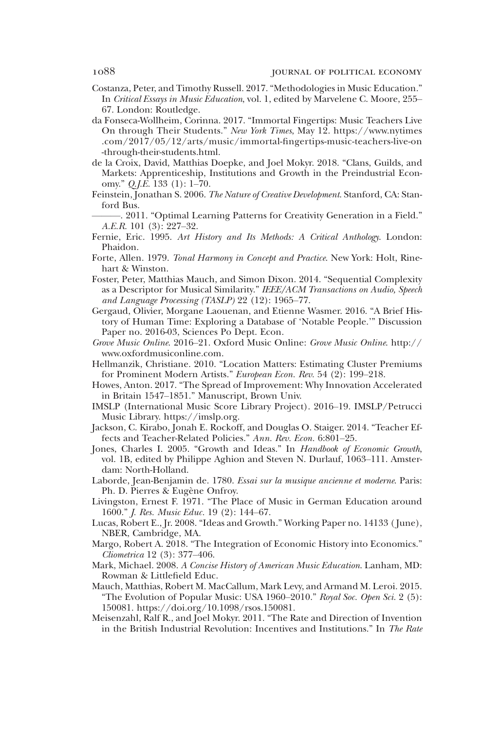- Costanza, Peter, and Timothy Russell. 2017."Methodologies in Music Education." In Critical Essays in Music Education, vol. 1, edited by Marvelene C. Moore, 255– 67. London: Routledge.
- da Fonseca-Wollheim, Corinna. 2017. "Immortal Fingertips: Music Teachers Live On through Their Students." New York Times, May 12. https://www.nytimes .com/2017/05/12/arts/music/immortal-fingertips-music-teachers-live-on -through-their-students.html.
- de la Croix, David, Matthias Doepke, and Joel Mokyr. 2018. "Clans, Guilds, and Markets: Apprenticeship, Institutions and Growth in the Preindustrial Economy."  $Q,I.E.$  133 (1): 1–70.
- Feinstein, Jonathan S. 2006. The Nature of Creative Development. Stanford, CA: Stanford Bus.
- ———. 2011. "Optimal Learning Patterns for Creativity Generation in a Field." A.E.R. 101 (3): 227–32.
- Fernie, Eric. 1995. Art History and Its Methods: A Critical Anthology. London: Phaidon.
- Forte, Allen. 1979. Tonal Harmony in Concept and Practice. New York: Holt, Rinehart & Winston.
- Foster, Peter, Matthias Mauch, and Simon Dixon. 2014. "Sequential Complexity as a Descriptor for Musical Similarity." IEEE/ACM Transactions on Audio, Speech and Language Processing (TASLP) 22 (12): 1965–77.
- Gergaud, Olivier, Morgane Laouenan, and Etienne Wasmer. 2016. "A Brief History of Human Time: Exploring a Database of 'Notable People.'" Discussion Paper no. 2016-03, Sciences Po Dept. Econ.
- Grove Music Online. 2016–21. Oxford Music Online: Grove Music Online. http:// www.oxfordmusiconline.com.
- Hellmanzik, Christiane. 2010. "Location Matters: Estimating Cluster Premiums for Prominent Modern Artists." European Econ. Rev. 54 (2): 199-218.
- Howes, Anton. 2017. "The Spread of Improvement: Why Innovation Accelerated in Britain 1547–1851." Manuscript, Brown Univ.
- IMSLP (International Music Score Library Project). 2016–19. IMSLP/Petrucci Music Library. https://imslp.org.
- Jackson, C. Kirabo, Jonah E. Rockoff, and Douglas O. Staiger. 2014. "Teacher Effects and Teacher-Related Policies." Ann. Rev. Econ. 6:801–25.
- Jones, Charles I. 2005. "Growth and Ideas." In Handbook of Economic Growth, vol. 1B, edited by Philippe Aghion and Steven N. Durlauf, 1063–111. Amsterdam: North-Holland.
- Laborde, Jean-Benjamin de. 1780. Essai sur la musique ancienne et moderne. Paris: Ph. D. Pierres & Eugène Onfroy.
- Livingston, Ernest F. 1971. "The Place of Music in German Education around 1600." J. Res. Music Educ. 19 (2): 144–67.
- Lucas, Robert E., Jr. 2008. "Ideas and Growth." Working Paper no. 14133 ( June), NBER, Cambridge, MA.
- Margo, Robert A. 2018. "The Integration of Economic History into Economics." Cliometrica 12 (3): 377–406.
- Mark, Michael. 2008. A Concise History of American Music Education. Lanham, MD: Rowman & Littlefield Educ.
- Mauch, Matthias, Robert M. MacCallum, Mark Levy, and Armand M. Leroi. 2015. "The Evolution of Popular Music: USA 1960-2010." Royal Soc. Open Sci. 2 (5): 150081. https://doi.org/10.1098/rsos.150081.
- Meisenzahl, Ralf R., and Joel Mokyr. 2011. "The Rate and Direction of Invention in the British Industrial Revolution: Incentives and Institutions." In The Rate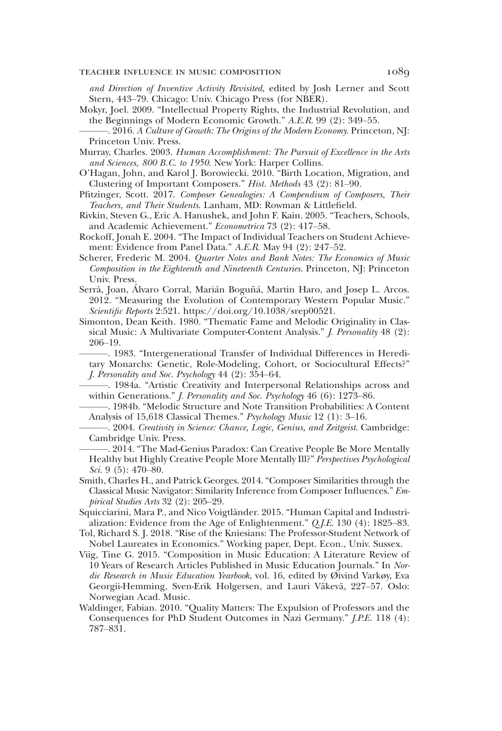### teacher influence in music composition 1089

and Direction of Inventive Activity Revisited, edited by Josh Lerner and Scott Stern, 443–79. Chicago: Univ. Chicago Press (for NBER).

- Mokyr, Joel. 2009. "Intellectual Property Rights, the Industrial Revolution, and the Beginnings of Modern Economic Growth." A.E.R. 99 (2): 349–55.
- $-2016$ . A Culture of Growth: The Origins of the Modern Economy. Princeton, NJ: Princeton Univ. Press.
- Murray, Charles. 2003. Human Accomplishment: The Pursuit of Excellence in the Arts and Sciences, 800 B.C. to 1950. New York: Harper Collins.
- O'Hagan, John, and Karol J. Borowiecki. 2010. "Birth Location, Migration, and Clustering of Important Composers." Hist. Methods 43 (2): 81–90.
- Pfitzinger, Scott. 2017. Composer Genealogies: A Compendium of Composers, Their Teachers, and Their Students. Lanham, MD: Rowman & Littlefield.
- Rivkin, Steven G., Eric A. Hanushek, and John F. Kain. 2005. "Teachers, Schools, and Academic Achievement." Econometrica 73 (2): 417–58.
- Rockoff, Jonah E. 2004. "The Impact of Individual Teachers on Student Achievement: Evidence from Panel Data." A.E.R. May 94 (2): 247–52.
- Scherer, Frederic M. 2004. Quarter Notes and Bank Notes: The Economics of Music Composition in the Eighteenth and Nineteenth Centuries. Princeton, NJ: Princeton Univ. Press.
- Serrà, Joan, Álvaro Corral, Marián Boguñá, Martin Haro, and Josep L. Arcos. 2012. "Measuring the Evolution of Contemporary Western Popular Music." Scientific Reports 2:521. https://doi.org/10.1038/srep00521.
- Simonton, Dean Keith. 1980. "Thematic Fame and Melodic Originality in Classical Music: A Multivariate Computer-Content Analysis." *J. Personality* 48 (2): 206–19.
	- -. 1983. "Intergenerational Transfer of Individual Differences in Hereditary Monarchs: Genetic, Role-Modeling, Cohort, or Sociocultural Effects?" J. Personality and Soc. Psychology 44 (2): 354–64.
- ———. 1984a. "Artistic Creativity and Interpersonal Relationships across and within Generations." J. Personality and Soc. Psychology 46 (6): 1273–86.

-. 1984b. "Melodic Structure and Note Transition Probabilities: A Content Analysis of 15,618 Classical Themes." Psychology Music 12 (1): 3–16.

-. 2004. Creativity in Science: Chance, Logic, Genius, and Zeitgeist. Cambridge: Cambridge Univ. Press.

- -. 2014. "The Mad-Genius Paradox: Can Creative People Be More Mentally Healthy but Highly Creative People More Mentally Ill?" Perspectives Psychological Sci. 9 (5):  $470-80$ .
- Smith, Charles H., and Patrick Georges. 2014. "Composer Similarities through the Classical Music Navigator: Similarity Inference from Composer Influences." Empirical Studies Arts 32 (2): 205–29.
- Squicciarini, Mara P., and Nico Voigtländer. 2015. "Human Capital and Industrialization: Evidence from the Age of Enlightenment." Q.J.E. 130 (4): 1825–83.
- Tol, Richard S. J. 2018. "Rise of the Kniesians: The Professor-Student Network of Nobel Laureates in Economics." Working paper, Dept. Econ., Univ. Sussex.
- Viig, Tine G. 2015. "Composition in Music Education: A Literature Review of 10 Years of Research Articles Published in Music Education Journals." In Nordic Research in Music Education Yearbook, vol. 16, edited by Øivind Varkøy, Eva Georgii-Hemming, Sven-Erik Holgersen, and Lauri Väkevä, 227–57. Oslo: Norwegian Acad. Music.
- Waldinger, Fabian. 2010. "Quality Matters: The Expulsion of Professors and the Consequences for PhD Student Outcomes in Nazi Germany." J.P.E. 118 (4): 787–831.